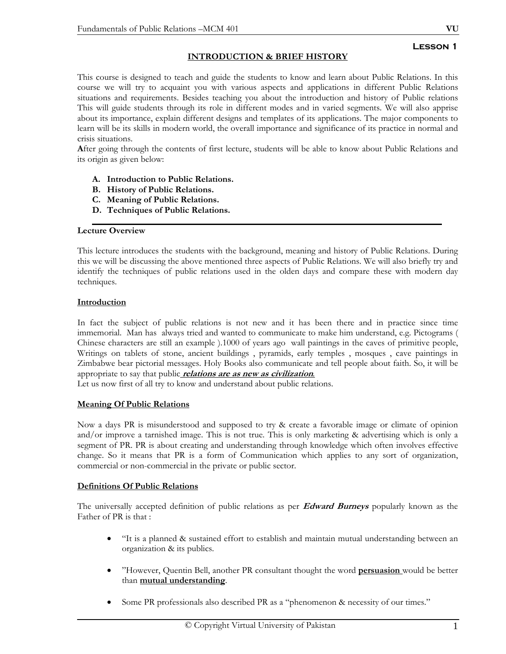## **INTRODUCTION & BRIEF HISTORY**

This course is designed to teach and guide the students to know and learn about Public Relations. In this course we will try to acquaint you with various aspects and applications in different Public Relations situations and requirements. Besides teaching you about the introduction and history of Public relations This will guide students through its role in different modes and in varied segments. We will also apprise about its importance, explain different designs and templates of its applications. The major components to learn will be its skills in modern world, the overall importance and significance of its practice in normal and crisis situations.

**A**fter going through the contents of first lecture, students will be able to know about Public Relations and its origin as given below:

- **A. Introduction to Public Relations.**
- **B. History of Public Relations.**
- **C. Meaning of Public Relations.**
- **D. Techniques of Public Relations.**

#### **Lecture Overview**

This lecture introduces the students with the background, meaning and history of Public Relations. During this we will be discussing the above mentioned three aspects of Public Relations. We will also briefly try and identify the techniques of public relations used in the olden days and compare these with modern day techniques.

#### **Introduction**

In fact the subject of public relations is not new and it has been there and in practice since time immemorial. Man has always tried and wanted to communicate to make him understand, e.g. Pictograms ( Chinese characters are still an example ).1000 of years ago wall paintings in the caves of primitive people, Writings on tablets of stone, ancient buildings , pyramids, early temples , mosques , cave paintings in Zimbabwe bear pictorial messages. Holy Books also communicate and tell people about faith. So, it will be appropriate to say that public **relations are as new as civilization***.* 

Let us now first of all try to know and understand about public relations.

#### **Meaning Of Public Relations**

Now a days PR is misunderstood and supposed to try & create a favorable image or climate of opinion and/or improve a tarnished image. This is not true. This is only marketing & advertising which is only a segment of PR. PR is about creating and understanding through knowledge which often involves effective change. So it means that PR is a form of Communication which applies to any sort of organization, commercial or non-commercial in the private or public sector.

#### **Definitions Of Public Relations**

The universally accepted definition of public relations as per **Edward Burneys** popularly known as the Father of PR is that :

- "It is a planned & sustained effort to establish and maintain mutual understanding between an organization & its publics.
- "However, Quentin Bell, another PR consultant thought the word **persuasion** would be better than **mutual understanding**.
- Some PR professionals also described PR as a "phenomenon & necessity of our times."

#### **Lesson 1**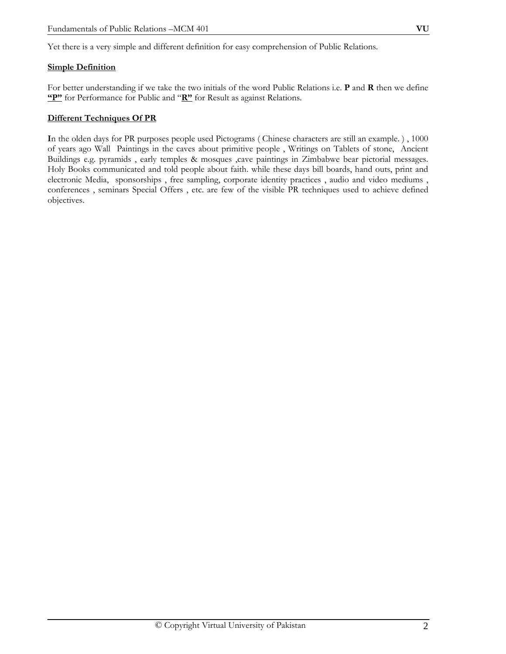Yet there is a very simple and different definition for easy comprehension of Public Relations.

#### **Simple Definition**

For better understanding if we take the two initials of the word Public Relations i.e. **P** and **R** then we define **"P"** for Performance for Public and "**R"** for Result as against Relations.

#### **Different Techniques Of PR**

**I**n the olden days for PR purposes people used Pictograms ( Chinese characters are still an example. ) , 1000 of years ago Wall Paintings in the caves about primitive people , Writings on Tablets of stone, Ancient Buildings e.g. pyramids , early temples & mosques ,cave paintings in Zimbabwe bear pictorial messages. Holy Books communicated and told people about faith. while these days bill boards, hand outs, print and electronic Media, sponsorships , free sampling, corporate identity practices , audio and video mediums , conferences , seminars Special Offers , etc. are few of the visible PR techniques used to achieve defined objectives.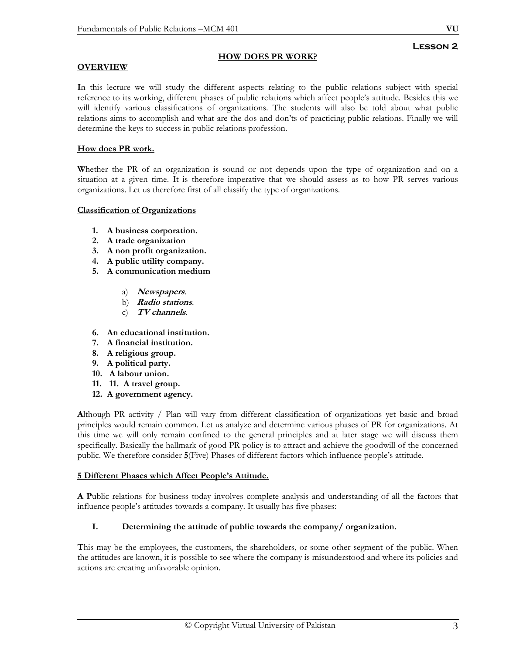# **Lesson 2**

## **HOW DOES PR WORK?**

## **OVERVIEW**

**I**n this lecture we will study the different aspects relating to the public relations subject with special reference to its working, different phases of public relations which affect people's attitude. Besides this we will identify various classifications of organizations. The students will also be told about what public relations aims to accomplish and what are the dos and don'ts of practicing public relations. Finally we will determine the keys to success in public relations profession.

## **How does PR work.**

**W**hether the PR of an organization is sound or not depends upon the type of organization and on a situation at a given time. It is therefore imperative that we should assess as to how PR serves various organizations. Let us therefore first of all classify the type of organizations.

#### **Classification of Organizations**

- **1. A business corporation.**
- **2. A trade organization**
- **3. A non profit organization.**
- **4. A public utility company.**
- **5. A communication medium** 
	- a) **Newspapers**.
	- b) **Radio stations**.
	- c) **TV channels**.
- **6. An educational institution.**
- **7. A financial institution.**
- **8. A religious group.**
- **9. A political party.**
- **10. A labour union.**
- **11. 11. A travel group.**
- **12. A government agency.**

**A**lthough PR activity / Plan will vary from different classification of organizations yet basic and broad principles would remain common. Let us analyze and determine various phases of PR for organizations. At this time we will only remain confined to the general principles and at later stage we will discuss them specifically. Basically the hallmark of good PR policy is to attract and achieve the goodwill of the concerned public. We therefore consider **5**(Five) Phases of different factors which influence people's attitude.

#### **5 Different Phases which Affect People's Attitude.**

**A P**ublic relations for business today involves complete analysis and understanding of all the factors that influence people's attitudes towards a company. It usually has five phases:

#### **I. Determining the attitude of public towards the company/ organization.**

**T**his may be the employees, the customers, the shareholders, or some other segment of the public. When the attitudes are known, it is possible to see where the company is misunderstood and where its policies and actions are creating unfavorable opinion.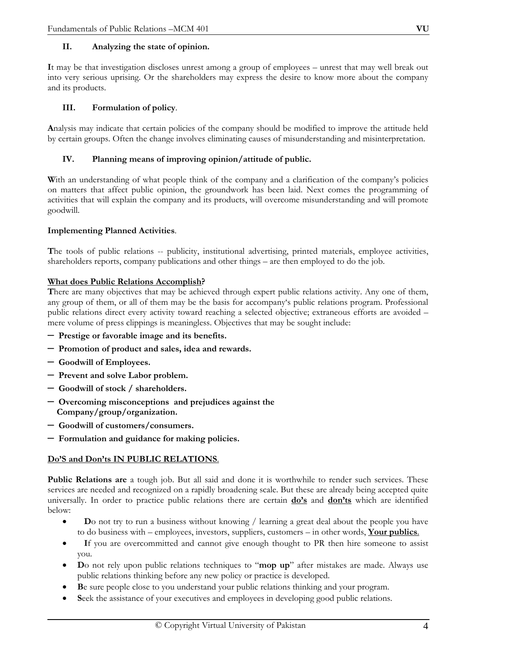#### **II. Analyzing the state of opinion.**

**I**t may be that investigation discloses unrest among a group of employees – unrest that may well break out into very serious uprising. Or the shareholders may express the desire to know more about the company and its products.

### **III. Formulation of policy**.

**A**nalysis may indicate that certain policies of the company should be modified to improve the attitude held by certain groups. Often the change involves eliminating causes of misunderstanding and misinterpretation.

### **IV. Planning means of improving opinion/attitude of public.**

With an understanding of what people think of the company and a clarification of the company's policies on matters that affect public opinion, the groundwork has been laid. Next comes the programming of activities that will explain the company and its products, will overcome misunderstanding and will promote goodwill.

#### **Implementing Planned Activities**.

**T**he tools of public relations -- publicity, institutional advertising, printed materials, employee activities, shareholders reports, company publications and other things – are then employed to do the job.

## **What does Public Relations Accomplish?**

**T**here are many objectives that may be achieved through expert public relations activity. Any one of them, any group of them, or all of them may be the basis for accompany's public relations program. Professional public relations direct every activity toward reaching a selected objective; extraneous efforts are avoided – mere volume of press clippings is meaningless. Objectives that may be sought include:

- **Prestige or favorable image and its benefits.**
- – **Promotion of product and sales, idea and rewards.**
- – **Goodwill of Employees.**
- – **Prevent and solve Labor problem.**
- – **Goodwill of stock / shareholders.**
- – **Overcoming misconceptions and prejudices against the Company/group/organization.**
- – **Goodwill of customers/consumers.**
- – **Formulation and guidance for making policies.**

#### **Do'S and Don'ts IN PUBLIC RELATIONS**.

**Public Relations are** a tough job. But all said and done it is worthwhile to render such services. These services are needed and recognized on a rapidly broadening scale. But these are already being accepted quite universally. In order to practice public relations there are certain **do's** and **don'ts** which are identified below:

- **D**o not try to run a business without knowing / learning a great deal about the people you have to do business with – employees, investors, suppliers, customers – in other words, **Your publics**.
- If you are overcommitted and cannot give enough thought to PR then hire someone to assist you.
- **D**o not rely upon public relations techniques to "**mop up**" after mistakes are made. Always use public relations thinking before any new policy or practice is developed.
- **B**e sure people close to you understand your public relations thinking and your program.
- Seek the assistance of your executives and employees in developing good public relations.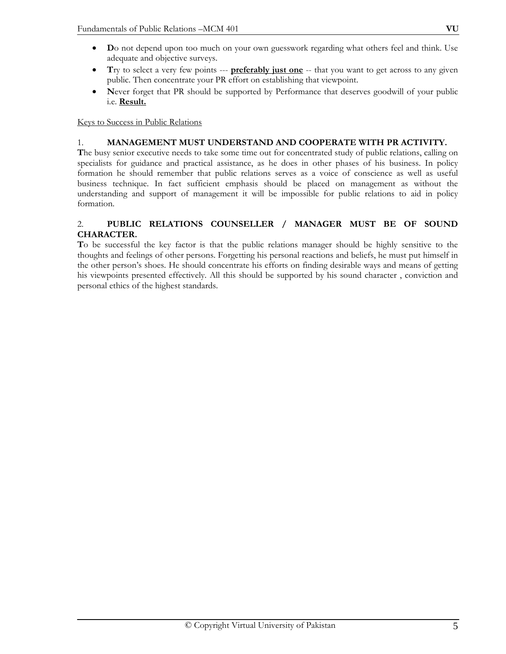- **D**o not depend upon too much on your own guesswork regarding what others feel and think. Use adequate and objective surveys.
- **T**ry to select a very few points --- **preferably just one** -- that you want to get across to any given public. Then concentrate your PR effort on establishing that viewpoint.
- Never forget that PR should be supported by Performance that deserves goodwill of your public i.e. **Result.**

## Keys to Success in Public Relations

## 1. **MANAGEMENT MUST UNDERSTAND AND COOPERATE WITH PR ACTIVITY.**

**T**he busy senior executive needs to take some time out for concentrated study of public relations, calling on specialists for guidance and practical assistance, as he does in other phases of his business. In policy formation he should remember that public relations serves as a voice of conscience as well as useful business technique. In fact sufficient emphasis should be placed on management as without the understanding and support of management it will be impossible for public relations to aid in policy formation.

## 2. **PUBLIC RELATIONS COUNSELLER / MANAGER MUST BE OF SOUND CHARACTER.**

**T**o be successful the key factor is that the public relations manager should be highly sensitive to the thoughts and feelings of other persons. Forgetting his personal reactions and beliefs, he must put himself in the other person's shoes. He should concentrate his efforts on finding desirable ways and means of getting his viewpoints presented effectively. All this should be supported by his sound character , conviction and personal ethics of the highest standards.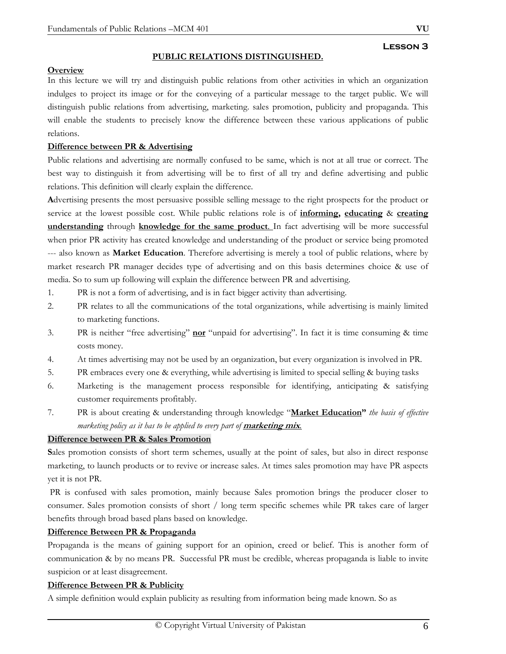#### **PUBLIC RELATIONS DISTINGUISHED.**

#### **Overview**

In this lecture we will try and distinguish public relations from other activities in which an organization indulges to project its image or for the conveying of a particular message to the target public. We will distinguish public relations from advertising, marketing. sales promotion, publicity and propaganda. This will enable the students to precisely know the difference between these various applications of public relations.

#### **Difference between PR & Advertising**

Public relations and advertising are normally confused to be same, which is not at all true or correct. The best way to distinguish it from advertising will be to first of all try and define advertising and public relations. This definition will clearly explain the difference.

**A**dvertising presents the most persuasive possible selling message to the right prospects for the product or service at the lowest possible cost. While public relations role is of **informing, educating** & **creating understanding** through **knowledge for the same product**. In fact advertising will be more successful when prior PR activity has created knowledge and understanding of the product or service being promoted --- also known as **Market Education**. Therefore advertising is merely a tool of public relations, where by market research PR manager decides type of advertising and on this basis determines choice & use of media. So to sum up following will explain the difference between PR and advertising.

- 1. PR is not a form of advertising, and is in fact bigger activity than advertising.
- 2. PR relates to all the communications of the total organizations, while advertising is mainly limited to marketing functions.
- 3. PR is neither "free advertising" **nor** "unpaid for advertising". In fact it is time consuming & time costs money.
- 4. At times advertising may not be used by an organization, but every organization is involved in PR.
- 5. PR embraces every one & everything, while advertising is limited to special selling & buying tasks
- 6. Marketing is the management process responsible for identifying, anticipating & satisfying customer requirements profitably.
- 7. PR is about creating & understanding through knowledge "**Market Education"** *the basis of effective marketing policy as it has to be applied to every part of marketing mix.*

#### **Difference between PR & Sales Promotion**

**S**ales promotion consists of short term schemes, usually at the point of sales, but also in direct response marketing, to launch products or to revive or increase sales. At times sales promotion may have PR aspects yet it is not PR.

 PR is confused with sales promotion, mainly because Sales promotion brings the producer closer to consumer. Sales promotion consists of short / long term specific schemes while PR takes care of larger benefits through broad based plans based on knowledge.

#### **Difference Between PR & Propaganda**

Propaganda is the means of gaining support for an opinion, creed or belief. This is another form of communication & by no means PR. Successful PR must be credible, whereas propaganda is liable to invite suspicion or at least disagreement.

#### **Difference Between PR & Publicity**

A simple definition would explain publicity as resulting from information being made known. So as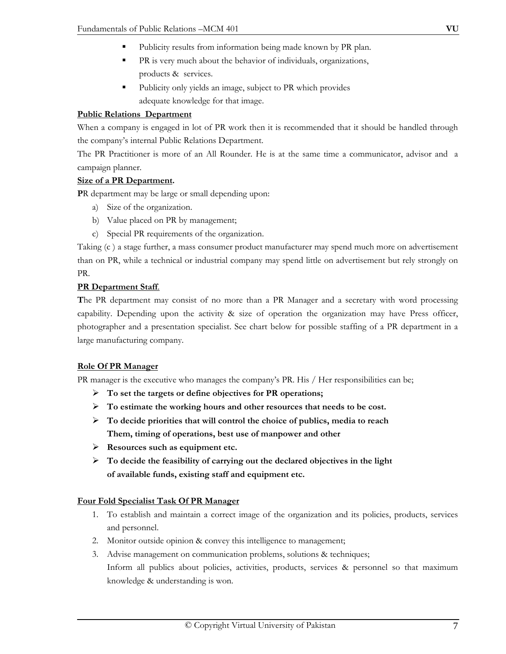- Publicity results from information being made known by PR plan.
- PR is very much about the behavior of individuals, organizations, products & services.
- Publicity only yields an image, subject to PR which provides adequate knowledge for that image.

## **Public Relations Department**

When a company is engaged in lot of PR work then it is recommended that it should be handled through the company's internal Public Relations Department.

The PR Practitioner is more of an All Rounder. He is at the same time a communicator, advisor and a campaign planner.

## **Size of a PR Department.**

**P**R department may be large or small depending upon:

- a) Size of the organization.
- b) Value placed on PR by management;
- c) Special PR requirements of the organization.

Taking (c ) a stage further, a mass consumer product manufacturer may spend much more on advertisement than on PR, while a technical or industrial company may spend little on advertisement but rely strongly on PR.

## **PR Department Staff**.

**T**he PR department may consist of no more than a PR Manager and a secretary with word processing capability. Depending upon the activity & size of operation the organization may have Press officer, photographer and a presentation specialist. See chart below for possible staffing of a PR department in a large manufacturing company.

## **Role Of PR Manager**

PR manager is the executive who manages the company's PR. His / Her responsibilities can be;

- ¾ **To set the targets or define objectives for PR operations;**
- ¾ **To estimate the working hours and other resources that needs to be cost.**
- ¾ **To decide priorities that will control the choice of publics, media to reach Them, timing of operations, best use of manpower and other**
- ¾ **Resources such as equipment etc.**
- ¾ **To decide the feasibility of carrying out the declared objectives in the light of available funds, existing staff and equipment etc.**

## **Four Fold Specialist Task Of PR Manager**

- 1. To establish and maintain a correct image of the organization and its policies, products, services and personnel.
- 2. Monitor outside opinion & convey this intelligence to management;
- 3. Advise management on communication problems, solutions & techniques; Inform all publics about policies, activities, products, services & personnel so that maximum knowledge & understanding is won.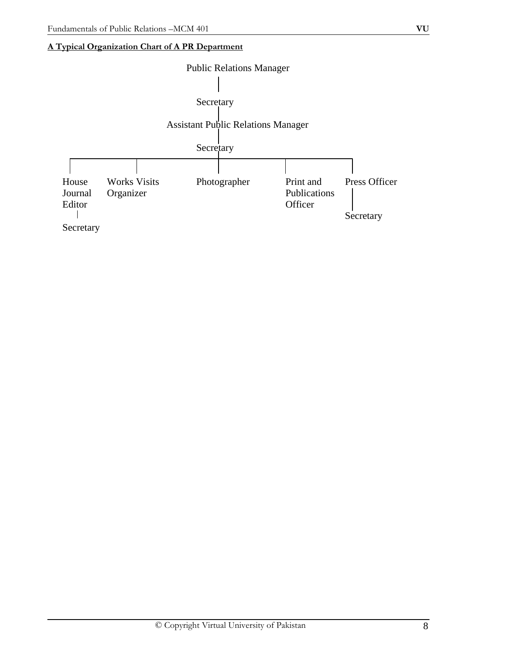# **A Typical Organization Chart of A PR Department**

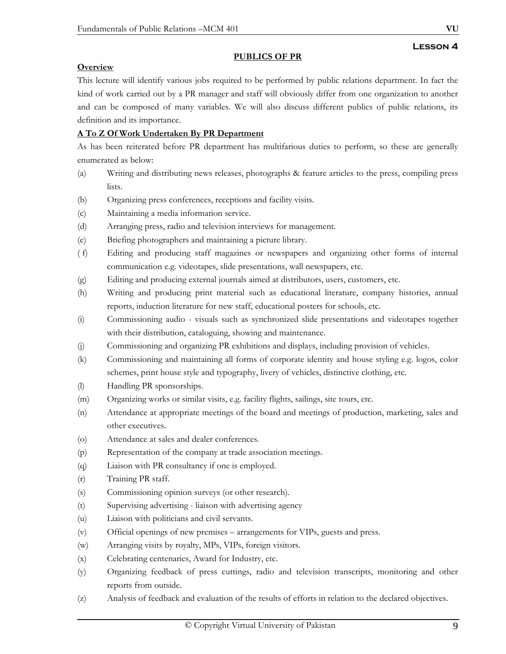### **PUBLICS OF PR**

## **Overview**

This lecture will identify various jobs required to be performed by public relations department. In fact the kind of work carried out by a PR manager and staff will obviously differ from one organization to another and can be composed of many variables. We will also discuss different publics of public relations, its definition and its importance.

## **A To Z Of Work Undertaken By PR Department**

As has been reiterated before PR department has multifarious duties to perform, so these are generally enumerated as below:

- (a) Writing and distributing news releases, photographs & feature articles to the press, compiling press lists.
- (b) Organizing press conferences, receptions and facility visits.
- (c) Maintaining a media information service.
- (d) Arranging press, radio and television interviews for management.
- (e) Briefing photographers and maintaining a picture library.
- ( f) Editing and producing staff magazines or newspapers and organizing other forms of internal communication e.g. videotapes, slide presentations, wall newspapers, etc.
- (g) Editing and producing external journals aimed at distributors, users, customers, etc.
- (h) Writing and producing print material such as educational literature, company histories, annual reports, induction literature for new staff, educational posters for schools, etc.
- (i) Commissioning audio visuals such as synchronized slide presentations and videotapes together with their distribution, cataloguing, showing and maintenance.
- (j) Commissioning and organizing PR exhibitions and displays, including provision of vehicles.
- (k) Commissioning and maintaining all forms of corporate identity and house styling e.g. logos, color schemes, print house style and typography, livery of vehicles, distinctive clothing, etc.
- (l) Handling PR sponsorships.
- (m) Organizing works or similar visits, e.g. facility flights, sailings, site tours, etc.
- (n) Attendance at appropriate meetings of the board and meetings of production, marketing, sales and other executives.
- (o) Attendance at sales and dealer conferences.
- (p) Representation of the company at trade association meetings.
- (q) Liaison with PR consultancy if one is employed.
- (r) Training PR staff.
- (s) Commissioning opinion surveys (or other research).
- (t) Supervising advertising liaison with advertising agency
- (u) Liaison with politicians and civil servants.
- (v) Official openings of new premises arrangements for VIPs, guests and press.
- (w) Arranging visits by royalty, MPs, VIPs, foreign visitors.
- (x) Celebrating centenaries, Award for Industry, etc.
- (y) Organizing feedback of press cuttings, radio and television transcripts, monitoring and other reports from outside.
- (z) Analysis of feedback and evaluation of the results of efforts in relation to the declared objectives.

**Lesson 4**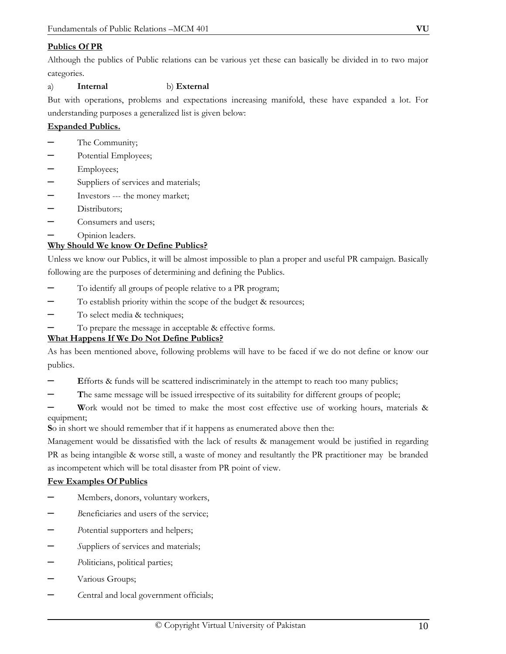## **Publics Of PR**

Although the publics of Public relations can be various yet these can basically be divided in to two major categories.

## a) **Internal** b) **External**

But with operations, problems and expectations increasing manifold, these have expanded a lot. For understanding purposes a generalized list is given below:

## **Expanded Publics.**

- The Community;
- Potential Employees;
- Employees;
- Suppliers of services and materials;
- Investors --- the money market;
- Distributors;
- Consumers and users;
- Opinion leaders.

## **Why Should We know Or Define Publics?**

Unless we know our Publics, it will be almost impossible to plan a proper and useful PR campaign. Basically following are the purposes of determining and defining the Publics.

- To identify all groups of people relative to a PR program;
- To establish priority within the scope of the budget & resources;
- To select media & techniques;
- To prepare the message in acceptable & effective forms.

#### **What Happens If We Do Not Define Publics?**

As has been mentioned above, following problems will have to be faced if we do not define or know our publics.

- **E**fforts & funds will be scattered indiscriminately in the attempt to reach too many publics;
- The same message will be issued irrespective of its suitability for different groups of people;

– **W**ork would not be timed to make the most cost effective use of working hours, materials & equipment;

**S**o in short we should remember that if it happens as enumerated above then the:

Management would be dissatisfied with the lack of results & management would be justified in regarding PR as being intangible & worse still, a waste of money and resultantly the PR practitioner may be branded as incompetent which will be total disaster from PR point of view.

#### **Few Examples Of Publics**

- Members, donors, voluntary workers,
- – *B*eneficiaries and users of the service;
- – *P*otential supporters and helpers;
- – *S*uppliers of services and materials;
- – *P*oliticians, political parties;
- Various Groups;
- – *C*entral and local government officials;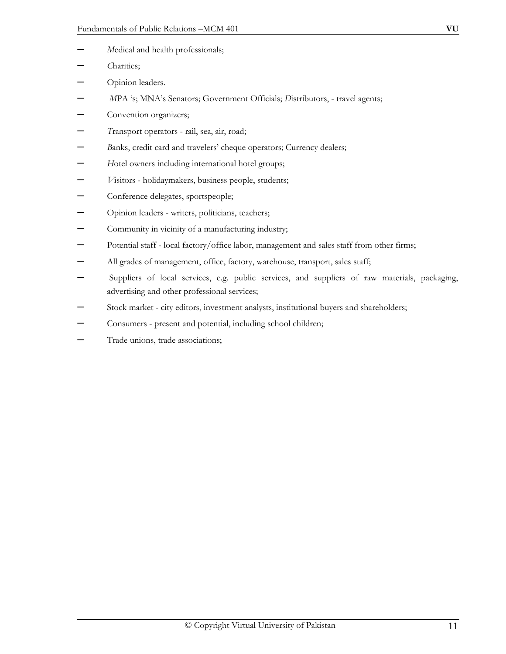- – *M*edical and health professionals;
- – *C*harities;
- Opinion leaders.
- – *M*PA 's; MNA's Senators; Government Officials; *D*istributors, travel agents;
- Convention organizers;
- – *T*ransport operators rail, sea, air, road;
- – *B*anks, credit card and travelers' cheque operators; Currency dealers;
- – *H*otel owners including international hotel groups;
- – *V*isitors holidaymakers, business people, students;
- Conference delegates, sportspeople;
- Opinion leaders writers, politicians, teachers;
- Community in vicinity of a manufacturing industry;
- Potential staff local factory/office labor, management and sales staff from other firms;
- All grades of management, office, factory, warehouse, transport, sales staff;
- Suppliers of local services, e.g. public services, and suppliers of raw materials, packaging, advertising and other professional services;
- Stock market city editors, investment analysts, institutional buyers and shareholders;
- Consumers present and potential, including school children;
- Trade unions, trade associations;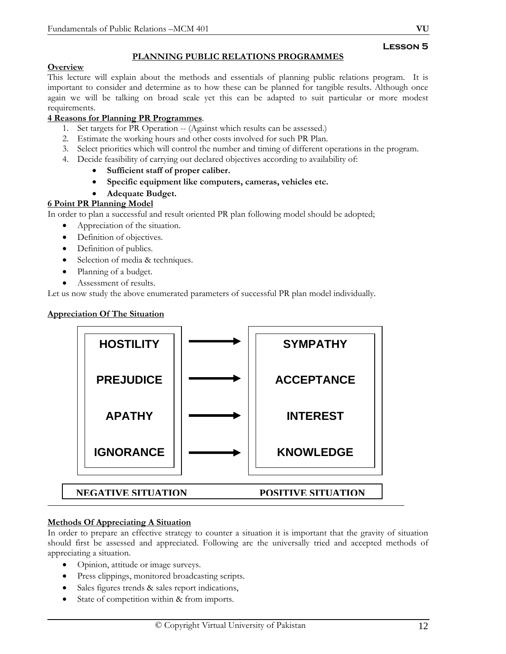## **PLANNING PUBLIC RELATIONS PROGRAMMES**

### **Overview**

This lecture will explain about the methods and essentials of planning public relations program. It is important to consider and determine as to how these can be planned for tangible results. Although once again we will be talking on broad scale yet this can be adapted to suit particular or more modest requirements.

## **4 Reasons for Planning PR Programmes**.

- 1. Set targets for PR Operation -- (Against which results can be assessed.)
- 2. Estimate the working hours and other costs involved for such PR Plan.
- 3. Select priorities which will control the number and timing of different operations in the program.
- 4. Decide feasibility of carrying out declared objectives according to availability of:
	- **Sufficient staff of proper caliber.**
	- **Specific equipment like computers, cameras, vehicles etc.**
	- **Adequate Budget.**

## **6 Point PR Planning Model**

In order to plan a successful and result oriented PR plan following model should be adopted;

- Appreciation of the situation.
- Definition of objectives.
- Definition of publics.
- Selection of media & techniques.
- Planning of a budget.
- Assessment of results.

Let us now study the above enumerated parameters of successful PR plan model individually.

## **Appreciation Of The Situation**



## **Methods Of Appreciating A Situation**

In order to prepare an effective strategy to counter a situation it is important that the gravity of situation should first be assessed and appreciated. Following are the universally tried and accepted methods of appreciating a situation.

- Opinion, attitude or image surveys.
- Press clippings, monitored broadcasting scripts.
- Sales figures trends & sales report indications,
- State of competition within & from imports.

**Lesson 5**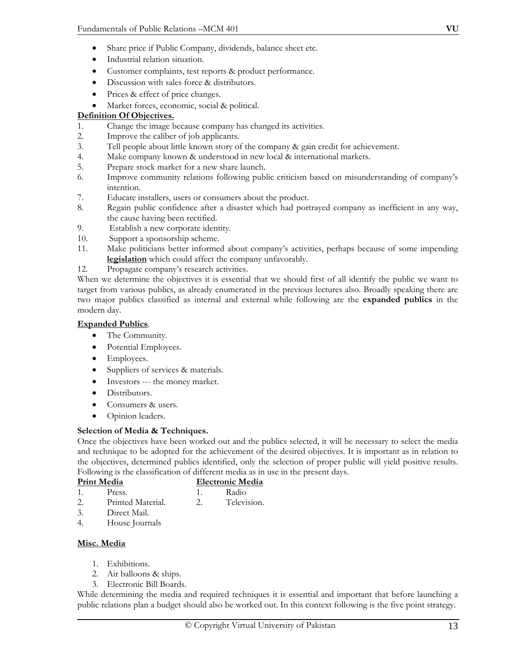- Share price if Public Company, dividends, balance sheet etc.
- Industrial relation situation.
- Customer complaints, test reports & product performance.
- Discussion with sales force & distributors.
- Prices & effect of price changes.
- Market forces, economic, social & political.

## **Definition Of Objectives.**

- 1. Change the image because company has changed its activities.
- 2. Improve the caliber of job applicants.
- 3. Tell people about little known story of the company & gain credit for achievement.
- 4. Make company known & understood in new local & international markets.
- 5. Prepare stock market for a new share launch.
- 6. Improve community relations following public criticism based on misunderstanding of company's intention.
- 7. Educate installers, users or consumers about the product.
- 8. Regain public confidence after a disaster which had portrayed company as inefficient in any way, the cause having been rectified.
- 9. Establish a new corporate identity.
- 10. Support a sponsorship scheme.
- 11. Make politicians better informed about company's activities, perhaps because of some impending **legislation** which could affect the company unfavorably.
- 12. Propagate company's research activities.

When we determine the objectives it is essential that we should first of all identify the public we want to target from various publics, as already enumerated in the previous lectures also. Broadly speaking there are two major publics classified as internal and external while following are the **expanded publics** in the modern day.

## **Expanded Publics**.

- The Community.
- Potential Employees.
- Employees.
- Suppliers of services & materials.
- Investors --- the money market.
- Distributors.
- Consumers & users.
- Opinion leaders.

## **Selection of Media & Techniques.**

Once the objectives have been worked out and the publics selected, it will be necessary to select the media and technique to be adopted for the achievement of the desired objectives. It is important as in relation to the objectives, determined publics identified, only the selection of proper public will yield positive results. Following is the classification of different media as in use in the present days.

- **Print Media Electronic Media**
- 1. Press. 1. Radio
- 2. Printed Material. 2. Television.
- 3. Direct Mail.
- 4. House Journals

## **Misc. Media**

- 1. Exhibitions.
- 2. Air balloons & ships.
- 3. Electronic Bill Boards.

While determining the media and required techniques it is essential and important that before launching a public relations plan a budget should also be worked out. In this context following is the five point strategy.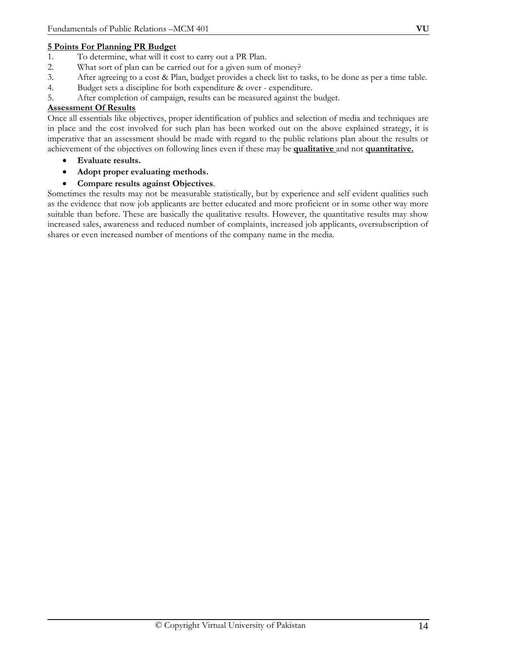## **5 Points For Planning PR Budget**

- 1. To determine, what will it cost to carry out a PR Plan.
- 2. What sort of plan can be carried out for a given sum of money?
- 3. After agreeing to a cost & Plan, budget provides a check list to tasks, to be done as per a time table.
- 4. Budget sets a discipline for both expenditure & over expenditure.
- 5. After completion of campaign, results can be measured against the budget.

### **Assessment Of Results**

Once all essentials like objectives, proper identification of publics and selection of media and techniques are in place and the cost involved for such plan has been worked out on the above explained strategy, it is imperative that an assessment should be made with regard to the public relations plan about the results or achievement of the objectives on following lines even if these may be **qualitative** and not **quantitative.**

- **Evaluate results.**
- **Adopt proper evaluating methods.**
- **Compare results against Objectives**.

Sometimes the results may not be measurable statistically, but by experience and self evident qualities such as the evidence that now job applicants are better educated and more proficient or in some other way more suitable than before. These are basically the qualitative results. However, the quantitative results may show increased sales, awareness and reduced number of complaints, increased job applicants, oversubscription of shares or even increased number of mentions of the company name in the media.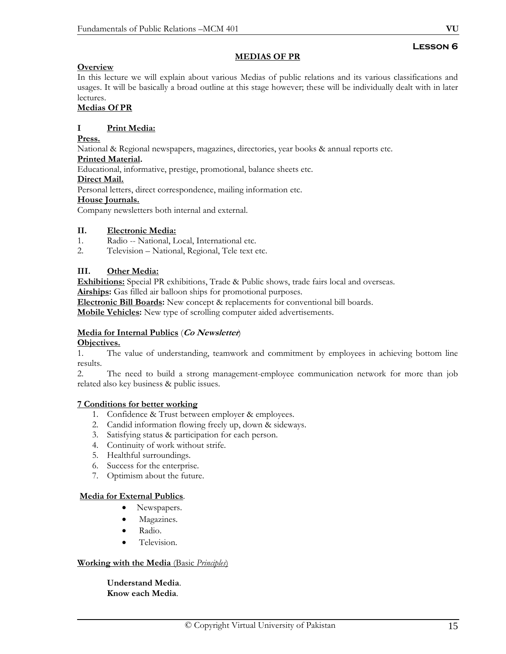# **Lesson 6**

### **MEDIAS OF PR**

## **Overview**

In this lecture we will explain about various Medias of public relations and its various classifications and usages. It will be basically a broad outline at this stage however; these will be individually dealt with in later lectures.

## **Medias Of PR**

## **I Print Media:**

**Press.** 

National & Regional newspapers, magazines, directories, year books & annual reports etc.

## **Printed Material.**

Educational, informative, prestige, promotional, balance sheets etc.

#### **Direct Mail.**

Personal letters, direct correspondence, mailing information etc.

#### **House Journals.**

Company newsletters both internal and external.

## **II. Electronic Media:**

- 1. Radio -- National, Local, International etc.
- 2. Television National, Regional, Tele text etc.

## **III. Other Media:**

**Exhibitions:** Special PR exhibitions, Trade & Public shows, trade fairs local and overseas.

**Airships:** Gas filled air balloon ships for promotional purposes.

**Electronic Bill Boards:** New concept & replacements for conventional bill boards.

**Mobile Vehicles:** New type of scrolling computer aided advertisements.

## **Media for Internal Publics** (**Co Newsletter**)

#### **Objectives.**

1. The value of understanding, teamwork and commitment by employees in achieving bottom line results.

2. The need to build a strong management-employee communication network for more than job related also key business & public issues.

## **7 Conditions for better working**

- 1. Confidence & Trust between employer & employees.
- 2. Candid information flowing freely up, down & sideways.
- 3. Satisfying status & participation for each person.
- 4. Continuity of work without strife.
- 5. Healthful surroundings.
- 6. Success for the enterprise.
- 7. Optimism about the future.

## **Media for External Publics**.

- Newspapers.
- Magazines.
- Radio.
- Television.

#### **Working with the Media** (Basic *Principles*)

**Understand Media**. **Know each Media**.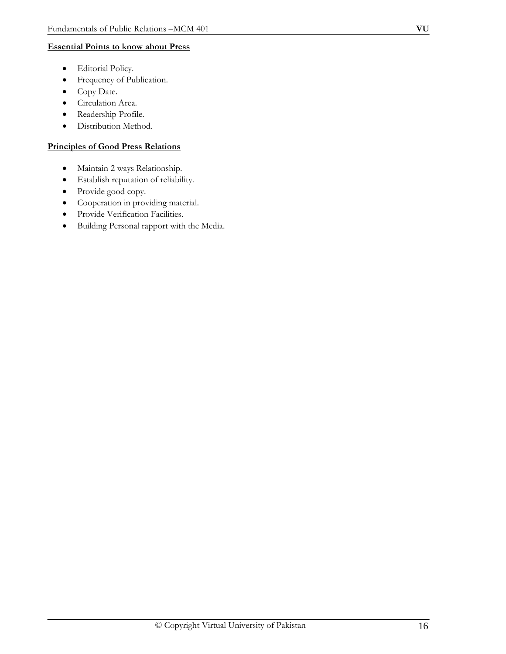## **Essential Points to know about Press**

- Editorial Policy.
- Frequency of Publication.
- Copy Date.
- Circulation Area.
- Readership Profile.
- Distribution Method.

## **Principles of Good Press Relations**

- Maintain 2 ways Relationship.
- Establish reputation of reliability.
- Provide good copy.
- Cooperation in providing material.
- Provide Verification Facilities.
- Building Personal rapport with the Media.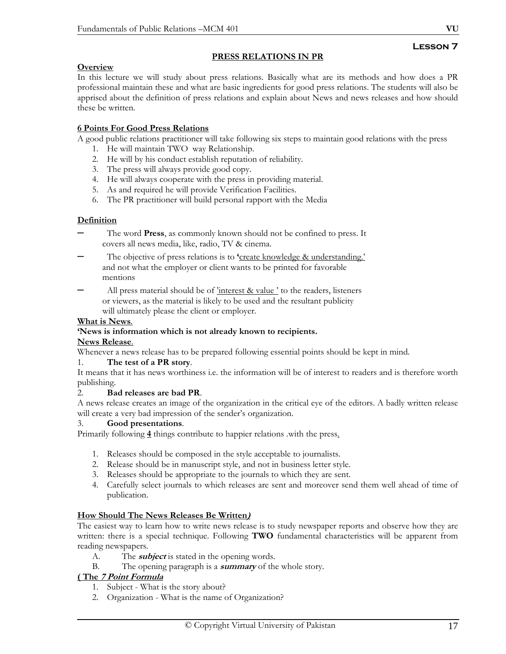## **PRESS RELATIONS IN PR**

## **Overview**

In this lecture we will study about press relations. Basically what are its methods and how does a PR professional maintain these and what are basic ingredients for good press relations. The students will also be apprised about the definition of press relations and explain about News and news releases and how should these be written.

## **6 Points For Good Press Relations**

A good public relations practitioner will take following six steps to maintain good relations with the press

- 1. He will maintain TWO way Relationship.
- 2. He will by his conduct establish reputation of reliability.
- 3. The press will always provide good copy.
- 4. He will always cooperate with the press in providing material.
- 5. As and required he will provide Verification Facilities.
- 6. The PR practitioner will build personal rapport with the Media

## **Definition**

- The word **Press**, as commonly known should not be confined to press. It covers all news media, like, radio, TV & cinema.
- The objective of press relations is to **'**create knowledge & understanding.' and not what the employer or client wants to be printed for favorable mentions

All press material should be of 'interest & value' to the readers, listeners or viewers, as the material is likely to be used and the resultant publicity will ultimately please the client or employer.

## **What is News**.

## **'News is information which is not already known to recipients.**

#### **News Release**.

Whenever a news release has to be prepared following essential points should be kept in mind.

## 1. **The test of a PR story**.

It means that it has news worthiness i.e. the information will be of interest to readers and is therefore worth publishing.

#### 2. **Bad releases are bad PR**.

A news release creates an image of the organization in the critical eye of the editors. A badly written release will create a very bad impression of the sender's organization.

#### 3. **Good presentations**.

Primarily following **4** things contribute to happier relations .with the press.

- 1. Releases should be composed in the style acceptable to journalists.
- 2. Release should be in manuscript style, and not in business letter style.
- 3. Releases should be appropriate to the journals to which they are sent.
- 4. Carefully select journals to which releases are sent and moreover send them well ahead of time of publication.

## **How Should The News Releases Be Written)**

The easiest way to learn how to write news release is to study newspaper reports and observe how they are written: there is a special technique. Following **TWO** fundamental characteristics will be apparent from reading newspapers.

- A. The **subject** is stated in the opening words.
- B. The opening paragraph is a **summary** of the whole story.

## **( The 7 Point Formula**

- 1. Subject What is the story about?
- 2. Organization What is the name of Organization?

**Lesson 7**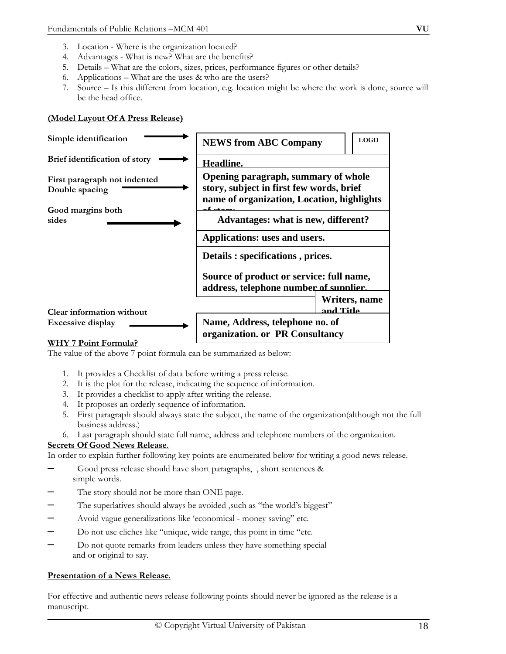- 4. Advantages What is new? What are the benefits?
- 5. Details What are the colors, sizes, prices, performance figures or other details?
- 6. Applications What are the uses & who are the users?
- 7. Source Is this different from location, e.g. location might be where the work is done, source will be the head office.

#### **(Model Layout Of A Press Release)**



#### **WHY 7 Point Formula?**

The value of the above 7 point formula can be summarized as below:

- 1. It provides a Checklist of data before writing a press release.
- 2. It is the plot for the release, indicating the sequence of information.
- 3. It provides a checklist to apply after writing the release.
- 4. It proposes an orderly sequence of information.
- 5. First paragraph should always state the subject, the name of the organization(although not the full business address.)
- 6. Last paragraph should state full name, address and telephone numbers of the organization.

#### **Secrets Of Good News Release**.

In order to explain further following key points are enumerated below for writing a good news release.

- Good press release should have short paragraphs, , short sentences & simple words.
- The story should not be more than ONE page.
- The superlatives should always be avoided, such as "the world's biggest"
- Avoid vague generalizations like 'economical money saving" etc.
- Do not use cliches like "unique, wide range, this point in time "etc.
- Do not quote remarks from leaders unless they have something special and or original to say.

#### **Presentation of a News Release**.

For effective and authentic news release following points should never be ignored as the release is a manuscript.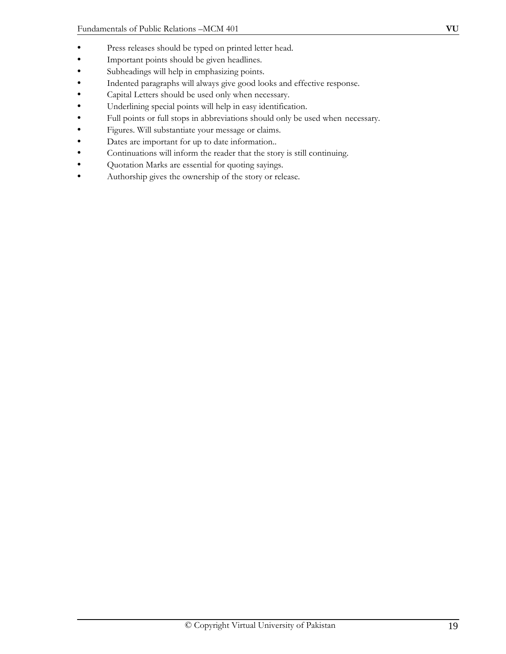- Important points should be given headlines.
- Subheadings will help in emphasizing points.
- Indented paragraphs will always give good looks and effective response.
- Capital Letters should be used only when necessary.
- Underlining special points will help in easy identification.
- Full points or full stops in abbreviations should only be used when necessary.
- Figures. Will substantiate your message or claims.
- Dates are important for up to date information..
- Continuations will inform the reader that the story is still continuing.
- Quotation Marks are essential for quoting sayings.
- Authorship gives the ownership of the story or release.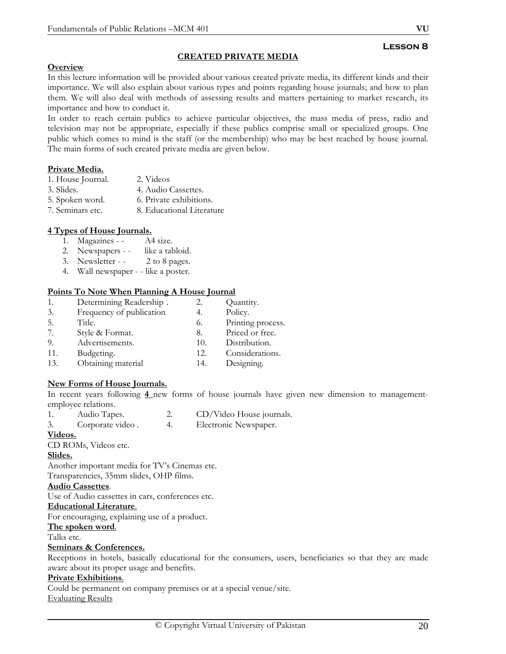## **Lesson 8**

#### **Overview**

In this lecture information will be provided about various created private media, its different kinds and their importance. We will also explain about various types and points regarding house journals; and how to plan them. We will also deal with methods of assessing results and matters pertaining to market research, its

**CREATED PRIVATE MEDIA**

importance and how to conduct it.

In order to reach certain publics to achieve particular objectives, the mass media of press, radio and television may not be appropriate, especially if these publics comprise small or specialized groups. One public which comes to mind is the staff (or the membership) who may be best reached by house journal. The main forms of such created private media are given below.

#### **Private Media.**

| 1. House Journal. | 2. Videos                 |
|-------------------|---------------------------|
| 3. Slides.        | 4. Audio Cassettes.       |
| 5. Spoken word.   | 6. Private exhibitions.   |
| 7. Seminars etc.  | 8. Educational Literature |

## **4 Types of House Journals.**

- 1. Magazines A4 size.
- 2. Newspapers - like a tabloid.
- 3. Newsletter - 2 to 8 pages.
- 4. Wall newspaper - like a poster.

#### **Points To Note When Planning A House Journal**

1. Determining Readership . 2. Quantity. 3. Frequency of publication 4. Policy. 5. Title. 6. Printing process. 7. Style & Format. 8. Priced or free. 9. Advertisements. 10. Distribution. 11. Budgeting. 12. Considerations. 13. Obtaining material 14. Designing.

#### **New Forms of House Journals.**

In recent years following **4** new forms of house journals have given new dimension to managementemployee relations.

- 1. Audio Tapes. 2. CD/Video House journals.
- 3. Corporate video . 4. Electronic Newspaper.

# **Videos.**

CD ROMs, Videos etc.

#### **Slides.**

Another important media for TV's Cinemas etc.

Transparencies, 35mm slides, OHP films.

#### **Audio Cassettes**.

Use of Audio cassettes in cars, conferences etc.

#### **Educational Literature**.

For encouraging, explaining use of a product.

#### **The spoken word**.

Talks etc.

#### **Seminars & Conferences.**

Receptions in hotels, basically educational for the consumers, users, beneficiaries so that they are made aware about its proper usage and benefits.

#### **Private Exhibitions**.

Could be permanent on company premises or at a special venue/site. Evaluating Results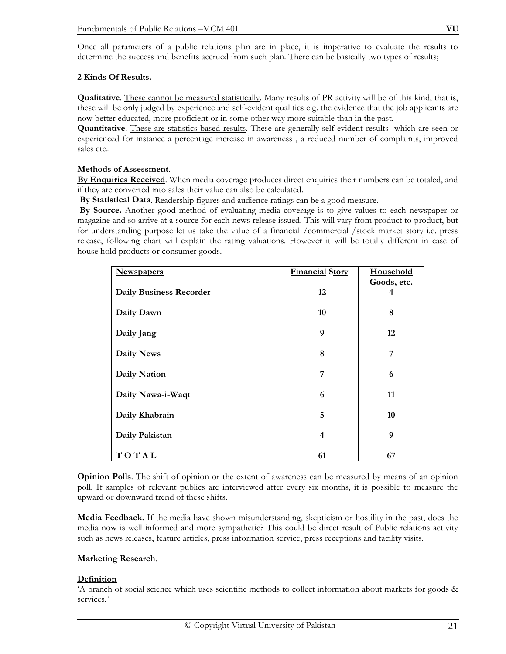Once all parameters of a public relations plan are in place, it is imperative to evaluate the results to determine the success and benefits accrued from such plan. There can be basically two types of results;

#### **2 Kinds Of Results.**

**Qualitative**. These cannot be measured statistically. Many results of PR activity will be of this kind, that is, these will be only judged by experience and self-evident qualities e.g. the evidence that the job applicants are now better educated, more proficient or in some other way more suitable than in the past.

**Quantitative**. These are statistics based results. These are generally self evident results which are seen or experienced for instance a percentage increase in awareness , a reduced number of complaints, improved sales etc..

#### **Methods of Assessment**.

**By Enquiries Received**. When media coverage produces direct enquiries their numbers can be totaled, and if they are converted into sales their value can also be calculated.

**By Statistical Data**. Readership figures and audience ratings can be a good measure.

**By Source.** Another good method of evaluating media coverage is to give values to each newspaper or magazine and so arrive at a source for each news release issued. This will vary from product to product, but for understanding purpose let us take the value of a financial /commercial /stock market story i.e. press release, following chart will explain the rating valuations. However it will be totally different in case of house hold products or consumer goods.

| Newspapers                     | <b>Financial Story</b> | Household        |
|--------------------------------|------------------------|------------------|
| <b>Daily Business Recorder</b> | 12                     | Goods, etc.<br>4 |
| Daily Dawn                     | 10                     | 8                |
| Daily Jang                     | 9                      | 12               |
| <b>Daily News</b>              | 8                      | 7                |
| <b>Daily Nation</b>            | 7                      | 6                |
| Daily Nawa-i-Waqt              | 6                      | 11               |
| Daily Khabrain                 | 5                      | 10               |
| Daily Pakistan                 | 4                      | 9                |
| TOTAL                          | 61                     | 67               |

**Opinion Polls**. The shift of opinion or the extent of awareness can be measured by means of an opinion poll. If samples of relevant publics are interviewed after every six months, it is possible to measure the upward or downward trend of these shifts.

**Media Feedback.** If the media have shown misunderstanding, skepticism or hostility in the past, does the media now is well informed and more sympathetic? This could be direct result of Public relations activity such as news releases, feature articles, press information service, press receptions and facility visits.

## **Marketing Research**.

#### **Definition**

'A branch of social science which uses scientific methods to collect information about markets for goods & services*.'*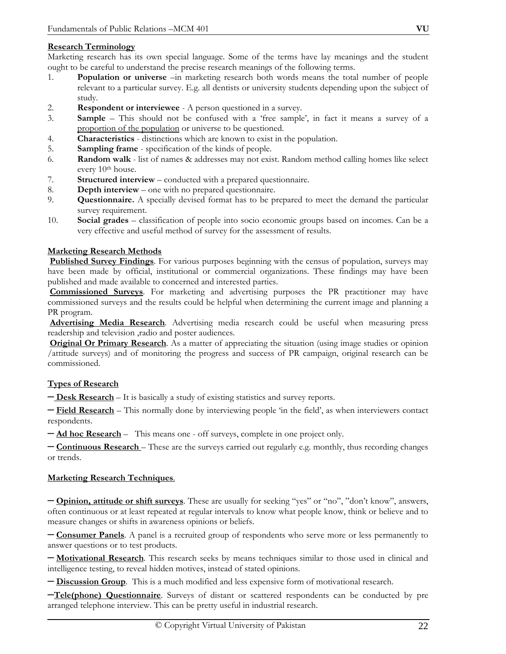## **Research Terminology**

Marketing research has its own special language. Some of the terms have lay meanings and the student ought to be careful to understand the precise research meanings of the following terms.

- 1. **Population or universe** –in marketing research both words means the total number of people relevant to a particular survey. E.g. all dentists or university students depending upon the subject of study.
- 2. **Respondent or interviewee** A person questioned in a survey.
- 3. **Sample** This should not be confused with a 'free sample', in fact it means a survey of a proportion of the population or universe to be questioned.
- 4. **Characteristics** distinctions which are known to exist in the population.
- 5. **Sampling frame** specification of the kinds of people.
- 6. **Random walk** list of names & addresses may not exist. Random method calling homes like select every 10<sup>th</sup> house.
- 7. **Structured interview** conducted with a prepared questionnaire.
- 8. **Depth interview** one with no prepared questionnaire.
- 9. **Questionnaire.** A specially devised format has to be prepared to meet the demand the particular survey requirement.
- 10. **Social grades** classification of people into socio economic groups based on incomes. Can be a very effective and useful method of survey for the assessment of results.

## **Marketing Research Methods**

**Published Survey Findings**. For various purposes beginning with the census of population, surveys may have been made by official, institutional or commercial organizations. These findings may have been published and made available to concerned and interested parties.

**Commissioned Surveys**. For marketing and advertising purposes the PR practitioner may have commissioned surveys and the results could be helpful when determining the current image and planning a PR program.

**Advertising Media Research**. Advertising media research could be useful when measuring press readership and television ,radio and poster audiences.

**Original Or Primary Research**. As a matter of appreciating the situation (using image studies or opinion /attitude surveys) and of monitoring the progress and success of PR campaign, original research can be commissioned.

## **Types of Research**

– **Desk Research** – It is basically a study of existing statistics and survey reports.

– **Field Research** – This normally done by interviewing people 'in the field', as when interviewers contact respondents.

– **Ad hoc Research** – This means one - off surveys, complete in one project only.

– **Continuous Research** – These are the surveys carried out regularly e.g. monthly, thus recording changes or trends.

#### **Marketing Research Techniques**.

– **Opinion, attitude or shift surveys**. These are usually for seeking "yes" or "no", "don't know", answers, often continuous or at least repeated at regular intervals to know what people know, think or believe and to measure changes or shifts in awareness opinions or beliefs.

– **Consumer Panels**. A panel is a recruited group of respondents who serve more or less permanently to answer questions or to test products.

– **Motivational Research**. This research seeks by means techniques similar to those used in clinical and intelligence testing, to reveal hidden motives, instead of stated opinions.

– **Discussion Group**. This is a much modified and less expensive form of motivational research.

–**Tele(phone) Questionnaire**. Surveys of distant or scattered respondents can be conducted by pre arranged telephone interview. This can be pretty useful in industrial research.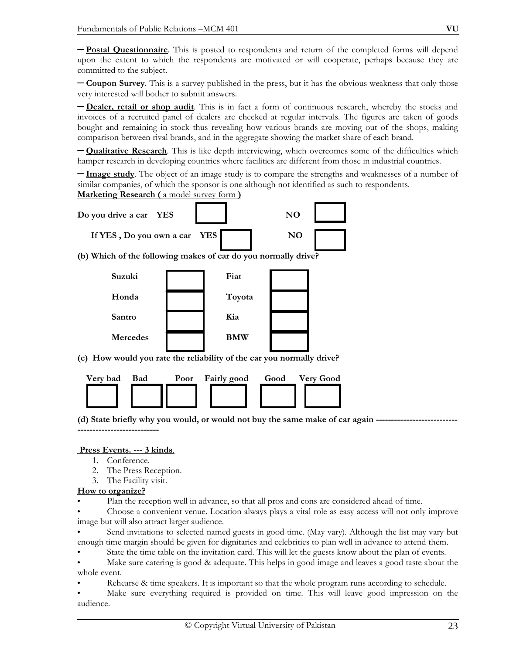– **Postal Questionnaire**. This is posted to respondents and return of the completed forms will depend upon the extent to which the respondents are motivated or will cooperate, perhaps because they are committed to the subject.

– **Coupon Survey**. This is a survey published in the press, but it has the obvious weakness that only those very interested will bother to submit answers.

– **Dealer, retail or shop audit**. This is in fact a form of continuous research, whereby the stocks and invoices of a recruited panel of dealers are checked at regular intervals. The figures are taken of goods bought and remaining in stock thus revealing how various brands are moving out of the shops, making comparison between rival brands, and in the aggregate showing the market share of each brand.

– **Qualitative Research**. This is like depth interviewing, which overcomes some of the difficulties which hamper research in developing countries where facilities are different from those in industrial countries.

– **Image study**. The object of an image study is to compare the strengths and weaknesses of a number of similar companies, of which the sponsor is one although not identified as such to respondents.

**Marketing Research (** a model survey form **)**



**(c) How would you rate the reliability of the car you normally drive?** 



**(d) State briefly why you would, or would not buy the same make of car again --------------------------- ---------------------------** 

#### **Press Events. --- 3 kinds**.

- 1. Conference.
- 2. The Press Reception.
- 3. The Facility visit.

#### **How to organize?**

- Plan the reception well in advance, so that all pros and cons are considered ahead of time.
- Choose a convenient venue. Location always plays a vital role as easy access will not only improve image but will also attract larger audience.
- Send invitations to selected named guests in good time. (May vary). Although the list may vary but enough time margin should be given for dignitaries and celebrities to plan well in advance to attend them.
- State the time table on the invitation card. This will let the guests know about the plan of events.

• Make sure catering is good & adequate. This helps in good image and leaves a good taste about the whole event.

- Rehearse & time speakers. It is important so that the whole program runs according to schedule.
- Make sure everything required is provided on time. This will leave good impression on the audience.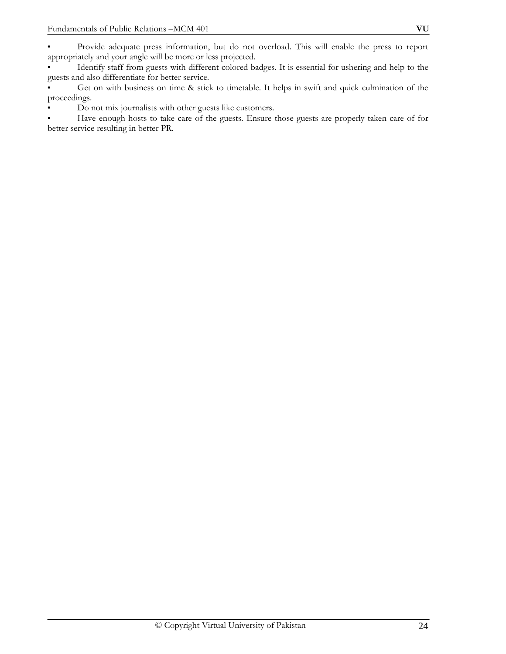• Identify staff from guests with different colored badges. It is essential for ushering and help to the guests and also differentiate for better service.

• Get on with business on time & stick to timetable. It helps in swift and quick culmination of the proceedings.

• Do not mix journalists with other guests like customers.

• Have enough hosts to take care of the guests. Ensure those guests are properly taken care of for better service resulting in better PR.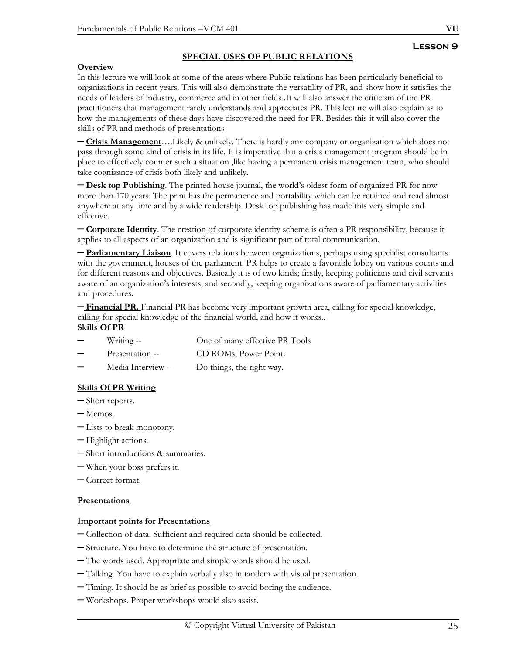## **SPECIAL USES OF PUBLIC RELATIONS**

### **Overview**

In this lecture we will look at some of the areas where Public relations has been particularly beneficial to organizations in recent years. This will also demonstrate the versatility of PR, and show how it satisfies the needs of leaders of industry, commerce and in other fields .It will also answer the criticism of the PR practitioners that management rarely understands and appreciates PR. This lecture will also explain as to how the managements of these days have discovered the need for PR. Besides this it will also cover the skills of PR and methods of presentations

– **Crisis Management**….Likely & unlikely. There is hardly any company or organization which does not pass through some kind of crisis in its life. It is imperative that a crisis management program should be in place to effectively counter such a situation ,like having a permanent crisis management team, who should take cognizance of crisis both likely and unlikely.

– **Desk top Publishing**. The printed house journal, the world's oldest form of organized PR for now more than 170 years. The print has the permanence and portability which can be retained and read almost anywhere at any time and by a wide readership. Desk top publishing has made this very simple and effective.

– **Corporate Identity**. The creation of corporate identity scheme is often a PR responsibility, because it applies to all aspects of an organization and is significant part of total communication.

– **Parliamentary Liaison**. It covers relations between organizations, perhaps using specialist consultants with the government, houses of the parliament. PR helps to create a favorable lobby on various counts and for different reasons and objectives. Basically it is of two kinds; firstly, keeping politicians and civil servants aware of an organization's interests, and secondly; keeping organizations aware of parliamentary activities and procedures.

– **Financial PR.** Financial PR has become very important growth area, calling for special knowledge, calling for special knowledge of the financial world, and how it works..

#### **Skills Of PR**

| $\overline{\phantom{a}}$ | Writing --         | One of many effective PR Tools |
|--------------------------|--------------------|--------------------------------|
| $\overline{\phantom{a}}$ | Presentation --    | CD ROMs, Power Point.          |
|                          | Media Interview -- | Do things, the right way.      |

#### **Skills Of PR Writing**

- Short reports.
- Memos.
- Lists to break monotony.
- Highlight actions.
- Short introductions & summaries.
- When your boss prefers it.
- Correct format.

#### **Presentations**

#### **Important points for Presentations**

- Collection of data. Sufficient and required data should be collected.
- Structure. You have to determine the structure of presentation.
- The words used. Appropriate and simple words should be used.
- Talking. You have to explain verbally also in tandem with visual presentation.
- Timing. It should be as brief as possible to avoid boring the audience.
- Workshops. Proper workshops would also assist.

**Lesson 9**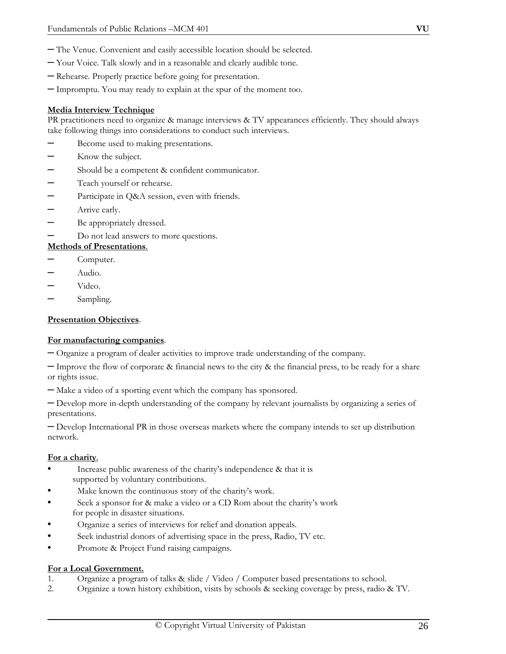- The Venue. Convenient and easily accessible location should be selected.
- Your Voice. Talk slowly and in a reasonable and clearly audible tone.
- Rehearse. Properly practice before going for presentation.
- Impromptu. You may ready to explain at the spur of the moment too.

#### **Media Interview Technique**

PR practitioners need to organize & manage interviews & TV appearances efficiently. They should always take following things into considerations to conduct such interviews.

- Become used to making presentations.
- Know the subject.
- Should be a competent & confident communicator.
- Teach yourself or rehearse.
- Participate in Q&A session, even with friends.
- Arrive early.
- Be appropriately dressed.
- Do not lead answers to more questions.

#### **Methods of Presentations**.

- Computer.
- Audio.
- Video.
- Sampling.

#### **Presentation Objectives**.

#### **For manufacturing companies**.

– Organize a program of dealer activities to improve trade understanding of the company.

 $-$  Improve the flow of corporate & financial news to the city  $\&$  the financial press, to be ready for a share or rights issue.

– Make a video of a sporting event which the company has sponsored.

– Develop more in-depth understanding of the company by relevant journalists by organizing a series of presentations.

– Develop International PR in those overseas markets where the company intends to set up distribution network.

#### **For a charity**.

- Increase public awareness of the charity's independence & that it is supported by voluntary contributions.
- Make known the continuous story of the charity's work.
- Seek a sponsor for & make a video or a CD Rom about the charity's work for people in disaster situations.
- Organize a series of interviews for relief and donation appeals.
- Seek industrial donors of advertising space in the press, Radio, TV etc.
- Promote & Project Fund raising campaigns.

#### **For a Local Government.**

- 1. Organize a program of talks & slide / Video / Computer based presentations to school.
- 2. Organize a town history exhibition, visits by schools & seeking coverage by press, radio & TV.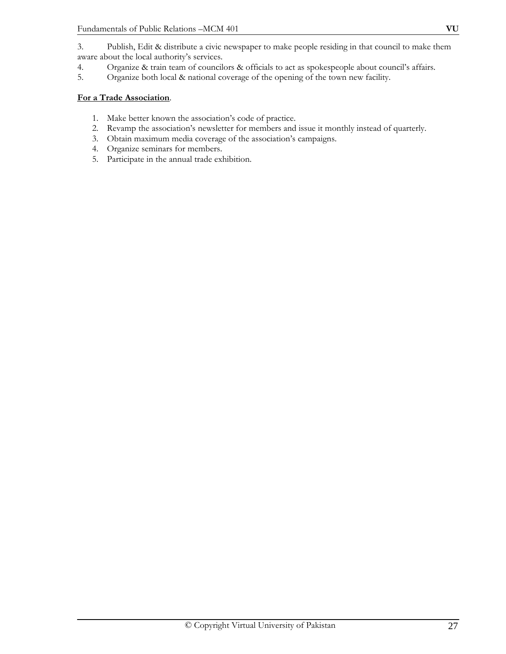3. Publish, Edit & distribute a civic newspaper to make people residing in that council to make them aware about the local authority's services.

- 4. Organize & train team of councilors & officials to act as spokespeople about council's affairs.
- 5. Organize both local & national coverage of the opening of the town new facility.

#### **For a Trade Association**.

- 1. Make better known the association's code of practice.
- 2. Revamp the association's newsletter for members and issue it monthly instead of quarterly.
- 3. Obtain maximum media coverage of the association's campaigns.
- 4. Organize seminars for members.
- 5. Participate in the annual trade exhibition.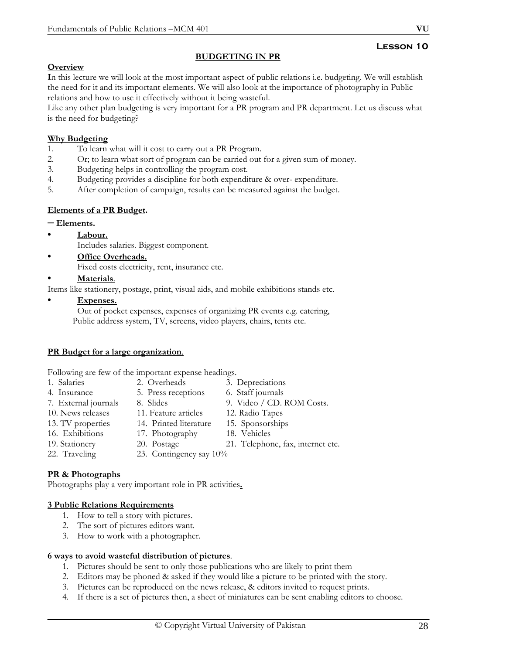## **Lesson 10**

## **BUDGETING IN PR**

## **Overview**

**I**n this lecture we will look at the most important aspect of public relations i.e. budgeting. We will establish the need for it and its important elements. We will also look at the importance of photography in Public relations and how to use it effectively without it being wasteful.

Like any other plan budgeting is very important for a PR program and PR department. Let us discuss what is the need for budgeting?

## **Why Budgeting**

- 1. To learn what will it cost to carry out a PR Program.
- 2. Or; to learn what sort of program can be carried out for a given sum of money.
- 3. Budgeting helps in controlling the program cost.
- 4. Budgeting provides a discipline for both expenditure & over- expenditure.
- 5. After completion of campaign, results can be measured against the budget.

## **Elements of a PR Budget.**

## – **Elements.**

- **Labour.**
	- Includes salaries. Biggest component.
- **Office Overheads.** Fixed costs electricity, rent, insurance etc.

## • **Materials**.

Items like stationery, postage, print, visual aids, and mobile exhibitions stands etc.

## • **Expenses.**

 Out of pocket expenses, expenses of organizing PR events e.g. catering, Public address system, TV, screens, video players, chairs, tents etc.

## **PR Budget for a large organization**.

Following are few of the important expense headings.

- 1. Salaries 2. Overheads 3. Depreciations
- 4. Insurance 5. Press receptions 6. Staff journals
- -
- 
- -
- 16. Exhibitions 17. Photography 18. Vehicles
- -
- 
- 22. Traveling 23. Contingency say 10%

# **PR & Photographs**

Photographs play a very important role in PR activities**.**

# **3 Public Relations Requirements**

- 1. How to tell a story with pictures.
- 2. The sort of pictures editors want.
- 3. How to work with a photographer.

# **6 ways to avoid wasteful distribution of pictures**.

- 1. Pictures should be sent to only those publications who are likely to print them
- 2. Editors may be phoned & asked if they would like a picture to be printed with the story.
- 3. Pictures can be reproduced on the news release, & editors invited to request prints.
- 4. If there is a set of pictures then, a sheet of miniatures can be sent enabling editors to choose.

- 7. External journals 8. Slides 9. Video / CD. ROM Costs. 10. News releases 11. Feature articles 12. Radio Tapes 13. TV properties 14. Printed literature 15. Sponsorships
	-
	-
- 

19. Stationery 20. Postage 21. Telephone, fax, internet etc.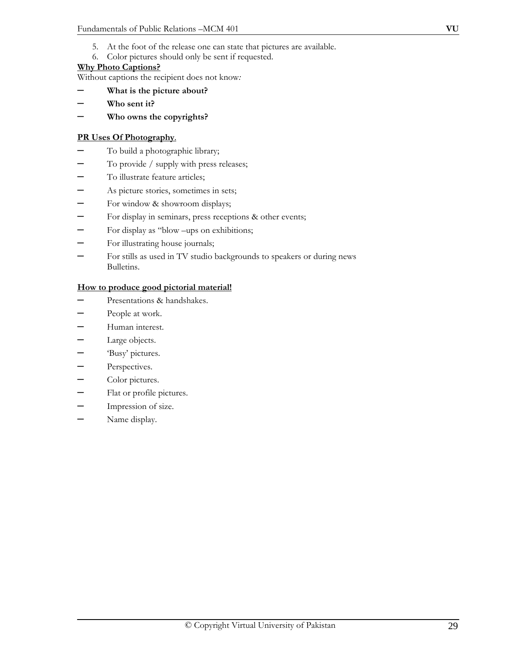- 5. At the foot of the release one can state that pictures are available.
- 6. Color pictures should only be sent if requested.

#### **Why Photo Captions?**

Without captions the recipient does not know*:* 

- **What is the picture about?**
- – **Who sent it?**
- – **Who owns the copyrights?**

#### **PR Uses Of Photography**.

- To build a photographic library;
- To provide / supply with press releases;
- To illustrate feature articles;
- As picture stories, sometimes in sets;
- For window & showroom displays;
- For display in seminars, press receptions & other events;
- For display as "blow –ups on exhibitions;
- For illustrating house journals;
- For stills as used in TV studio backgrounds to speakers or during news Bulletins.

#### **How to produce good pictorial material!**

- Presentations & handshakes.
- People at work.
- Human interest.
- Large objects.
- 'Busy' pictures.
- Perspectives.
- Color pictures.
- Flat or profile pictures.
- Impression of size.
- Name display.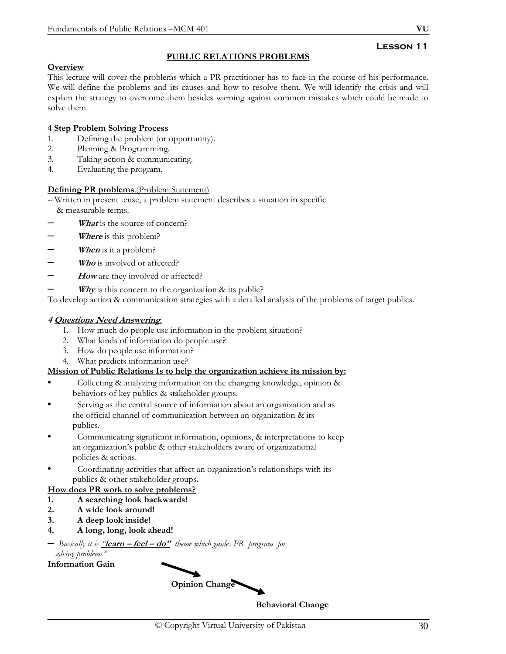#### **Lesson 11 PUBLIC RELATIONS PROBLEMS**

## **Overview**

This lecture will cover the problems which a PR practitioner has to face in the course of his performance. We will define the problems and its causes and how to resolve them. We will identify the crisis and will explain the strategy to overcome them besides warning against common mistakes which could be made to solve them.

## **4 Step Problem Solving Process**

- 1. Defining the problem (or opportunity).
- 2. Planning & Programming.
- 3. Taking action & communicating.
- 4. Evaluating the program.

## **Defining PR problems**.(Problem Statement)

*--* Written in present tense, a problem statement describes a situation in specific & measurable terms.

- *What* is the source of concern?
- *Where* is this problem?
- *When* is it a problem?
- *Who* is involved or affected?
- How are they involved or affected?
- *Why* is this concern to the organization  $\&$  its public?

To develop action & communication strategies with a detailed analysis of the problems of target publics.

## **4 Questions Need Answering***.*

- 1. How much do people use information in the problem situation?
- 2. What kinds of information do people use?
- 3. How do people use information?
- 4. What predicts information use?

#### **Mission of Public Relations Is to help the organization achieve its mission by:**

- Collecting & analyzing information on the changing knowledge, opinion & behaviors of key publics & stakeholder groups.
- Serving as the central source of information about an organization and as the official channel of communication between an organization & its publics.
- Communicating significant information, opinions, & interpretations to keep an organization's public & other stakeholders aware of organizational policies & actions.
- Coordinating activities that affect an organization's relationships with its publics & other stakeholder groups.

## **How does PR work to solve problems?**

- **1. A searching look backwards!**
- **2. A wide look around!**
- **3. A deep look inside!**
- **4. A long, long, look ahead!**

## – *Basically it is "***learn – feel – do"** *theme which guides PR program for solving problems"*

**Information Gain** 

**Opinion Change** 

**Behavioral Change**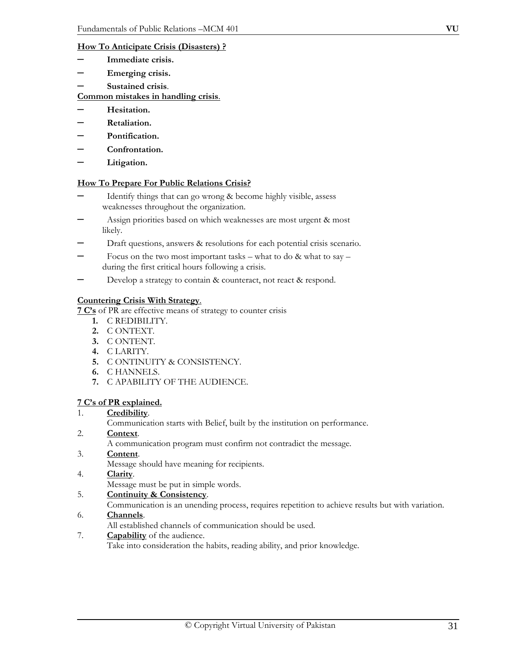#### **How To Anticipate Crisis (Disasters) ?**

- **Immediate crisis.**
- – **Emerging crisis.**
- – **Sustained crisis**.

### **Common mistakes in handling crisis**.

- **Hesitation.**
- – **Retaliation.**
- – **Pontification.**
- – **Confrontation.**
- – **Litigation.**

#### **How To Prepare For Public Relations Crisis?**

- Identify things that can go wrong & become highly visible, assess weaknesses throughout the organization.
- Assign priorities based on which weaknesses are most urgent & most likely.
- Draft questions, answers & resolutions for each potential crisis scenario.
- Focus on the two most important tasks what to do  $&$  what to say during the first critical hours following a crisis.
- Develop a strategy to contain & counteract, not react & respond.

## **Countering Crisis With Strategy**.

**7 C's** of PR are effective means of strategy to counter crisis

- **1.** C REDIBILITY.
- **2.** C ONTEXT.
- **3.** C ONTENT.
- **4.** C LARITY.
- **5.** C ONTINUITY & CONSISTENCY.
- **6.** C HANNELS.
- **7.** C APABILITY OF THE AUDIENCE.

#### **7 C's of PR explained.**

- 1. **Credibility**.
	- Communication starts with Belief, built by the institution on performance.
- 2. **Context**.

A communication program must confirm not contradict the message.

- 3. **Content**.
	- Message should have meaning for recipients.
- 4. **Clarity**.

Message must be put in simple words.

- 5. **Continuity & Consistency**.
	- Communication is an unending process, requires repetition to achieve results but with variation.
- 6. **Channels**.
	- All established channels of communication should be used.
- 7. **Capability** of the audience. Take into consideration the habits, reading ability, and prior knowledge.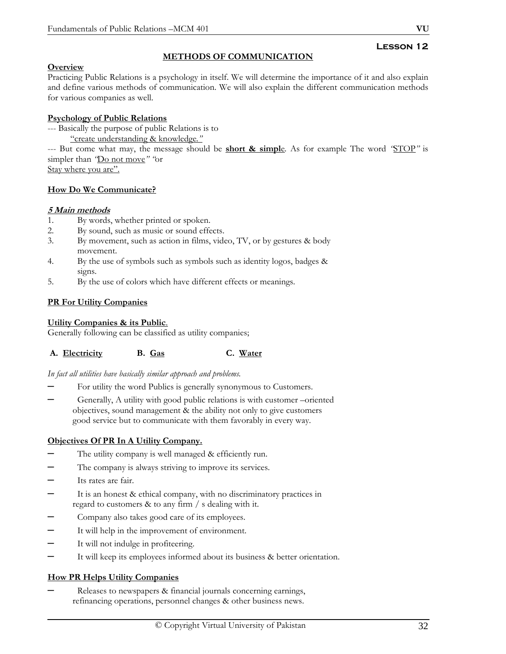## **Lesson 12**

## **Overview**

Practicing Public Relations is a psychology in itself. We will determine the importance of it and also explain and define various methods of communication. We will also explain the different communication methods for various companies as well.

**METHODS OF COMMUNICATION**

## **Psychology of Public Relations**

- --- Basically the purpose of public Relations is to
	- "create understanding & knowledge*."*

--- But come what may, the message should be **short & simpl**e*.* As for example The word *"*STOP*"* is simpler than *"*Do not move*" "*or

Stay where you are".

## **How Do We Communicate?**

## **5 Main methods**

- 1. By words, whether printed or spoken.
- 2. By sound, such as music or sound effects.
- 3. By movement, such as action in films, video, TV, or by gestures & body movement.
- 4. By the use of symbols such as symbols such as identity logos, badges & signs.
- 5. By the use of colors which have different effects or meanings.

## **PR For Utility Companies**

## **Utility Companies & its Public**.

Generally following can be classified as utility companies;

#### A. **Electricity** B. Gas C. Water

#### *In fact all utilities have basically similar approach and problems.*

- For utility the word Publics is generally synonymous to Customers.
- Generally, A utility with good public relations is with customer –oriented objectives, sound management & the ability not only to give customers good service but to communicate with them favorably in every way.

## **Objectives Of PR In A Utility Company.**

- The utility company is well managed & efficiently run.
- The company is always striving to improve its services.
- Its rates are fair.
- It is an honest & ethical company, with no discriminatory practices in regard to customers & to any firm / s dealing with it.
- Company also takes good care of its employees.
- It will help in the improvement of environment.
- It will not indulge in profiteering.
- It will keep its employees informed about its business & better orientation.

## **How PR Helps Utility Companies**

– Releases to newspapers & financial journals concerning earnings, refinancing operations, personnel changes & other business news.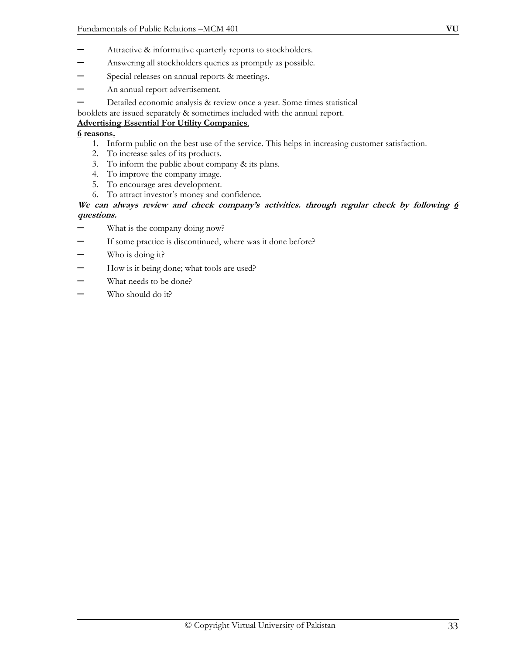- Attractive & informative quarterly reports to stockholders.
- Answering all stockholders queries as promptly as possible.
- Special releases on annual reports & meetings.
- An annual report advertisement.
- Detailed economic analysis & review once a year. Some times statistical

booklets are issued separately & sometimes included with the annual report.

## **Advertising Essential For Utility Companies**.

### **6 reasons.**

- 1. Inform public on the best use of the service. This helps in increasing customer satisfaction.
- 2. To increase sales of its products.
- 3. To inform the public about company & its plans.
- 4. To improve the company image.
- 5. To encourage area development.
- 6. To attract investor's money and confidence.

## **We can always review and check company's activities. through regular check by following 6 questions.**

- What is the company doing now?
- If some practice is discontinued, where was it done before?
- Who is doing it?
- How is it being done; what tools are used?
- What needs to be done?
- Who should do it?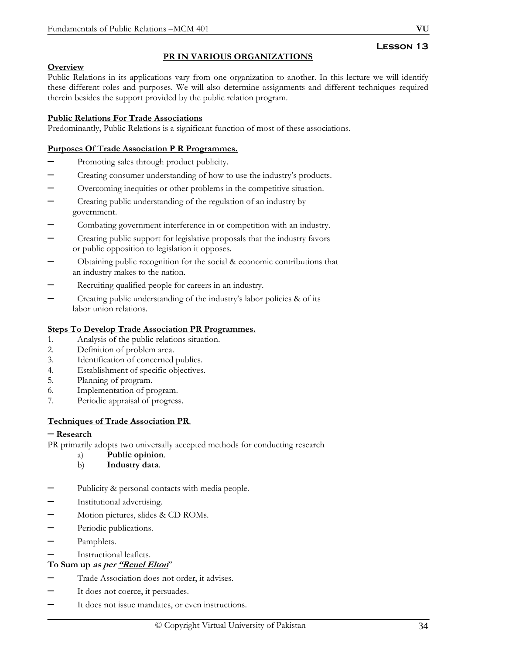## **PR IN VARIOUS ORGANIZATIONS**

## **Overview**

Public Relations in its applications vary from one organization to another. In this lecture we will identify these different roles and purposes. We will also determine assignments and different techniques required therein besides the support provided by the public relation program.

### **Public Relations For Trade Associations**

Predominantly, Public Relations is a significant function of most of these associations.

### **Purposes Of Trade Association P R Programmes.**

- Promoting sales through product publicity.
- Creating consumer understanding of how to use the industry's products.
- Overcoming inequities or other problems in the competitive situation.
- Creating public understanding of the regulation of an industry by government.
- Combating government interference in or competition with an industry.
- Creating public support for legislative proposals that the industry favors or public opposition to legislation it opposes.
- Obtaining public recognition for the social & economic contributions that an industry makes to the nation.
- Recruiting qualified people for careers in an industry.
- Creating public understanding of the industry's labor policies & of its labor union relations.

#### **Steps To Develop Trade Association PR Programmes.**

- 1. Analysis of the public relations situation.
- 2. Definition of problem area.
- 3. Identification of concerned publics.
- 4. Establishment of specific objectives.
- 5. Planning of program.
- 6. Implementation of program.
- 7. Periodic appraisal of progress.

#### **Techniques of Trade Association PR***.*

#### – **Research**

PR primarily adopts two universally accepted methods for conducting research

- a) **Public opinion**.
- b) **Industry data**.
- Publicity & personal contacts with media people.
- Institutional advertising.
- Motion pictures, slides & CD ROMs.
- Periodic publications.
- Pamphlets.
- Instructional leaflets.
- **To Sum up as per "Reuel Elton**"
- Trade Association does not order, it advises.
- It does not coerce, it persuades.
- It does not issue mandates, or even instructions.

### **Lesson 13**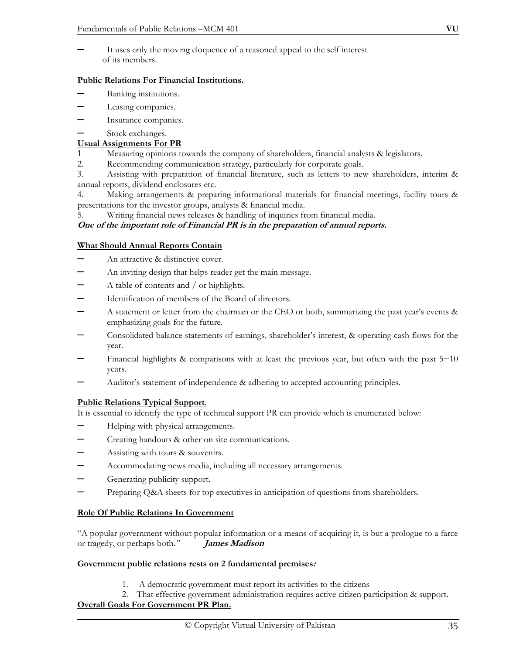It uses only the moving eloquence of a reasoned appeal to the self interest of its members.

## **Public Relations For Financial Institutions.**

- Banking institutions.
- Leasing companies.
- Insurance companies.
- Stock exchanges.

## **Usual Assignments For PR**

- 1 Measuring opinions towards the company of shareholders, financial analysts & legislators.
- 2. Recommending communication strategy, particularly for corporate goals.

3. Assisting with preparation of financial literature, such as letters to new shareholders, interim & annual reports, dividend enclosures etc.

4. Making arrangements & preparing informational materials for financial meetings, facility tours & presentations for the investor groups, analysts & financial media.

5. Writing financial news releases & handling of inquiries from financial media.

## **One of the important role of Financial PR is in the preparation of annual reports.**

## **What Should Annual Reports Contain**

- An attractive & distinctive cover.
- An inviting design that helps reader get the main message.
- A table of contents and / or highlights.
- Identification of members of the Board of directors.
- A statement or letter from the chairman or the CEO or both, summarizing the past year's events & emphasizing goals for the future.
- Consolidated balance statements of earnings, shareholder's interest, & operating cash flows for the year.
- Financial highlights & comparisons with at least the previous year, but often with the past  $5~10$ years.
- Auditor's statement of independence & adhering to accepted accounting principles.

## **Public Relations Typical Support**.

It is essential to identify the type of technical support PR can provide which is enumerated below:

- Helping with physical arrangements.
- Creating handouts & other on site communications.
- Assisting with tours & souvenirs.
- Accommodating news media, including all necessary arrangements.
- Generating publicity support.
- Preparing Q&A sheets for top executives in anticipation of questions from shareholders.

## **Role Of Public Relations In Government**

"A popular government without popular information or a means of acquiring it, is but a prologue to a farce or tragedy, or perhaps both.*"* **James Madison**

## **Government public relations rests on 2 fundamental premises:**

- 1. A democratic government must report its activities to the citizens
- 2. That effective government administration requires active citizen participation & support.

## **Overall Goals For Government PR Plan.**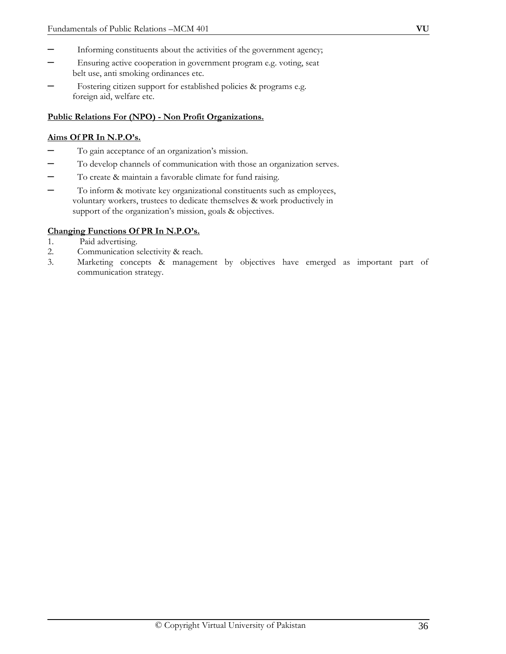- Informing constituents about the activities of the government agency;
- Ensuring active cooperation in government program e.g. voting, seat belt use, anti smoking ordinances etc.
- Fostering citizen support for established policies & programs e.g. foreign aid, welfare etc.

#### **Public Relations For (NPO) - Non Profit Organizations.**

#### **Aims Of PR In N.P.O's.**

- To gain acceptance of an organization's mission.
- To develop channels of communication with those an organization serves.
- To create & maintain a favorable climate for fund raising.
- To inform & motivate key organizational constituents such as employees, voluntary workers, trustees to dedicate themselves & work productively in support of the organization's mission, goals & objectives.

#### **Changing Functions Of PR In N.P.O's.**

- 1. Paid advertising.
- 2. Communication selectivity & reach.
- 3. Marketing concepts & management by objectives have emerged as important part of communication strategy.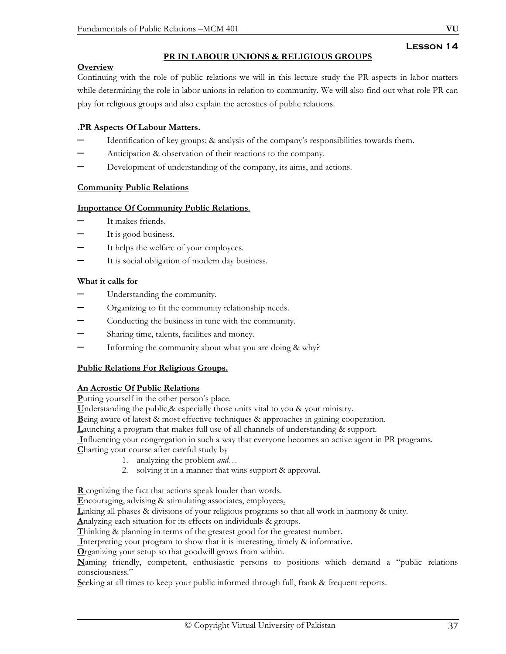# **PR IN LABOUR UNIONS & RELIGIOUS GROUPS**

# **Overview**

Continuing with the role of public relations we will in this lecture study the PR aspects in labor matters while determining the role in labor unions in relation to community. We will also find out what role PR can play for religious groups and also explain the acrostics of public relations.

# **.PR Aspects Of Labour Matters.**

- Identification of key groups; & analysis of the company's responsibilities towards them.
- Anticipation & observation of their reactions to the company.
- Development of understanding of the company, its aims, and actions.

# **Community Public Relations**

# **Importance Of Community Public Relations**.

- It makes friends.
- It is good business.
- It helps the welfare of your employees.
- It is social obligation of modern day business.

# **What it calls for**

- Understanding the community.
- Organizing to fit the community relationship needs.
- Conducting the business in tune with the community.
- Sharing time, talents, facilities and money.
- Informing the community about what you are doing & why?

# **Public Relations For Religious Groups.**

# **An Acrostic Of Public Relations**

**P**utting yourself in the other person's place.

**U**nderstanding the public,& especially those units vital to you & your ministry.

**B**eing aware of latest & most effective techniques & approaches in gaining cooperation.

**L**aunching a program that makes full use of all channels of understanding & support.

 **I**nfluencing your congregation in such a way that everyone becomes an active agent in PR programs.

- **C**harting your course after careful study by
	- 1. analyzing the problem *and*…
	- 2. solving it in a manner that wins support & approval.

**R** cognizing the fact that actions speak louder than words.

**E**ncouraging, advising & stimulating associates, employees.

**L**inking all phases & divisions of your religious programs so that all work in harmony & unity.

**A**nalyzing each situation for its effects on individuals & groups.

**T**hinking & planning in terms of the greatest good for the greatest number.

 **I**nterpreting your program to show that it is interesting, timely & informative.

**O**rganizing your setup so that goodwill grows from within.

**N**aming friendly, competent, enthusiastic persons to positions which demand a "public relations consciousness."

**S**eeking at all times to keep your public informed through full, frank & frequent reports.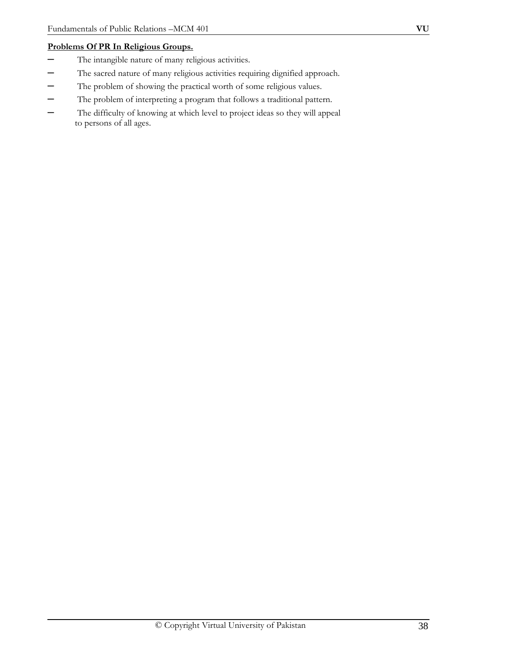# **Problems Of PR In Religious Groups.**

- The intangible nature of many religious activities.
- The sacred nature of many religious activities requiring dignified approach.
- The problem of showing the practical worth of some religious values.
- The problem of interpreting a program that follows a traditional pattern.
- The difficulty of knowing at which level to project ideas so they will appeal to persons of all ages.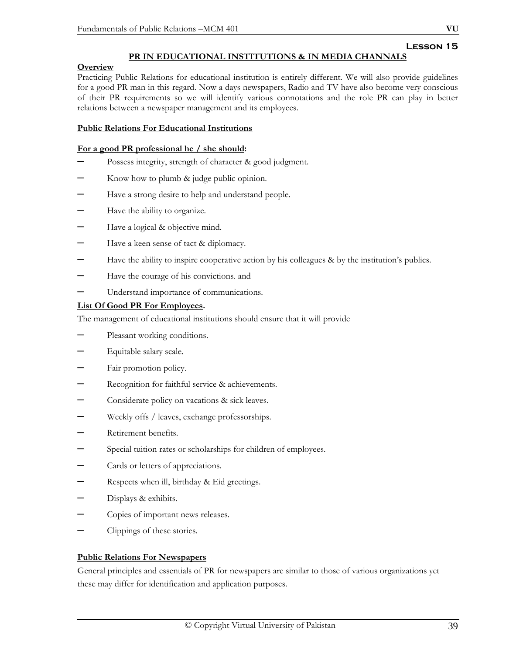# **Lesson 15**

# **PR IN EDUCATIONAL INSTITUTIONS & IN MEDIA CHANNALS**

## **Overview**

Practicing Public Relations for educational institution is entirely different. We will also provide guidelines for a good PR man in this regard. Now a days newspapers, Radio and TV have also become very conscious of their PR requirements so we will identify various connotations and the role PR can play in better relations between a newspaper management and its employees.

## **Public Relations For Educational Institutions**

#### **For a good PR professional he / she should:**

- Possess integrity, strength of character & good judgment.
- Know how to plumb & judge public opinion.
- Have a strong desire to help and understand people.
- Have the ability to organize.
- Have a logical & objective mind.
- Have a keen sense of tact & diplomacy.
- Have the ability to inspire cooperative action by his colleagues & by the institution's publics.
- Have the courage of his convictions. and
- Understand importance of communications.

## **List Of Good PR For Employees.**

The management of educational institutions should ensure that it will provide

- Pleasant working conditions.
- Equitable salary scale.
- Fair promotion policy.
- Recognition for faithful service & achievements.
- Considerate policy on vacations & sick leaves.
- Weekly offs / leaves, exchange professorships.
- Retirement benefits.
- Special tuition rates or scholarships for children of employees.
- Cards or letters of appreciations.
- Respects when ill, birthday & Eid greetings.
- Displays & exhibits.
- Copies of important news releases.
- Clippings of these stories.

# **Public Relations For Newspapers**

General principles and essentials of PR for newspapers are similar to those of various organizations yet these may differ for identification and application purposes.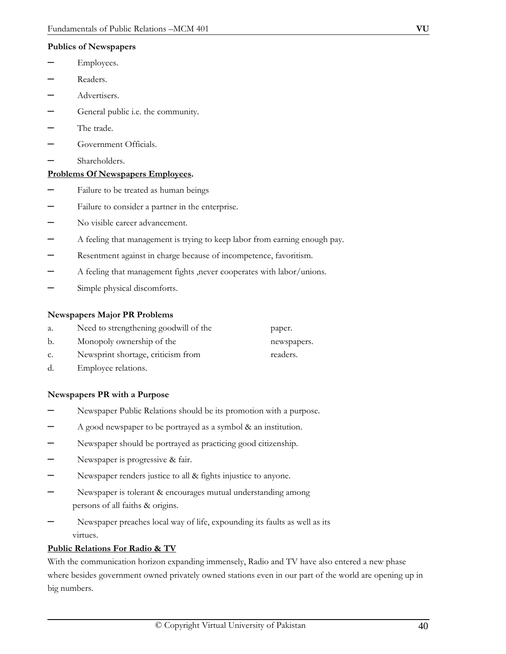#### **Publics of Newspapers**

- Employees.
- Readers.
- Advertisers.
- General public i.e. the community.
- The trade.
- Government Officials.
- Shareholders.

#### **Problems Of Newspapers Employees.**

- –Failure to be treated as human beings
- Failure to consider a partner in the enterprise.
- No visible career advancement.
- A feeling that management is trying to keep labor from earning enough pay.
- Resentment against in charge because of incompetence, favoritism.
- A feeling that management fights ,never cooperates with labor/unions.
- Simple physical discomforts.

#### **Newspapers Major PR Problems**

| a. | Need to strengthening goodwill of the | paper.      |
|----|---------------------------------------|-------------|
|    | Monopoly ownership of the             | newspapers. |

- c. Newsprint shortage, criticism from readers.
- d. Employee relations.

#### **Newspapers PR with a Purpose**

- –Newspaper Public Relations should be its promotion with a purpose.
- A good newspaper to be portrayed as a symbol & an institution.
- Newspaper should be portrayed as practicing good citizenship.
- Newspaper is progressive & fair.
- Newspaper renders justice to all & fights injustice to anyone.
- Newspaper is tolerant & encourages mutual understanding among persons of all faiths & origins.
- Newspaper preaches local way of life, expounding its faults as well as its virtues.

#### **Public Relations For Radio & TV**

With the communication horizon expanding immensely, Radio and TV have also entered a new phase where besides government owned privately owned stations even in our part of the world are opening up in big numbers.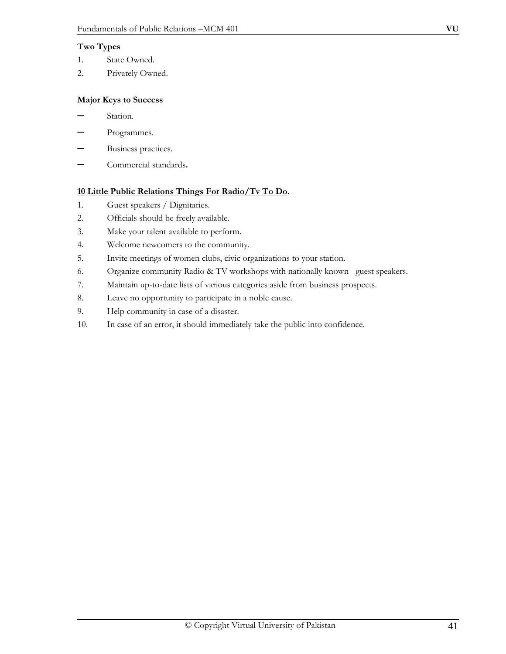## **Two Types**

- 1. State Owned.
- 2. Privately Owned.

## **Major Keys to Success**

- –Station.
- Programmes.
- Business practices.
- Commercial standards**.**

## **10 Little Public Relations Things For Radio/Tv To Do.**

- 1. Guest speakers / Dignitaries.
- 2. Officials should be freely available.
- 3. Make your talent available to perform.
- 4. Welcome newcomers to the community.
- 5. Invite meetings of women clubs, civic organizations to your station.
- 6. Organize community Radio & TV workshops with nationally known guest speakers.
- 7. Maintain up-to-date lists of various categories aside from business prospects.
- 8. Leave no opportunity to participate in a noble cause.
- 9. Help community in case of a disaster.
- 10. In case of an error, it should immediately take the public into confidence.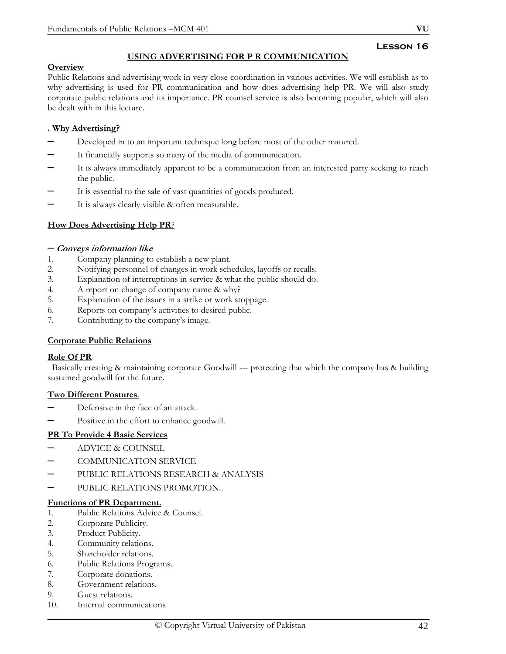# **USING ADVERTISING FOR P R COMMUNICATION**

## **Overview**

Public Relations and advertising work in very close coordination in various activities. We will establish as to why advertising is used for PR communication and how does advertising help PR. We will also study corporate public relations and its importance. PR counsel service is also becoming popular, which will also be dealt with in this lecture.

# **. Why Advertising?**

- Developed in to an important technique long before most of the other matured.
- It financially supports so many of the media of communication.
- It is always immediately apparent to be a communication from an interested party seeking to reach the public.
- It is essential to the sale of vast quantities of goods produced.
- It is always clearly visible & often measurable.

# **How Does Advertising Help PR**?

#### – **Conveys information like**

- 1. Company planning to establish a new plant.
- 2. Notifying personnel of changes in work schedules, layoffs or recalls.
- 3. Explanation of interruptions in service & what the public should do.
- 4. A report on change of company name & why?
- 5. Explanation of the issues in a strike or work stoppage.
- 6. Reports on company's activities to desired public.
- 7. Contributing to the company's image.

#### **Corporate Public Relations**

#### **Role Of PR**

Basically creating & maintaining corporate Goodwill --- protecting that which the company has & building sustained goodwill for the future.

#### **Two Different Postures***.*

- Defensive in the face of an attack.
- Positive in the effort to enhance goodwill.

# **PR To Provide 4 Basic Services**

- ADVICE & COUNSEL
- COMMUNICATION SERVICE
- PUBLIC RELATIONS RESEARCH & ANALYSIS
- PUBLIC RELATIONS PROMOTION.

#### **Functions of PR Department.**

- 1. Public Relations Advice & Counsel.
- 2. Corporate Publicity.
- 3. Product Publicity.
- 4. Community relations.
- 5. Shareholder relations.
- 6. Public Relations Programs.
- 7. Corporate donations.
- 8. Government relations.
- 9. Guest relations.
- 10. Internal communications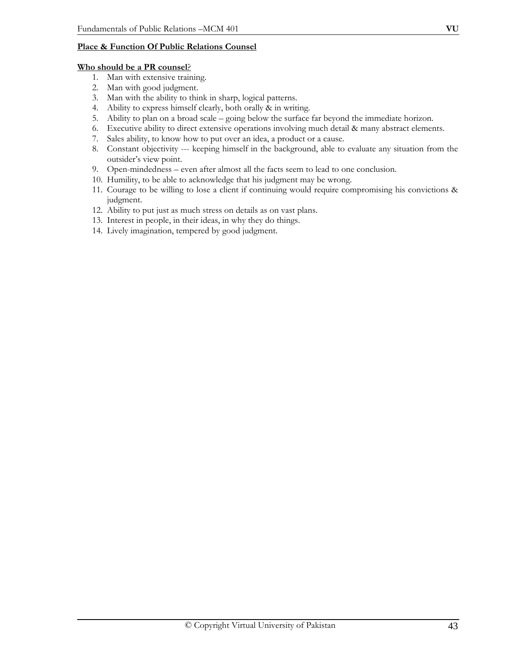## **Place & Function Of Public Relations Counsel**

#### **Who should be a PR counsel**?

- 1. Man with extensive training.
- 2. Man with good judgment.
- 3. Man with the ability to think in sharp, logical patterns.
- 4. Ability to express himself clearly, both orally & in writing.
- 5. Ability to plan on a broad scale going below the surface far beyond the immediate horizon.
- 6. Executive ability to direct extensive operations involving much detail & many abstract elements.
- 7. Sales ability, to know how to put over an idea, a product or a cause.
- 8. Constant objectivity --- keeping himself in the background, able to evaluate any situation from the outsider's view point.
- 9. Open-mindedness even after almost all the facts seem to lead to one conclusion.
- 10. Humility, to be able to acknowledge that his judgment may be wrong.
- 11. Courage to be willing to lose a client if continuing would require compromising his convictions & judgment.
- 12. Ability to put just as much stress on details as on vast plans.
- 13. Interest in people, in their ideas, in why they do things.
- 14. Lively imagination, tempered by good judgment.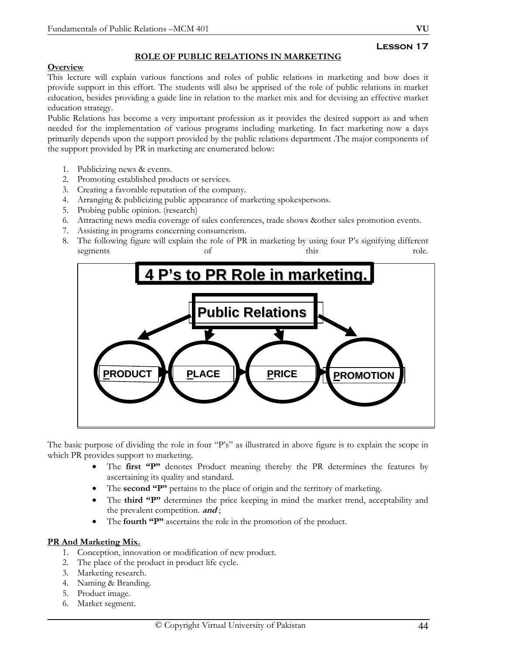# **ROLE OF PUBLIC RELATIONS IN MARKETING**

## **Overview**

This lecture will explain various functions and roles of public relations in marketing and how does it provide support in this effort. The students will also be apprised of the role of public relations in market education, besides providing a guide line in relation to the market mix and for devising an effective market education strategy.

Public Relations has become a very important profession as it provides the desired support as and when needed for the implementation of various programs including marketing. In fact marketing now a days primarily depends upon the support provided by the public relations department .The major components of the support provided by PR in marketing are enumerated below:

- 1. Publicizing news & events.
- 2. Promoting established products or services.
- 3. Creating a favorable reputation of the company.
- 4. Arranging & publicizing public appearance of marketing spokespersons.
- 5. Probing public opinion. (research)
- 6. Attracting news media coverage of sales conferences, trade shows &other sales promotion events.
- 7. Assisting in programs concerning consumerism.
- 8. The following figure will explain the role of PR in marketing by using four P's signifying different segments of this this role.



The basic purpose of dividing the role in four "P's" as illustrated in above figure is to explain the scope in which PR provides support to marketing.

- The **first "P"** denotes Product meaning thereby the PR determines the features by ascertaining its quality and standard.
- The **second "P"** pertains to the place of origin and the territory of marketing.
- The **third "P"** determines the price keeping in mind the market trend, acceptability and the prevalent competition. **and** ;
- The **fourth "P"** ascertains the role in the promotion of the product.

# **PR And Marketing Mix.**

- 1. Conception, innovation or modification of new product.
- 2. The place of the product in product life cycle.
- 3. Marketing research.
- 4. Naming & Branding.
- 5. Product image.
- 6. Market segment.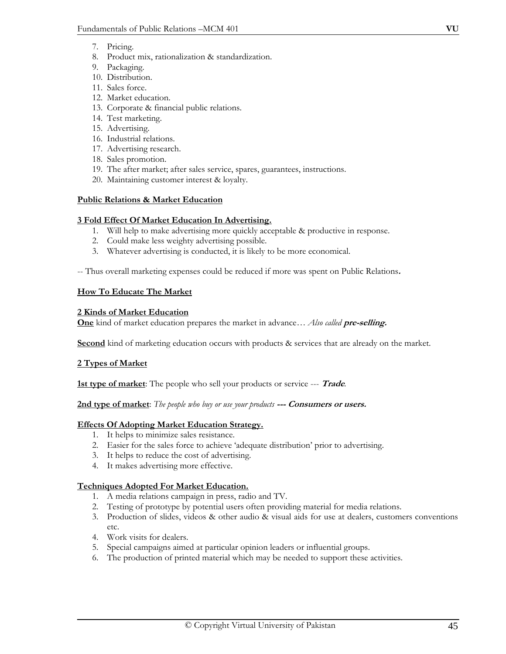- 7. Pricing.
- 8. Product mix, rationalization & standardization.
- 9. Packaging.
- 10. Distribution.
- 11. Sales force.
- 12. Market education.
- 13. Corporate & financial public relations.
- 14. Test marketing.
- 15. Advertising.
- 16. Industrial relations.
- 17. Advertising research.
- 18. Sales promotion.
- 19. The after market; after sales service, spares, guarantees, instructions.
- 20. Maintaining customer interest & loyalty.

## **Public Relations & Market Education**

## **3 Fold Effect Of Market Education In Advertising.**

- 1. Will help to make advertising more quickly acceptable & productive in response.
- 2. Could make less weighty advertising possible.
- 3. Whatever advertising is conducted, it is likely to be more economical.

-- Thus overall marketing expenses could be reduced if more was spent on Public Relations**.** 

## **How To Educate The Market**

#### **2 Kinds of Market Education**

**One** kind of market education prepares the market in advance… *Also called* **pre-selling.** 

**Second** kind of marketing education occurs with products & services that are already on the market.

# **2 Types of Market**

**1st type of market**: The people who sell your products or service --- **Trade***.* 

#### **2nd type of market**: *The people who buy or use your products* **--- Consumers or users.**

# **Effects Of Adopting Market Education Strategy.**

- 1. It helps to minimize sales resistance.
- 2. Easier for the sales force to achieve 'adequate distribution' prior to advertising.
- 3. It helps to reduce the cost of advertising.
- 4. It makes advertising more effective.

# **Techniques Adopted For Market Education.**

- 1. A media relations campaign in press, radio and TV.
- 2. Testing of prototype by potential users often providing material for media relations.
- 3. Production of slides, videos & other audio & visual aids for use at dealers, customers conventions etc.
- 4. Work visits for dealers.
- 5. Special campaigns aimed at particular opinion leaders or influential groups.
- 6. The production of printed material which may be needed to support these activities.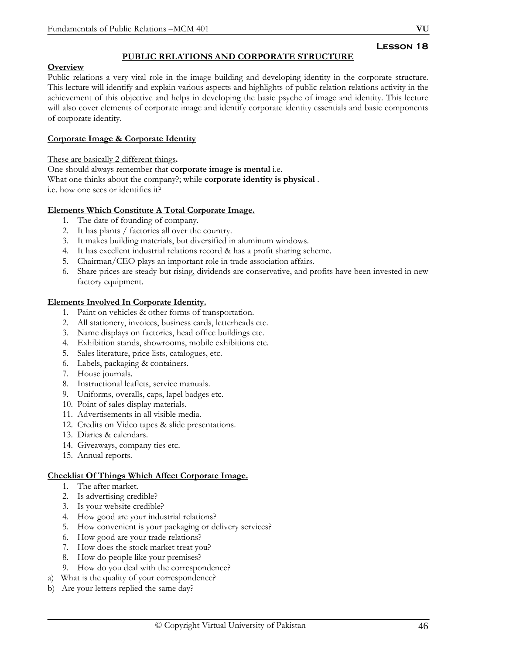# **PUBLIC RELATIONS AND CORPORATE STRUCTURE**

## **Overview**

Public relations a very vital role in the image building and developing identity in the corporate structure. This lecture will identify and explain various aspects and highlights of public relation relations activity in the achievement of this objective and helps in developing the basic psyche of image and identity. This lecture will also cover elements of corporate image and identify corporate identity essentials and basic components of corporate identity.

## **Corporate Image & Corporate Identity**

These are basically 2 different things**.** 

One should always remember that **corporate image is mental** i.e. What one thinks about the company?; while **corporate identity is physical** . i.e. how one sees or identifies it?

#### **Elements Which Constitute A Total Corporate Image.**

- 1. The date of founding of company.
- 2. It has plants / factories all over the country.
- 3. It makes building materials, but diversified in aluminum windows.
- 4. It has excellent industrial relations record & has a profit sharing scheme.
- 5. Chairman/CEO plays an important role in trade association affairs.
- 6. Share prices are steady but rising, dividends are conservative, and profits have been invested in new factory equipment.

## **Elements Involved In Corporate Identity.**

- 1. Paint on vehicles & other forms of transportation.
- 2. All stationery, invoices, business cards, letterheads etc.
- 3. Name displays on factories, head office buildings etc.
- 4. Exhibition stands, showrooms, mobile exhibitions etc.
- 5. Sales literature, price lists, catalogues, etc.
- 6. Labels, packaging & containers.
- 7. House journals.
- 8. Instructional leaflets, service manuals.
- 9. Uniforms, overalls, caps, lapel badges etc.
- 10. Point of sales display materials.
- 11. Advertisements in all visible media.
- 12. Credits on Video tapes & slide presentations.
- 13. Diaries & calendars.
- 14. Giveaways, company ties etc.
- 15. Annual reports.

#### **Checklist Of Things Which Affect Corporate Image.**

- 1. The after market.
- 2. Is advertising credible?
- 3. Is your website credible?
- 4. How good are your industrial relations?
- 5. How convenient is your packaging or delivery services?
- 6. How good are your trade relations?
- 7. How does the stock market treat you?
- 8. How do people like your premises?
- 9. How do you deal with the correspondence?
- a) What is the quality of your correspondence?
- b) Are your letters replied the same day?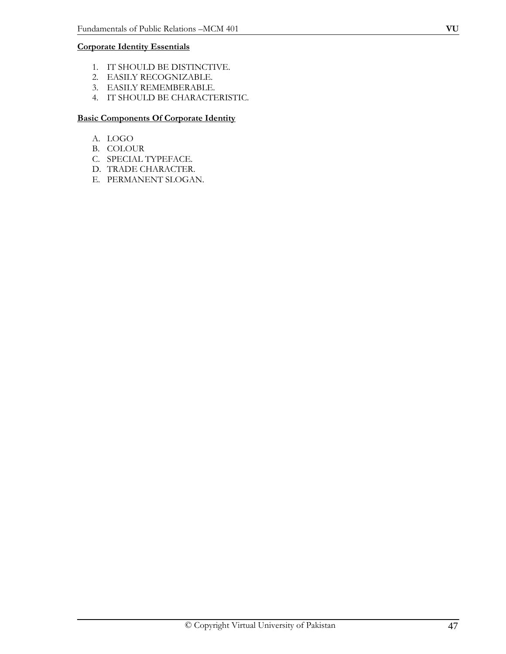# **Corporate Identity Essentials**

- 1. IT SHOULD BE DISTINCTIVE.
- 2. EASILY RECOGNIZABLE.
- 3. EASILY REMEMBERABLE.
- 4. IT SHOULD BE CHARACTERISTIC.

# **Basic Components Of Corporate Identity**

- A. LOGO
- B. COLOUR
- C. SPECIAL TYPEFACE.
- D. TRADE CHARACTER.
- E. PERMANENT SLOGAN.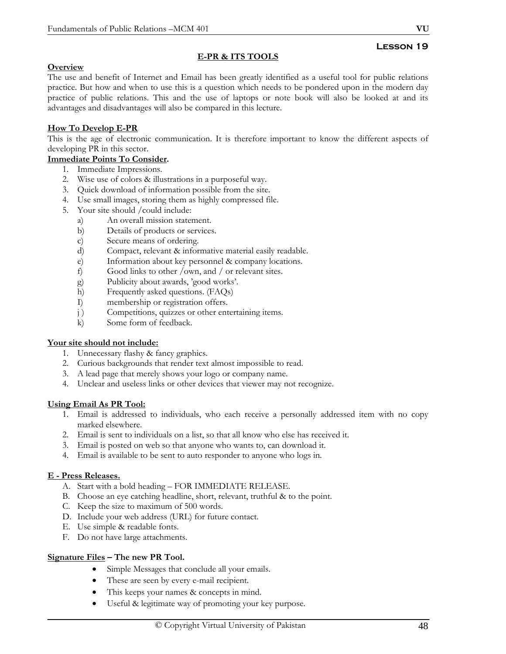# **E-PR & ITS TOOLS**

# **Overview**

The use and benefit of Internet and Email has been greatly identified as a useful tool for public relations practice. But how and when to use this is a question which needs to be pondered upon in the modern day practice of public relations. This and the use of laptops or note book will also be looked at and its advantages and disadvantages will also be compared in this lecture.

# **How To Develop E-PR**

This is the age of electronic communication. It is therefore important to know the different aspects of developing PR in this sector.

# **Immediate Points To Consider.**

- 1. Immediate Impressions.
- 2. Wise use of colors & illustrations in a purposeful way.
- 3. Quick download of information possible from the site.
- 4. Use small images, storing them as highly compressed file.
- 5. Your site should /could include:
	- a) An overall mission statement.
	- b) Details of products or services.
	- c) Secure means of ordering.
	- d) Compact, relevant & informative material easily readable.
	- e) Information about key personnel & company locations.
	- f) Good links to other /own, and / or relevant sites.
	- g) Publicity about awards, 'good works'.
	- h) Frequently asked questions. (FAQs)
	- I) membership or registration offers.
	- j) Competitions, quizzes or other entertaining items.
	- k) Some form of feedback.

# **Your site should not include:**

- 1. Unnecessary flashy & fancy graphics.
- 2. Curious backgrounds that render text almost impossible to read.
- 3. A lead page that merely shows your logo or company name.
- 4. Unclear and useless links or other devices that viewer may not recognize.

# **Using Email As PR Tool:**

- 1. Email is addressed to individuals, who each receive a personally addressed item with no copy marked elsewhere.
- 2. Email is sent to individuals on a list, so that all know who else has received it.
- 3. Email is posted on web so that anyone who wants to, can download it.
- 4. Email is available to be sent to auto responder to anyone who logs in.

# **E - Press Releases.**

- A. Start with a bold heading FOR IMMEDIATE RELEASE.
- B. Choose an eye catching headline, short, relevant, truthful & to the point.
- C. Keep the size to maximum of 500 words.
- D. Include your web address (URL) for future contact.
- E. Use simple & readable fonts.
- F. Do not have large attachments.

# **Signature Files – The new PR Tool.**

- Simple Messages that conclude all your emails.
- These are seen by every e-mail recipient.
- This keeps your names & concepts in mind.
- Useful & legitimate way of promoting your key purpose.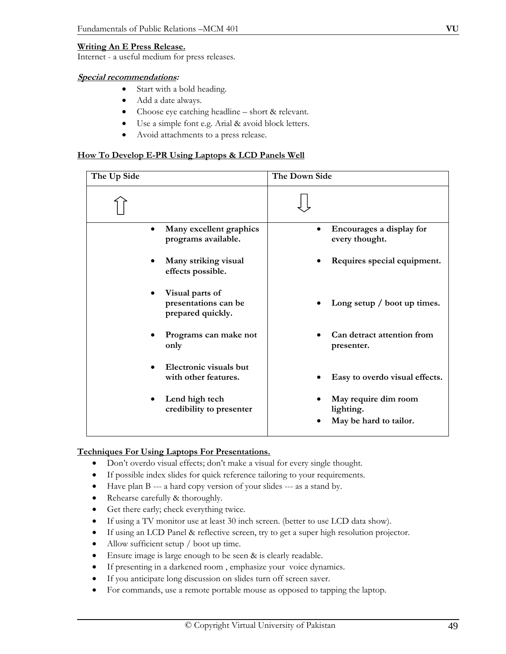#### **Writing An E Press Release.**

Internet - a useful medium for press releases*.* 

#### **Special recommendations:**

- Start with a bold heading.
- Add a date always.
- Choose eye catching headline short & relevant.
- Use a simple font e.g. Arial & avoid block letters.
- Avoid attachments to a press release.

#### **How To Develop E-PR Using Laptops & LCD Panels Well**

| The Up Side |                                                              | The Down Side                                               |
|-------------|--------------------------------------------------------------|-------------------------------------------------------------|
|             |                                                              |                                                             |
|             | Many excellent graphics<br>programs available.               | Encourages a display for<br>$\bullet$<br>every thought.     |
|             | Many striking visual<br>effects possible.                    | Requires special equipment.                                 |
|             | Visual parts of<br>presentations can be<br>prepared quickly. | Long setup / boot up times.                                 |
|             | Programs can make not<br>only                                | Can detract attention from<br>presenter.                    |
|             | Electronic visuals but<br>with other features.               | Easy to overdo visual effects.                              |
|             | Lend high tech<br>credibility to presenter                   | May require dim room<br>lighting.<br>May be hard to tailor. |
|             |                                                              |                                                             |

## **Techniques For Using Laptops For Presentations.**

- Don't overdo visual effects; don't make a visual for every single thought.
- If possible index slides for quick reference tailoring to your requirements.
- Have plan B --- a hard copy version of your slides --- as a stand by.
- Rehearse carefully & thoroughly.
- Get there early; check everything twice.
- If using a TV monitor use at least 30 inch screen. (better to use LCD data show).
- If using an LCD Panel & reflective screen, try to get a super high resolution projector.
- Allow sufficient setup / boot up time.
- Ensure image is large enough to be seen & is clearly readable.
- If presenting in a darkened room, emphasize your voice dynamics.
- If you anticipate long discussion on slides turn off screen saver.
- For commands, use a remote portable mouse as opposed to tapping the laptop.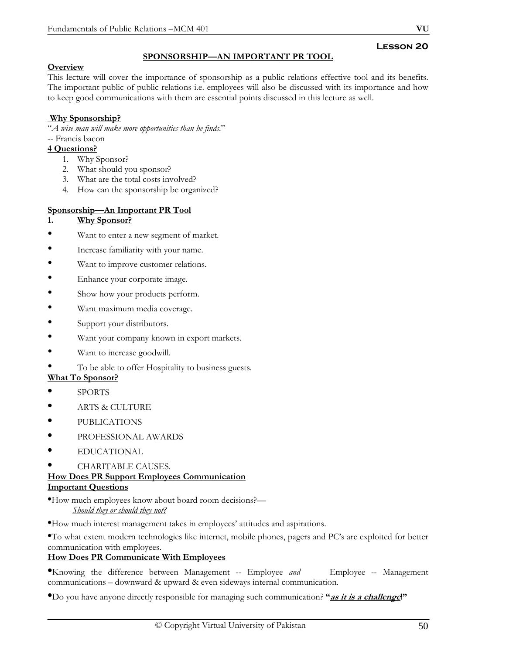# **SPONSORSHIP—AN IMPORTANT PR TOOL**

# **Overview**

This lecture will cover the importance of sponsorship as a public relations effective tool and its benefits. The important public of public relations i.e. employees will also be discussed with its importance and how to keep good communications with them are essential points discussed in this lecture as well.

# **Why Sponsorship?**

"*A wise man will make more opportunities than he finds*."

- -- Francis bacon
- **4 Questions?**
	- 1. Why Sponsor?
	- 2. What should you sponsor?
	- 3. What are the total costs involved?
	- 4. How can the sponsorship be organized?

# **Sponsorship—An Important PR Tool**

## **1. Why Sponsor?**

- Want to enter a new segment of market.
- Increase familiarity with your name.
- Want to improve customer relations.
- Enhance your corporate image.
- Show how your products perform.
- Want maximum media coverage.
- Support your distributors.
- Want your company known in export markets.
- Want to increase goodwill.

# • To be able to offer Hospitality to business guests.

- **What To Sponsor?**
- SPORTS
- ARTS & CULTURE
- PUBLICATIONS
- PROFESSIONAL AWARDS
- EDUCATIONAL
- CHARITABLE CAUSES.

#### **How Does PR Support Employees Communication Important Questions**

•How much employees know about board room decisions?— *Should they or should they not?*

•How much interest management takes in employees' attitudes and aspirations.

•To what extent modern technologies like internet, mobile phones, pagers and PC's are exploited for better communication with employees.

# **How Does PR Communicate With Employees**

•Knowing the difference between Management -- Employee *and* Employee -- Management communications – downward & upward & even sideways internal communication.

•Do you have anyone directly responsible for managing such communication? **"as it is a challenge!"**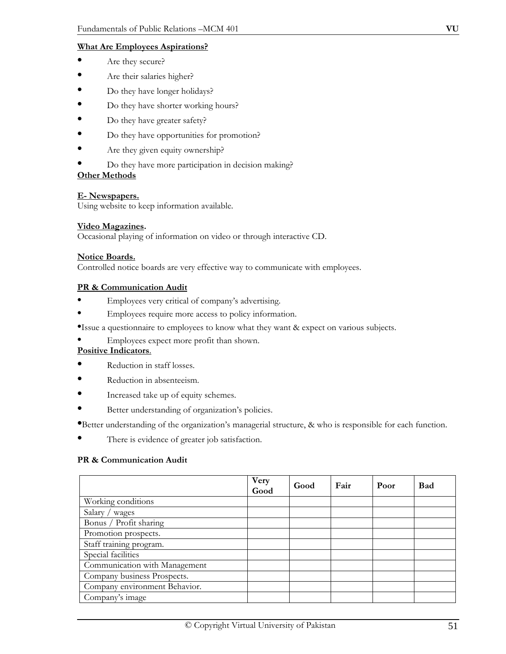## **What Are Employees Aspirations?**

- Are they secure?
- Are their salaries higher?
- Do they have longer holidays?
- Do they have shorter working hours?
- Do they have greater safety?
- Do they have opportunities for promotion?
- Are they given equity ownership?
- Do they have more participation in decision making?

#### **Other Methods**

#### **E- Newspapers.**

Using website to keep information available.

#### **Video Magazines.**

Occasional playing of information on video or through interactive CD.

#### **Notice Boards.**

Controlled notice boards are very effective way to communicate with employees.

#### **PR & Communication Audit**

- Employees very critical of company's advertising.
- Employees require more access to policy information.

•Issue a questionnaire to employees to know what they want & expect on various subjects.

• Employees expect more profit than shown.

# **Positive Indicators**.

- Reduction in staff losses.
- Reduction in absenteeism.
- Increased take up of equity schemes.
- Better understanding of organization's policies.

•Better understanding of the organization's managerial structure, & who is responsible for each function.

There is evidence of greater job satisfaction.

#### **PR & Communication Audit**

|                               | Very<br>Good | Good | Fair | Poor | <b>Bad</b> |
|-------------------------------|--------------|------|------|------|------------|
| Working conditions            |              |      |      |      |            |
| Salary / wages                |              |      |      |      |            |
| Bonus / Profit sharing        |              |      |      |      |            |
| Promotion prospects.          |              |      |      |      |            |
| Staff training program.       |              |      |      |      |            |
| Special facilities            |              |      |      |      |            |
| Communication with Management |              |      |      |      |            |
| Company business Prospects.   |              |      |      |      |            |
| Company environment Behavior. |              |      |      |      |            |
| Company's image               |              |      |      |      |            |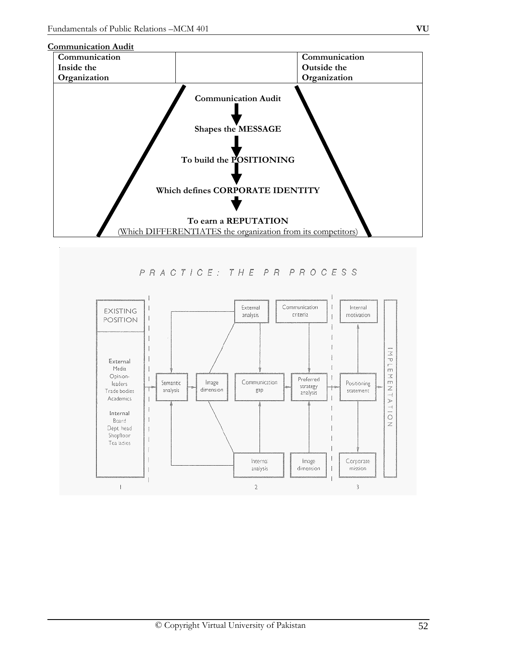



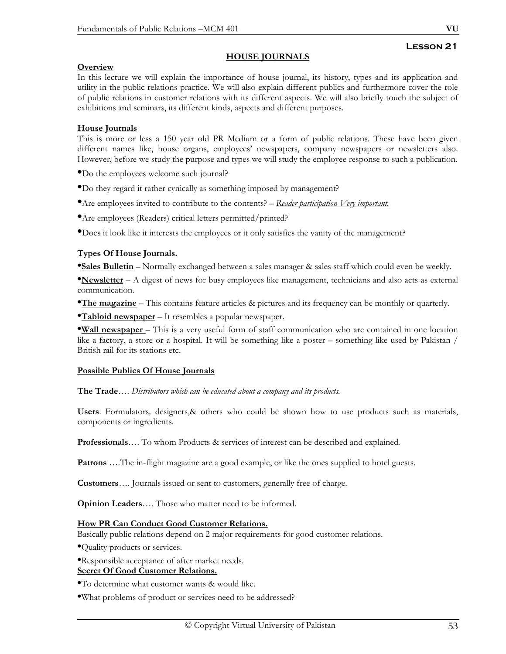## **HOUSE JOURNALS**

## **Overview**

In this lecture we will explain the importance of house journal, its history, types and its application and utility in the public relations practice. We will also explain different publics and furthermore cover the role of public relations in customer relations with its different aspects. We will also briefly touch the subject of exhibitions and seminars, its different kinds, aspects and different purposes.

## **House Journals**

This is more or less a 150 year old PR Medium or a form of public relations. These have been given different names like, house organs, employees' newspapers, company newspapers or newsletters also. However, before we study the purpose and types we will study the employee response to such a publication.

•Do the employees welcome such journal?

•Do they regard it rather cynically as something imposed by management?

•Are employees invited to contribute to the contents? – *Reader participation Very important.*

•Are employees (Readers) critical letters permitted/printed?

•Does it look like it interests the employees or it only satisfies the vanity of the management?

#### **Types Of House Journals.**

**•Sales Bulletin** – Normally exchanged between a sales manager & sales staff which could even be weekly.

•**Newsletter** – A digest of news for busy employees like management, technicians and also acts as external communication.

•**The magazine** – This contains feature articles & pictures and its frequency can be monthly or quarterly.

•**Tabloid newspaper** – It resembles a popular newspaper.

•**Wall newspaper** – This is a very useful form of staff communication who are contained in one location like a factory, a store or a hospital. It will be something like a poster – something like used by Pakistan / British rail for its stations etc.

#### **Possible Publics Of House Journals**

**The Trade**…. *Distributors which can be educated about a company and its products.* 

**Users**. Formulators*,* designers,& others who could be shown how to use products such as materials, components or ingredients.

**Professionals**…. To whom Products & services of interest can be described and explained*.* 

**Patrons** ….The in-flight magazine are a good example, or like the ones supplied to hotel guests.

**Customers**…. Journals issued or sent to customers, generally free of charge.

**Opinion Leaders**…. Those who matter need to be informed.

#### **How PR Can Conduct Good Customer Relations.**

Basically public relations depend on 2 major requirements for good customer relations.

•Quality products or services.

•Responsible acceptance of after market needs. **Secret Of Good Customer Relations.**

•To determine what customer wants & would like.

•What problems of product or services need to be addressed?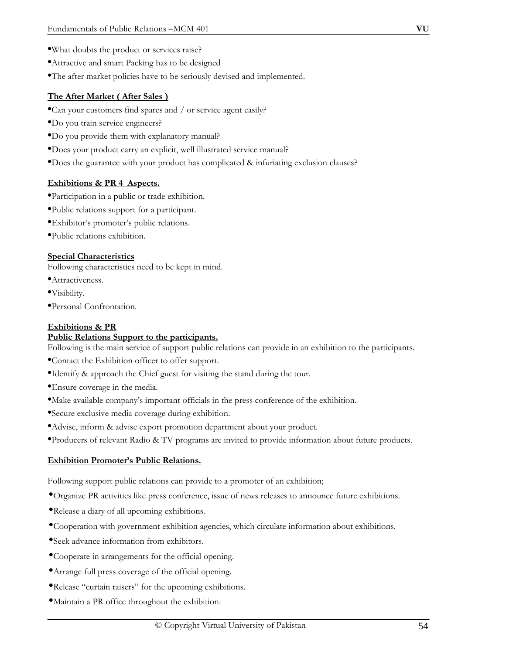- •What doubts the product or services raise?
- •Attractive and smart Packing has to be designed
- •The after market policies have to be seriously devised and implemented.

## **The After Market ( After Sales )**

- •Can your customers find spares and / or service agent easily?
- •Do you train service engineers?
- •Do you provide them with explanatory manual?
- •Does your product carry an explicit, well illustrated service manual?
- •Does the guarantee with your product has complicated & infuriating exclusion clauses?

## **Exhibitions & PR 4 Aspects.**

- •Participation in a public or trade exhibition.
- •Public relations support for a participant.
- •Exhibitor's promoter's public relations.
- •Public relations exhibition.

## **Special Characteristics**

Following characteristics need to be kept in mind.

- •Attractiveness.
- •Visibility.
- •Personal Confrontation.

## **Exhibitions & PR**

## **Public Relations Support to the participants.**

Following is the main service of support public relations can provide in an exhibition to the participants.

- •Contact the Exhibition officer to offer support.
- •Identify & approach the Chief guest for visiting the stand during the tour.
- •Ensure coverage in the media.
- •Make available company's important officials in the press conference of the exhibition.
- •Secure exclusive media coverage during exhibition.
- •Advise, inform & advise export promotion department about your product.
- •Producers of relevant Radio & TV programs are invited to provide information about future products.

#### **Exhibition Promoter's Public Relations.**

Following support public relations can provide to a promoter of an exhibition;

- •Organize PR activities like press conference, issue of news releases to announce future exhibitions.
- •Release a diary of all upcoming exhibitions.
- •Cooperation with government exhibition agencies, which circulate information about exhibitions.
- •Seek advance information from exhibitors.
- •Cooperate in arrangements for the official opening.
- •Arrange full press coverage of the official opening.
- •Release "curtain raisers" for the upcoming exhibitions.
- •Maintain a PR office throughout the exhibition.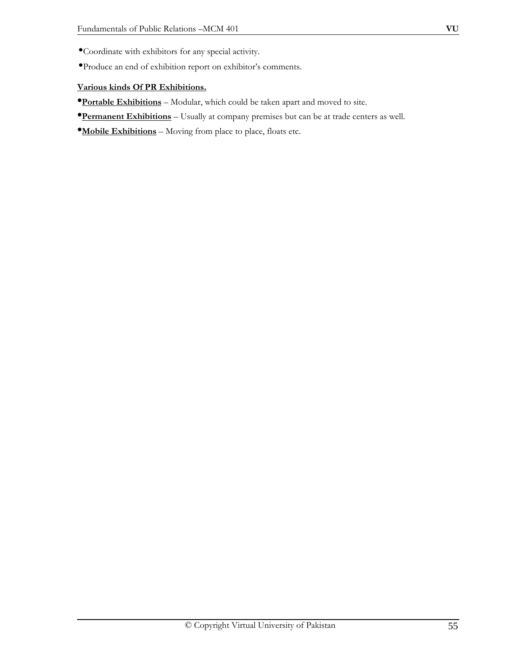- •Coordinate with exhibitors for any special activity.
- •Produce an end of exhibition report on exhibitor's comments.

# **Various kinds Of PR Exhibitions.**

- •**Portable Exhibitions** Modular, which could be taken apart and moved to site.
- •**Permanent Exhibitions** Usually at company premises but can be at trade centers as well.

•**Mobile Exhibitions** – Moving from place to place, floats etc.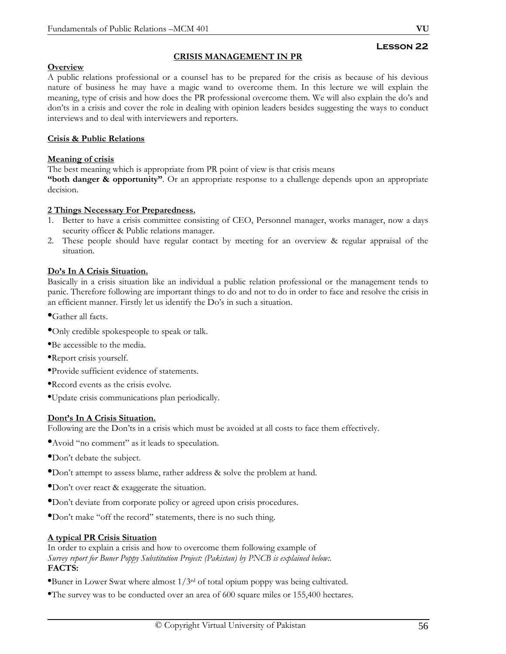# **Lesson 22**

# **CRISIS MANAGEMENT IN PR**

## **Overview**

A public relations professional or a counsel has to be prepared for the crisis as because of his devious nature of business he may have a magic wand to overcome them. In this lecture we will explain the meaning, type of crisis and how does the PR professional overcome them. We will also explain the do's and don'ts in a crisis and cover the role in dealing with opinion leaders besides suggesting the ways to conduct interviews and to deal with interviewers and reporters.

## **Crisis & Public Relations**

## **Meaning of crisis**

The best meaning which is appropriate from PR point of view is that crisis means

**"both danger & opportunity".** Or an appropriate response to a challenge depends upon an appropriate decision.

#### **2 Things Necessary For Preparedness.**

- 1. Better to have a crisis committee consisting of CEO, Personnel manager, works manager, now a days security officer & Public relations manager.
- 2. These people should have regular contact by meeting for an overview & regular appraisal of the situation.

#### **Do's In A Crisis Situation.**

Basically in a crisis situation like an individual a public relation professional or the management tends to panic. Therefore following are important things to do and not to do in order to face and resolve the crisis in an efficient manner. Firstly let us identify the Do's in such a situation.

•Gather all facts.

- •Only credible spokespeople to speak or talk.
- •Be accessible to the media.
- •Report crisis yourself.
- •Provide sufficient evidence of statements.
- •Record events as the crisis evolve.
- •Update crisis communications plan periodically.

#### **Dont's In A Crisis Situation.**

Following are the Don'ts in a crisis which must be avoided at all costs to face them effectively.

- •Avoid "no comment" as it leads to speculation.
- •Don't debate the subject.
- •Don't attempt to assess blame, rather address & solve the problem at hand.
- •Don't over react & exaggerate the situation.
- •Don't deviate from corporate policy or agreed upon crisis procedures.
- •Don't make "off the record" statements, there is no such thing.

#### **A typical PR Crisis Situation**

In order to explain a crisis and how to overcome them following example of *Survey report for Buner Poppy Substitution Project: (Pakistan) by PNCB is explained below:.*  **FACTS:** 

- •Buner in Lower Swat where almost 1/3rd of total opium poppy was being cultivated.
- •The survey was to be conducted over an area of 600 square miles or 155,400 hectares.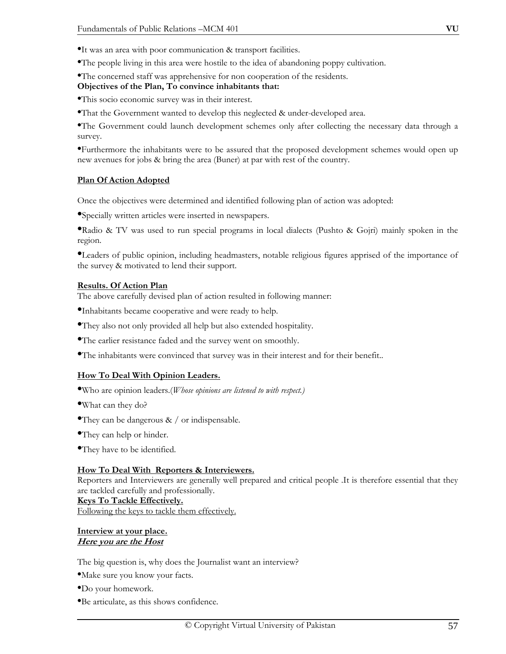•The people living in this area were hostile to the idea of abandoning poppy cultivation.

•The concerned staff was apprehensive for non cooperation of the residents.

#### **Objectives of the Plan, To convince inhabitants that:**

•This socio economic survey was in their interest.

•That the Government wanted to develop this neglected & under-developed area.

•The Government could launch development schemes only after collecting the necessary data through a survey.

•Furthermore the inhabitants were to be assured that the proposed development schemes would open up new avenues for jobs & bring the area (Buner) at par with rest of the country.

#### **Plan Of Action Adopted**

Once the objectives were determined and identified following plan of action was adopted:

•Specially written articles were inserted in newspapers.

•Radio & TV was used to run special programs in local dialects (Pushto & Gojri) mainly spoken in the region.

•Leaders of public opinion, including headmasters, notable religious figures apprised of the importance of the survey & motivated to lend their support.

#### **Results. Of Action Plan**

The above carefully devised plan of action resulted in following manner:

•Inhabitants became cooperative and were ready to help.

•They also not only provided all help but also extended hospitality.

•The earlier resistance faded and the survey went on smoothly.

•The inhabitants were convinced that survey was in their interest and for their benefit..

#### **How To Deal With Opinion Leaders.**

•Who are opinion leaders.(*Whose opinions are listened to with respect.)* 

•What can they do?

- •They can be dangerous  $\&\,$  / or indispensable.
- •They can help or hinder.
- •They have to be identified.

#### **How To Deal With Reporters & Interviewers.**

Reporters and Interviewers are generally well prepared and critical people .It is therefore essential that they are tackled carefully and professionally.

#### **Keys To Tackle Effectively.**

Following the keys to tackle them effectively.

#### **Interview at your place. Here you are the Host**

The big question is, why does the Journalist want an interview?

•Make sure you know your facts.

•Do your homework.

•Be articulate, as this shows confidence.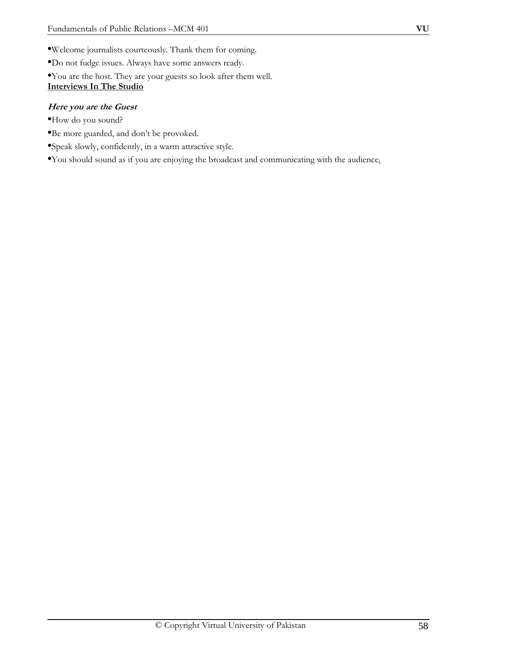- •Welcome journalists courteously. Thank them for coming.
- •Do not fudge issues. Always have some answers ready.
- •You are the host. They are your guests so look after them well.

# **Interviews In The Studio**

## **Here you are the Guest**

- •How do you sound?
- •Be more guarded, and don't be provoked.
- •Speak slowly, confidently, in a warm attractive style.

•You should sound as if you are enjoying the broadcast and communicating with the audience.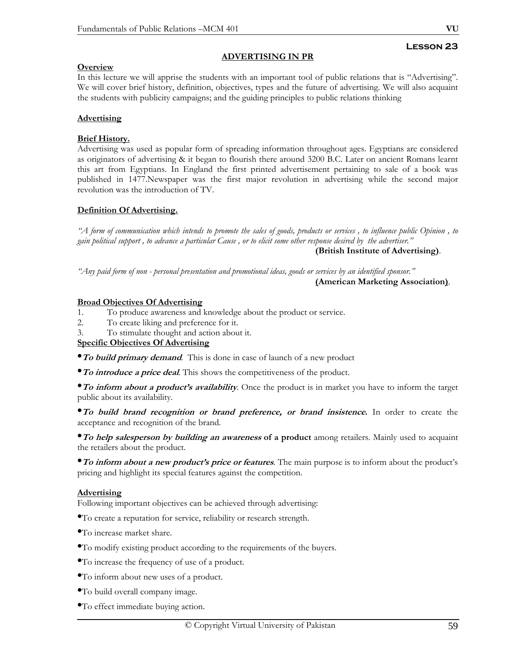# **Lesson 23**

#### **ADVERTISING IN PR**

## **Overview**

In this lecture we will apprise the students with an important tool of public relations that is "Advertising". We will cover brief history, definition, objectives, types and the future of advertising. We will also acquaint the students with publicity campaigns; and the guiding principles to public relations thinking

## **Advertising**

## **Brief History.**

Advertising was used as popular form of spreading information throughout ages. Egyptians are considered as originators of advertising & it began to flourish there around 3200 B.C. Later on ancient Romans learnt this art from Egyptians. In England the first printed advertisement pertaining to sale of a book was published in 1477.Newspaper was the first major revolution in advertising while the second major revolution was the introduction of TV.

## **Definition Of Advertising.**

*"A form of communication which intends to promote the sales of goods, products or services , to influence public Opinion , to gain political support , to advance a particular Cause , or to elicit some other response desired by the advertiser."* 

**(British Institute of Advertising)**.

*"Any paid form of non - personal presentation and promotional ideas, goods or services by an identified sponsor."* 

**(American Marketing Association)**.

#### **Broad Objectives Of Advertising**

- 1. To produce awareness and knowledge about the product or service.
- 2. To create liking and preference for it.
- 3. To stimulate thought and action about it.

# **Specific Objectives Of Advertising**

•**To build primary demand**. This is done in case of launch of a new product

•**To introduce a price deal**. This shows the competitiveness of the product.

•**To inform about a product's availability**. Once the product is in market you have to inform the target public about its availability.

•**To build brand recognition or brand preference, or brand insistence.** In order to create the acceptance and recognition of the brand.

•**To help salesperson by building an awareness of a product** among retailers. Mainly used to acquaint the retailers about the product.

•**To inform about a new product's price or features**. The main purpose is to inform about the product's pricing and highlight its special features against the competition.

# **Advertising**

Following important objectives can be achieved through advertising:

- •To create a reputation for service, reliability or research strength.
- •To increase market share.
- •To modify existing product according to the requirements of the buyers.
- •To increase the frequency of use of a product.
- •To inform about new uses of a product.
- •To build overall company image.
- •To effect immediate buying action.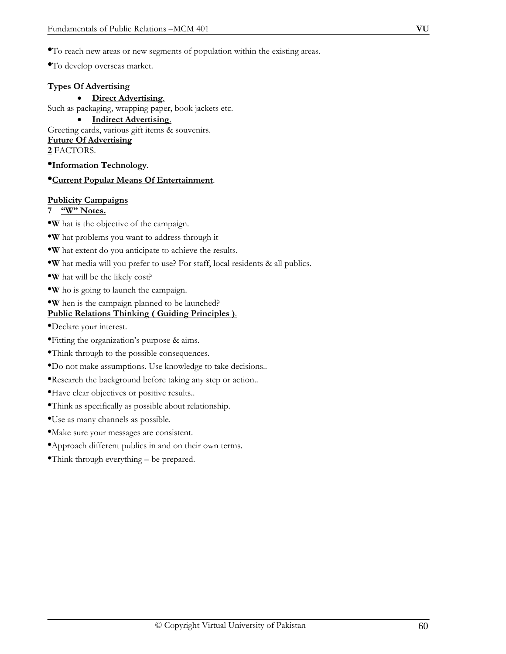•To develop overseas market.

#### **Types Of Advertising**

• **Direct Advertising**. Such as packaging, wrapping paper, book jackets etc.

• **Indirect Advertising**.

Greeting cards, various gift items & souvenirs. **Future Of Advertising**

# **2** FACTORS.

•**Information Technology**.

## •**Current Popular Means Of Entertainment**.

## **Publicity Campaigns**

- **7 "W" Notes.**
- •**W** hat is the objective of the campaign.
- •**W** hat problems you want to address through it
- •**W** hat extent do you anticipate to achieve the results.
- •**W** hat media will you prefer to use? For staff, local residents & all publics.
- •**W** hat will be the likely cost?
- •**W** ho is going to launch the campaign.
- •**W** hen is the campaign planned to be launched?

# **Public Relations Thinking ( Guiding Principles )**.

- •Declare your interest.
- •Fitting the organization's purpose & aims.
- •Think through to the possible consequences.
- •Do not make assumptions. Use knowledge to take decisions..
- •Research the background before taking any step or action..
- •Have clear objectives or positive results..
- •Think as specifically as possible about relationship.
- •Use as many channels as possible.
- •Make sure your messages are consistent.
- •Approach different publics in and on their own terms.
- •Think through everything be prepared.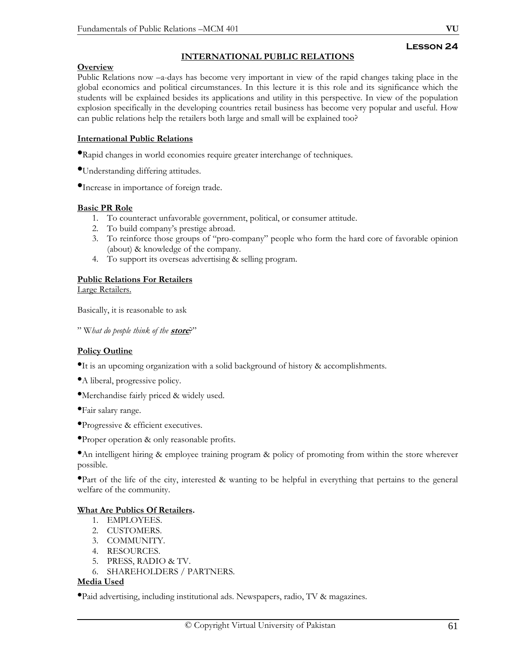## **INTERNATIONAL PUBLIC RELATIONS**

## **Overview**

Public Relations now –a-days has become very important in view of the rapid changes taking place in the global economics and political circumstances. In this lecture it is this role and its significance which the students will be explained besides its applications and utility in this perspective. In view of the population explosion specifically in the developing countries retail business has become very popular and useful. How can public relations help the retailers both large and small will be explained too?

## **International Public Relations**

•Rapid changes in world economies require greater interchange of techniques.

•Understanding differing attitudes.

•Increase in importance of foreign trade.

#### **Basic PR Role**

- 1. To counteract unfavorable government, political, or consumer attitude.
- 2. To build company's prestige abroad.
- 3. To reinforce those groups of "pro-company" people who form the hard core of favorable opinion (about) & knowledge of the company.
- 4. To support its overseas advertising & selling program.

## **Public Relations For Retailers**

Large Retailers.

Basically, it is reasonable to ask

" W*hat do people think of the* **store**?"

#### **Policy Outline**

•It is an upcoming organization with a solid background of history & accomplishments.

- •A liberal, progressive policy.
- •Merchandise fairly priced & widely used.

•Fair salary range.

- •Progressive & efficient executives.
- •Proper operation & only reasonable profits.

•An intelligent hiring & employee training program & policy of promoting from within the store wherever possible.

•Part of the life of the city, interested & wanting to be helpful in everything that pertains to the general welfare of the community.

#### **What Are Publics Of Retailers.**

- 1. EMPLOYEES.
- 2. CUSTOMERS.
- 3. COMMUNITY.
- 4. RESOURCES.
- 5. PRESS, RADIO & TV.
- 6. SHAREHOLDERS / PARTNERS.

## **Media Used**

•Paid advertising, including institutional ads. Newspapers, radio, TV & magazines.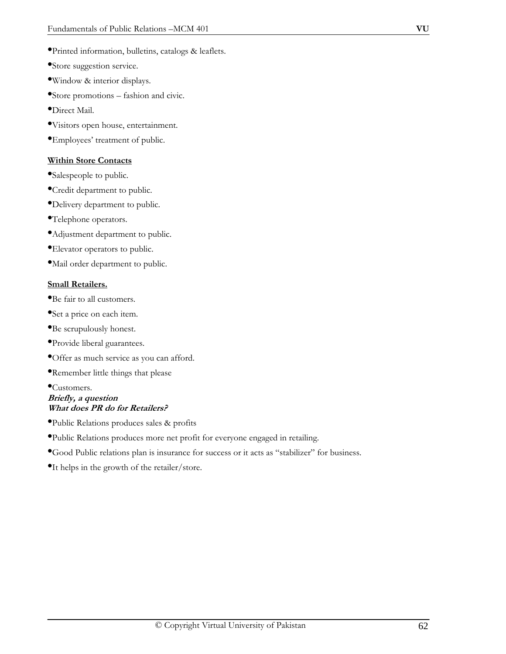- •Printed information, bulletins, catalogs & leaflets.
- •Store suggestion service.
- •Window & interior displays.
- •Store promotions fashion and civic.
- •Direct Mail.
- •Visitors open house, entertainment.
- •Employees' treatment of public.

#### **Within Store Contacts**

- •Salespeople to public.
- •Credit department to public.
- •Delivery department to public.
- •Telephone operators.
- •Adjustment department to public.
- •Elevator operators to public.
- •Mail order department to public.

#### **Small Retailers.**

- •Be fair to all customers.
- •Set a price on each item.
- •Be scrupulously honest.
- •Provide liberal guarantees.
- •Offer as much service as you can afford.
- •Remember little things that please

## •Customers. **Briefly, a question What does PR do for Retailers?**

- •Public Relations produces sales & profits
- •Public Relations produces more net profit for everyone engaged in retailing.
- •Good Public relations plan is insurance for success or it acts as "stabilizer" for business.
- •It helps in the growth of the retailer/store.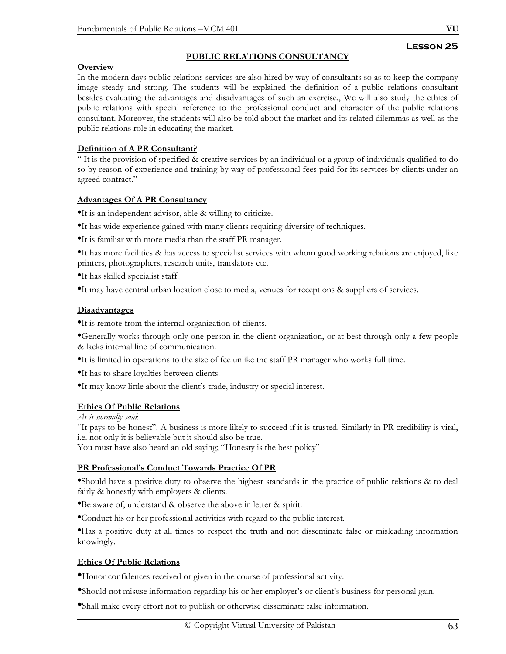## **PUBLIC RELATIONS CONSULTANCY**

## **Overview**

In the modern days public relations services are also hired by way of consultants so as to keep the company image steady and strong. The students will be explained the definition of a public relations consultant besides evaluating the advantages and disadvantages of such an exercise., We will also study the ethics of public relations with special reference to the professional conduct and character of the public relations consultant. Moreover, the students will also be told about the market and its related dilemmas as well as the public relations role in educating the market.

## **Definition of A PR Consultant?**

" It is the provision of specified & creative services by an individual or a group of individuals qualified to do so by reason of experience and training by way of professional fees paid for its services by clients under an agreed contract."

## **Advantages Of A PR Consultancy**

•It is an independent advisor, able & willing to criticize.

- •It has wide experience gained with many clients requiring diversity of techniques.
- •It is familiar with more media than the staff PR manager.

•It has more facilities & has access to specialist services with whom good working relations are enjoyed, like printers, photographers, research units, translators etc.

•It has skilled specialist staff.

•It may have central urban location close to media, venues for receptions & suppliers of services.

#### **Disadvantages**

•It is remote from the internal organization of clients.

•Generally works through only one person in the client organization, or at best through only a few people & lacks internal line of communication.

•It is limited in operations to the size of fee unlike the staff PR manager who works full time.

- •It has to share loyalties between clients.
- •It may know little about the client's trade, industry or special interest.

#### **Ethics Of Public Relations**

*As is normally said*:

"It pays to be honest". A business is more likely to succeed if it is trusted. Similarly in PR credibility is vital, i.e. not only it is believable but it should also be true.

You must have also heard an old saying; "Honesty is the best policy"

#### **PR Professional's Conduct Towards Practice Of PR**

•Should have a positive duty to observe the highest standards in the practice of public relations & to deal fairly & honestly with employers & clients.

•Be aware of, understand & observe the above in letter & spirit.

•Conduct his or her professional activities with regard to the public interest.

•Has a positive duty at all times to respect the truth and not disseminate false or misleading information knowingly.

#### **Ethics Of Public Relations**

•Honor confidences received or given in the course of professional activity.

•Should not misuse information regarding his or her employer's or client's business for personal gain.

•Shall make every effort not to publish or otherwise disseminate false information.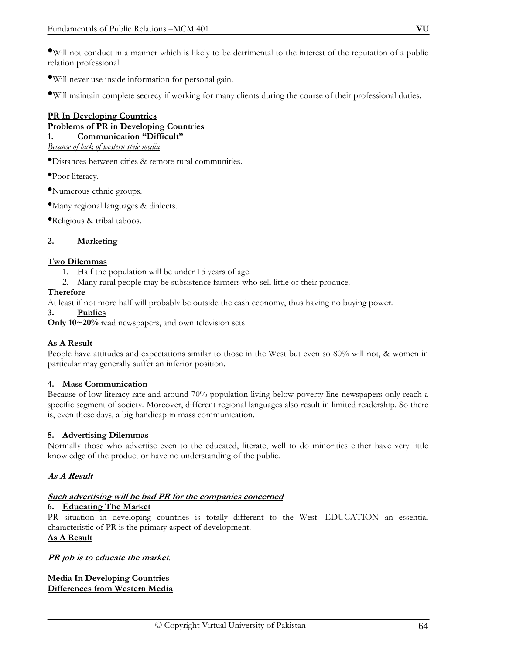•Will not conduct in a manner which is likely to be detrimental to the interest of the reputation of a public relation professional.

•Will never use inside information for personal gain.

•Will maintain complete secrecy if working for many clients during the course of their professional duties.

#### **PR In Developing Countries Problems of PR in Developing Countries 1. Communication "Difficult"**

*Because of lack of western style media*

•Distances between cities & remote rural communities.

•Poor literacy.

•Numerous ethnic groups.

•Many regional languages & dialects.

•Religious & tribal taboos.

#### **2. Marketing**

#### **Two Dilemmas**

- 1. Half the population will be under 15 years of age.
- 2. Many rural people may be subsistence farmers who sell little of their produce.

#### **Therefore**

At least if not more half will probably be outside the cash economy, thus having no buying power.

**3. Publics**

**Only 10~20%** read newspapers, and own television sets

#### **As A Result**

People have attitudes and expectations similar to those in the West but even so 80% will not, & women in particular may generally suffer an inferior position.

#### **4. Mass Communication**

Because of low literacy rate and around 70% population living below poverty line newspapers only reach a specific segment of society. Moreover, different regional languages also result in limited readership. So there is, even these days, a big handicap in mass communication.

#### **5. Advertising Dilemmas**

Normally those who advertise even to the educated, literate, well to do minorities either have very little knowledge of the product or have no understanding of the public.

#### **As A Result**

#### **Such advertising will be bad PR for the companies concerned**

#### **6. Educating The Market**

PR situation in developing countries is totally different to the West. EDUCATION an essential characteristic of PR is the primary aspect of development.

# **As A Result**

#### **PR job is to educate the market**.

**Media In Developing Countries Differences from Western Media**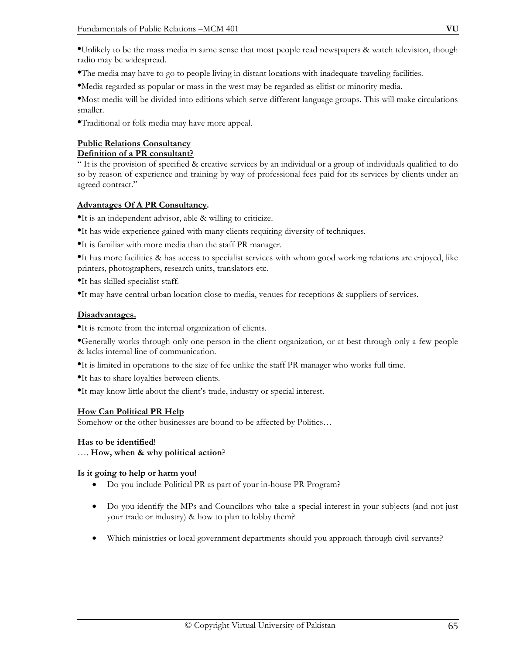•Unlikely to be the mass media in same sense that most people read newspapers & watch television, though radio may be widespread.

•The media may have to go to people living in distant locations with inadequate traveling facilities.

•Media regarded as popular or mass in the west may be regarded as elitist or minority media.

•Most media will be divided into editions which serve different language groups. This will make circulations smaller.

•Traditional or folk media may have more appeal.

## **Public Relations Consultancy**

## **Definition of a PR consultant?**

" It is the provision of specified & creative services by an individual or a group of individuals qualified to do so by reason of experience and training by way of professional fees paid for its services by clients under an agreed contract."

## **Advantages Of A PR Consultancy.**

•It is an independent advisor, able & willing to criticize.

- •It has wide experience gained with many clients requiring diversity of techniques.
- •It is familiar with more media than the staff PR manager.

•It has more facilities & has access to specialist services with whom good working relations are enjoyed, like printers, photographers, research units, translators etc.

•It has skilled specialist staff.

•It may have central urban location close to media, venues for receptions & suppliers of services.

## **Disadvantages.**

•It is remote from the internal organization of clients.

•Generally works through only one person in the client organization, or at best through only a few people & lacks internal line of communication.

•It is limited in operations to the size of fee unlike the staff PR manager who works full time.

•It has to share loyalties between clients.

•It may know little about the client's trade, industry or special interest.

# **How Can Political PR Help**

Somehow or the other businesses are bound to be affected by Politics…

# **Has to be identified**!

…. **How, when & why political action**?

# **Is it going to help or harm you!**

- Do you include Political PR as part of your in-house PR Program?
- Do you identify the MPs and Councilors who take a special interest in your subjects (and not just your trade or industry) & how to plan to lobby them?
- Which ministries or local government departments should you approach through civil servants?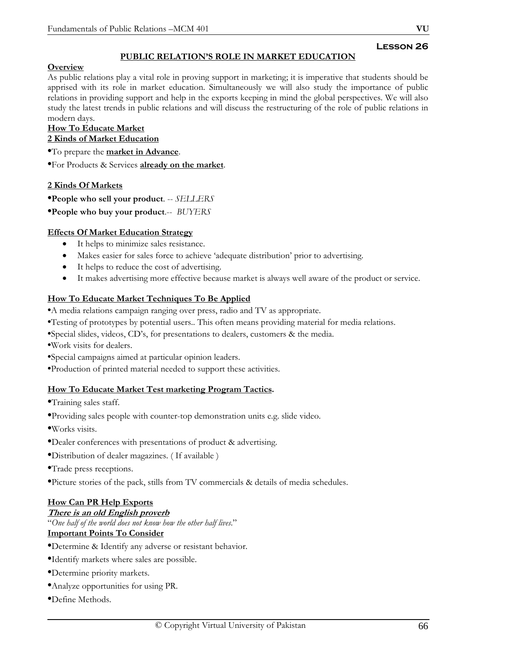# **PUBLIC RELATION'S ROLE IN MARKET EDUCATION**

## **Overview**

As public relations play a vital role in proving support in marketing; it is imperative that students should be apprised with its role in market education. Simultaneously we will also study the importance of public relations in providing support and help in the exports keeping in mind the global perspectives. We will also study the latest trends in public relations and will discuss the restructuring of the role of public relations in modern days.

#### **How To Educate Market 2 Kinds of Market Education**

•To prepare the **market in Advance**.

•For Products & Services **already on the market**.

## **2 Kinds Of Markets**

•**People who sell your product**. -- *SELLERS*

•**People who buy your product**.-- *BUYERS* 

## **Effects Of Market Education Strategy**

- It helps to minimize sales resistance.
- Makes easier for sales force to achieve 'adequate distribution' prior to advertising.
- It helps to reduce the cost of advertising.
- It makes advertising more effective because market is always well aware of the product or service.

# **How To Educate Market Techniques To Be Applied**

- •A media relations campaign ranging over press, radio and TV as appropriate.
- •Testing of prototypes by potential users.. This often means providing material for media relations.
- •Special slides, videos, CD's, for presentations to dealers, customers & the media.
- •Work visits for dealers.
- •Special campaigns aimed at particular opinion leaders.
- •Production of printed material needed to support these activities.

#### **How To Educate Market Test marketing Program Tactics.**

•Training sales staff.

- •Providing sales people with counter-top demonstration units e.g. slide video.
- •Works visits.
- •Dealer conferences with presentations of product & advertising.
- •Distribution of dealer magazines. ( If available )
- •Trade press receptions.
- •Picture stories of the pack, stills from TV commercials & details of media schedules.

# **How Can PR Help Exports**

#### **There is an old English proverb**

"*One half of the world does not know how the other half lives*." **Important Points To Consider**

- •Determine & Identify any adverse or resistant behavior.
- •Identify markets where sales are possible.
- •Determine priority markets.
- •Analyze opportunities for using PR.
- •Define Methods.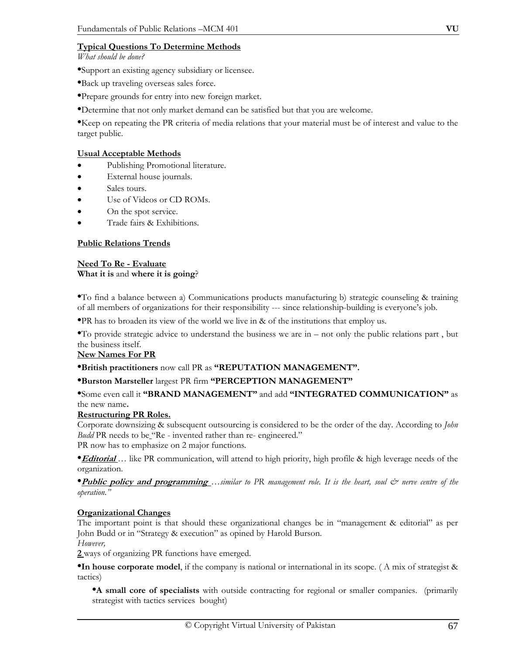*What should be done?* 

•Support an existing agency subsidiary or licensee.

•Back up traveling overseas sales force.

•Prepare grounds for entry into new foreign market.

•Determine that not only market demand can be satisfied but that you are welcome.

•Keep on repeating the PR criteria of media relations that your material must be of interest and value to the target public.

## **Usual Acceptable Methods**

- Publishing Promotional literature.
- External house journals.
- Sales tours.
- Use of Videos or CD ROMs.
- On the spot service.
- Trade fairs & Exhibitions.

## **Public Relations Trends**

#### **Need To Re - Evaluate What it is** and **where it is going**?

•To find a balance between a) Communications products manufacturing b) strategic counseling & training of all members of organizations for their responsibility --- since relationship-building is everyone's job.

•PR has to broaden its view of the world we live in & of the institutions that employ us.

•To provide strategic advice to understand the business we are in – not only the public relations part , but the business itself.

#### **New Names For PR**

#### •**British practitioners** now call PR as **"REPUTATION MANAGEMENT".**

# •**Burston Marsteller** largest PR firm **"PERCEPTION MANAGEMENT"**

•Some even call it **"BRAND MANAGEMENT"** and add **"INTEGRATED COMMUNICATION"** as the new name**.** 

#### **Restructuring PR Roles.**

Corporate downsizing & subsequent outsourcing is considered to be the order of the day. According to *John Budd* PR needs to be "Re - invented rather than re- engineered." PR now has to emphasize on 2 major functions*.* 

•**Editorial** *…* like PR communication, will attend to high priority, high profile & high leverage needs of the organization.

•**Public policy and programming** *…similar to* PR management role. It is the heart, soul  $\dot{\mathcal{O}}$  nerve centre of the *operation."* 

# **Organizational Changes**

The important point is that should these organizational changes be in "management & editorial" as per John Budd or in "Strategy & execution" as opined by Harold Burson.

*However,* 

**2** ways of organizing PR functions have emerged.

•**In house corporate model**, if the company is national or international in its scope. ( A mix of strategist & tactics)

•**A small core of specialists** with outside contracting for regional or smaller companies. (primarily strategist with tactics services bought)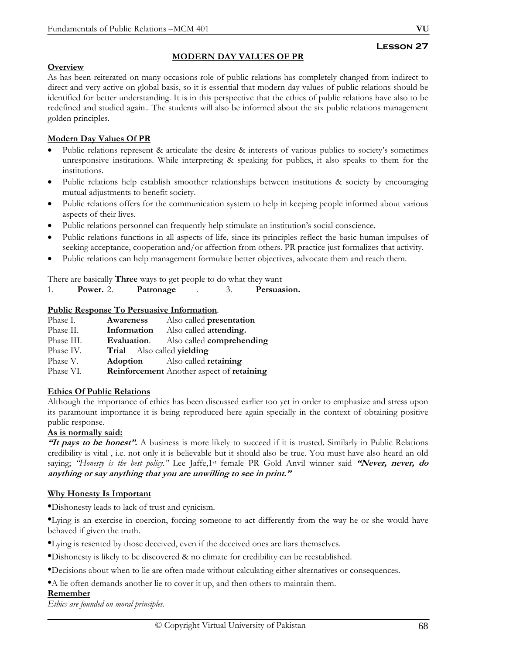# **Lesson 27**

# **Overview**

As has been reiterated on many occasions role of public relations has completely changed from indirect to direct and very active on global basis, so it is essential that modern day values of public relations should be identified for better understanding. It is in this perspective that the ethics of public relations have also to be redefined and studied again.. The students will also be informed about the six public relations management golden principles.

**MODERN DAY VALUES OF PR**

# **Modern Day Values Of PR**

- Public relations represent & articulate the desire & interests of various publics to society's sometimes unresponsive institutions. While interpreting & speaking for publics, it also speaks to them for the institutions.
- Public relations help establish smoother relationships between institutions & society by encouraging mutual adjustments to benefit society.
- Public relations offers for the communication system to help in keeping people informed about various aspects of their lives.
- Public relations personnel can frequently help stimulate an institution's social conscience.
- Public relations functions in all aspects of life, since its principles reflect the basic human impulses of seeking acceptance, cooperation and/or affection from others. PR practice just formalizes that activity.
- Public relations can help management formulate better objectives, advocate them and reach them.

There are basically **Three** ways to get people to do what they want

| Power. 2. | Patronage |  | Persuasion. |
|-----------|-----------|--|-------------|

## **Public Response To Persuasive Information**.

| Phase I.   | Awareness                  | Also called presentation                         |
|------------|----------------------------|--------------------------------------------------|
| Phase II.  | Information                | Also called <b>attending.</b>                    |
| Phase III. | Evaluation.                | Also called <b>comprehending</b>                 |
| Phase IV.  | Trial Also called yielding |                                                  |
| Phase V.   |                            | <b>Adoption</b> Also called <b>retaining</b>     |
| Phase VI.  |                            | <b>Reinforcement</b> Another aspect of retaining |

#### **Ethics Of Public Relations**

Although the importance of ethics has been discussed earlier too yet in order to emphasize and stress upon its paramount importance it is being reproduced here again specially in the context of obtaining positive public response.

#### **As is normally said:**

**"It pays to be honest".** A business is more likely to succeed if it is trusted. Similarly in Public Relations credibility is vital , i.e. not only it is believable but it should also be true. You must have also heard an old saying; *"Honesty is the best policy."* Lee Jaffe,1st female PR Gold Anvil winner said **"Never, never, do anything or say anything that you are unwilling to see in print."** 

# **Why Honesty Is Important**

•Dishonesty leads to lack of trust and cynicism.

•Lying is an exercise in coercion, forcing someone to act differently from the way he or she would have behaved if given the truth.

•Lying is resented by those deceived, even if the deceived ones are liars themselves.

•Dishonesty is likely to be discovered & no climate for credibility can be reestablished.

•Decisions about when to lie are often made without calculating either alternatives or consequences.

•A lie often demands another lie to cover it up, and then others to maintain them.

# **Remember**

*Ethics are founded on moral principles*.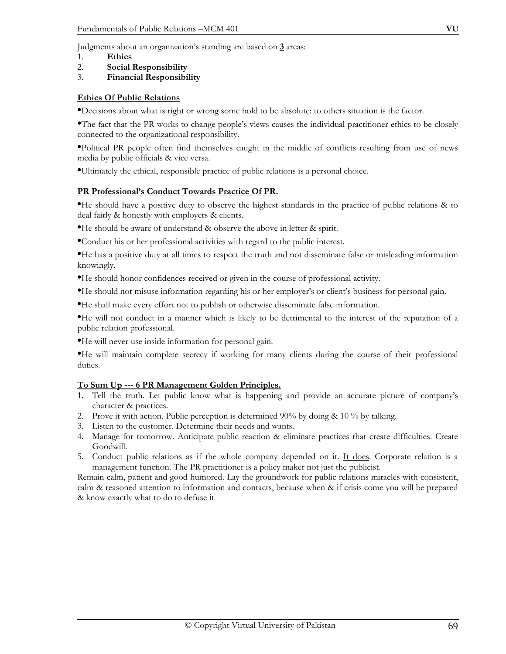Judgments about an organization's standing are based on **3** areas:

- 1. **Ethics**
- 2. **Social Responsibility**
- 3. **Financial Responsibility**

## **Ethics Of Public Relations**

•Decisions about what is right or wrong some hold to be absolute: to others situation is the factor.

•The fact that the PR works to change people's views causes the individual practitioner ethics to be closely connected to the organizational responsibility.

•Political PR people often find themselves caught in the middle of conflicts resulting from use of news media by public officials & vice versa.

•Ultimately the ethical, responsible practice of public relations is a personal choice.

## **PR Professional's Conduct Towards Practice Of PR.**

•He should have a positive duty to observe the highest standards in the practice of public relations & to deal fairly & honestly with employers & clients.

•He should be aware of understand & observe the above in letter & spirit.

•Conduct his or her professional activities with regard to the public interest.

•He has a positive duty at all times to respect the truth and not disseminate false or misleading information knowingly.

•He should honor confidences received or given in the course of professional activity.

•He should not misuse information regarding his or her employer's or client's business for personal gain.

•He shall make every effort not to publish or otherwise disseminate false information.

•He will not conduct in a manner which is likely to be detrimental to the interest of the reputation of a public relation professional.

•He will never use inside information for personal gain.

•He will maintain complete secrecy if working for many clients during the course of their professional duties.

#### **To Sum Up --- 6 PR Management Golden Principles.**

- 1. Tell the truth. Let public know what is happening and provide an accurate picture of company's character & practices.
- 2. Prove it with action. Public perception is determined  $90\%$  by doing & 10 % by talking.
- 3. Listen to the customer. Determine their needs and wants.
- 4. Manage for tomorrow. Anticipate public reaction & eliminate practices that create difficulties. Create Goodwill.
- 5. Conduct public relations as if the whole company depended on it. It does. Corporate relation is a management function. The PR practitioner is a policy maker not just the publicist.

Remain calm, patient and good humored. Lay the groundwork for public relations miracles with consistent, calm & reasoned attention to information and contacts, because when & if crisis come you will be prepared & know exactly what to do to defuse it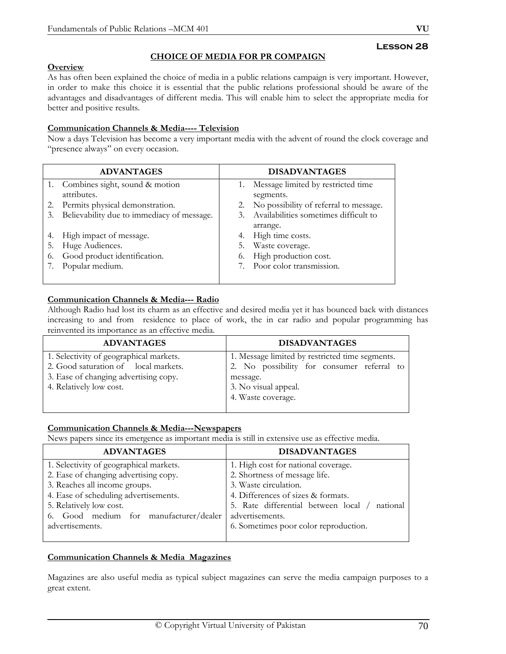# **CHOICE OF MEDIA FOR PR COMPAIGN**

# **Overview**

As has often been explained the choice of media in a public relations campaign is very important. However, in order to make this choice it is essential that the public relations professional should be aware of the advantages and disadvantages of different media. This will enable him to select the appropriate media for better and positive results.

## **Communication Channels & Media---- Television**

Now a days Television has become a very important media with the advent of round the clock coverage and "presence always" on every occasion.

|    | <b>ADVANTAGES</b>                          |    | <b>DISADVANTAGES</b>                   |
|----|--------------------------------------------|----|----------------------------------------|
|    | 1. Combines sight, sound & motion          |    | Message limited by restricted time     |
|    | attributes.                                |    | segments.                              |
| 2. | Permits physical demonstration.            | 2. | No possibility of referral to message. |
| 3. | Believability due to immediacy of message. | 3. | Availabilities sometimes difficult to  |
|    |                                            |    | arrange.                               |
| 4. | High impact of message.                    | 4. | High time costs.                       |
| 5. | Huge Audiences.                            | 5. | Waste coverage.                        |
| 6. | Good product identification.               | 6. | High production cost.                  |
|    | Popular medium.                            |    | 7. Poor color transmission.            |
|    |                                            |    |                                        |

## **Communication Channels & Media--- Radio**

Although Radio had lost its charm as an effective and desired media yet it has bounced back with distances increasing to and from residence to place of work, the in car radio and popular programming has reinvented its importance as an effective media.

| <b>ADVANTAGES</b>                                                               | <b>DISADVANTAGES</b>                                                                          |
|---------------------------------------------------------------------------------|-----------------------------------------------------------------------------------------------|
| 1. Selectivity of geographical markets.<br>2. Good saturation of local markets. | 1. Message limited by restricted time segments.<br>2. No possibility for consumer referral to |
| 3. Ease of changing advertising copy.<br>4. Relatively low cost.                | message.<br>3. No visual appeal.<br>4. Waste coverage.                                        |

# **Communication Channels & Media---Newspapers**

News papers since its emergence as important media is still in extensive use as effective media.

| <b>ADVANTAGES</b>                       | <b>DISADVANTAGES</b>                          |
|-----------------------------------------|-----------------------------------------------|
| 1. Selectivity of geographical markets. | 1. High cost for national coverage.           |
| 2. Ease of changing advertising copy.   | 2. Shortness of message life.                 |
| 3. Reaches all income groups.           | 3. Waste circulation.                         |
| 4. Ease of scheduling advertisements.   | 4. Differences of sizes & formats.            |
| 5. Relatively low cost.                 | 5. Rate differential between local / national |
| 6. Good medium for manufacturer/dealer  | advertisements.                               |
| advertisements.                         | 6. Sometimes poor color reproduction.         |
|                                         |                                               |

# **Communication Channels & Media Magazines**

Magazines are also useful media as typical subject magazines can serve the media campaign purposes to a great extent.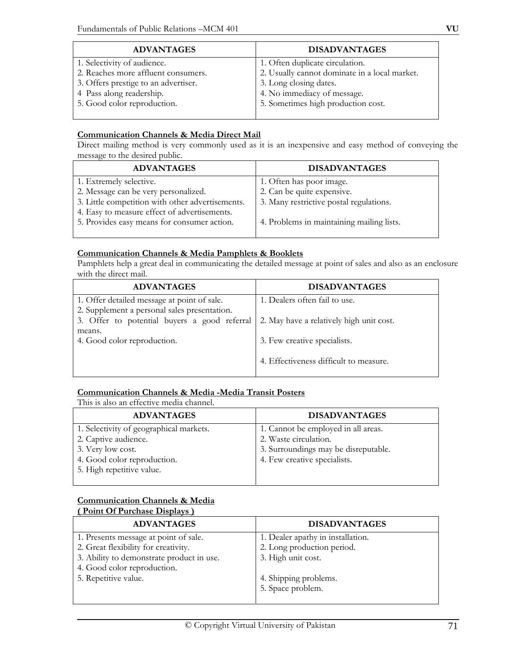| <b>ADVANTAGES</b>                    | <b>DISADVANTAGES</b>                          |
|--------------------------------------|-----------------------------------------------|
| 1. Selectivity of audience.          | 1. Often duplicate circulation.               |
| 2. Reaches more affluent consumers.  | 2. Usually cannot dominate in a local market. |
| 3. Offers prestige to an advertiser. | 3. Long closing dates.                        |
| 4 Pass along readership.             | 4. No immediacy of message.                   |
| 5. Good color reproduction.          | 5. Sometimes high production cost.            |
|                                      |                                               |

# **Communication Channels & Media Direct Mail**

Direct mailing method is very commonly used as it is an inexpensive and easy method of conveying the message to the desired public.

| <b>ADVANTAGES</b>                                | <b>DISADVANTAGES</b>                      |
|--------------------------------------------------|-------------------------------------------|
| 1. Extremely selective.                          | 1. Often has poor image.                  |
| 2. Message can be very personalized.             | 2. Can be quite expensive.                |
| 3. Little competition with other advertisements. | 3. Many restrictive postal regulations.   |
| 4. Easy to measure effect of advertisements.     |                                           |
| 5. Provides easy means for consumer action.      | 4. Problems in maintaining mailing lists. |
|                                                  |                                           |

## **Communication Channels & Media Pamphlets & Booklets**

Pamphlets help a great deal in communicating the detailed message at point of sales and also as an enclosure with the direct mail.

| <b>ADVANTAGES</b>                            | <b>DISADVANTAGES</b>                     |
|----------------------------------------------|------------------------------------------|
| 1. Offer detailed message at point of sale.  | 1. Dealers often fail to use.            |
| 2. Supplement a personal sales presentation. |                                          |
| 3. Offer to potential buyers a good referral | 2. May have a relatively high unit cost. |
| means.                                       |                                          |
| 4. Good color reproduction.                  | 3. Few creative specialists.             |
|                                              |                                          |
|                                              | 4. Effectiveness difficult to measure.   |
|                                              |                                          |

# **Communication Channels & Media -Media Transit Posters**

This is also an effective media channel.

| <b>ADVANTAGES</b>                       | <b>DISADVANTAGES</b>                 |
|-----------------------------------------|--------------------------------------|
| 1. Selectivity of geographical markets. | 1. Cannot be employed in all areas.  |
| 2. Captive audience.                    | 2. Waste circulation.                |
| 3. Very low cost.                       | 3. Surroundings may be disreputable. |
| 4. Good color reproduction.             | 4. Few creative specialists.         |
| 5. High repetitive value.               |                                      |

#### **Communication Channels & Media ( Point Of Purchase Displays )**

| $1.9$ and $0.11$ and $0.00$ and $0.00$ and $0.00$ |                                   |
|---------------------------------------------------|-----------------------------------|
| <b>ADVANTAGES</b>                                 | <b>DISADVANTAGES</b>              |
| 1. Presents message at point of sale.             | 1. Dealer apathy in installation. |
| 2. Great flexibility for creativity.              | 2. Long production period.        |
| 3. Ability to demonstrate product in use.         | 3. High unit cost.                |
| 4. Good color reproduction.                       |                                   |
| 5. Repetitive value.                              | 4. Shipping problems.             |
|                                                   | 5. Space problem.                 |
|                                                   |                                   |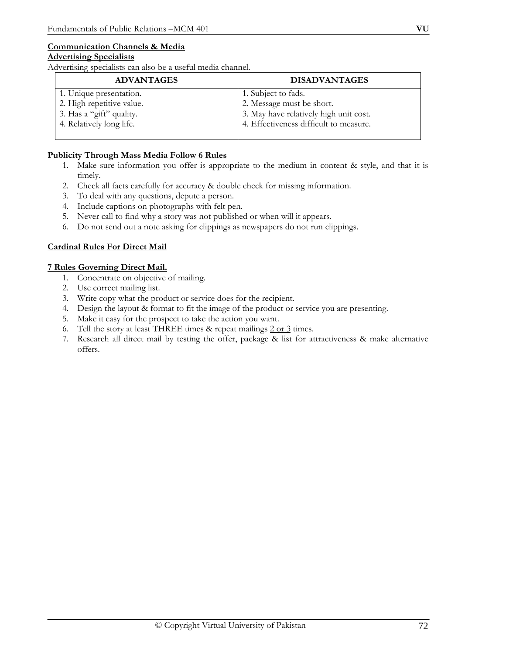# **Communication Channels & Media**

## **Advertising Specialists**

Advertising specialists can also be a useful media channel.

| <b>ADVANTAGES</b>         | <b>DISADVANTAGES</b>                   |
|---------------------------|----------------------------------------|
| 1. Unique presentation.   | 1. Subject to fads.                    |
| 2. High repetitive value. | 2. Message must be short.              |
| 3. Has a "gift" quality.  | 3. May have relatively high unit cost. |
| 4. Relatively long life.  | 4. Effectiveness difficult to measure. |
|                           |                                        |

## **Publicity Through Mass Media Follow 6 Rules**

- 1. Make sure information you offer is appropriate to the medium in content & style, and that it is timely.
- 2. Check all facts carefully for accuracy & double check for missing information.
- 3. To deal with any questions, depute a person.
- 4. Include captions on photographs with felt pen.
- 5. Never call to find why a story was not published or when will it appears.
- 6. Do not send out a note asking for clippings as newspapers do not run clippings.

# **Cardinal Rules For Direct Mail**

## **7 Rules Governing Direct Mail.**

- 1. Concentrate on objective of mailing.
- 2. Use correct mailing list.
- 3. Write copy what the product or service does for the recipient.
- 4. Design the layout & format to fit the image of the product or service you are presenting.
- 5. Make it easy for the prospect to take the action you want.
- 6. Tell the story at least THREE times  $\&$  repeat mailings  $2$  or  $3$  times.
- 7. Research all direct mail by testing the offer, package & list for attractiveness & make alternative offers.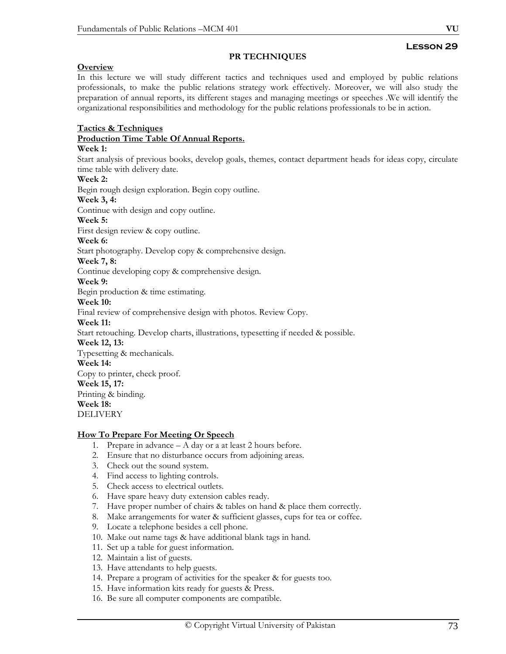# **Lesson 29**

#### **PR TECHNIQUES**

#### **Overview**

In this lecture we will study different tactics and techniques used and employed by public relations professionals, to make the public relations strategy work effectively. Moreover, we will also study the preparation of annual reports, its different stages and managing meetings or speeches .We will identify the organizational responsibilities and methodology for the public relations professionals to be in action.

#### **Tactics & Techniques**

#### **Production Time Table Of Annual Reports.**

#### **Week 1:**

Start analysis of previous books, develop goals, themes, contact department heads for ideas copy, circulate time table with delivery date.

#### **Week 2:**

Begin rough design exploration. Begin copy outline.

#### **Week 3, 4:**

Continue with design and copy outline.

#### **Week 5:**

First design review & copy outline.

#### **Week 6:**

Start photography. Develop copy & comprehensive design.

#### **Week 7, 8:**

Continue developing copy & comprehensive design.

#### **Week 9:**

Begin production & time estimating.

#### **Week 10:**

Final review of comprehensive design with photos. Review Copy.

#### **Week 11:**

Start retouching. Develop charts, illustrations, typesetting if needed & possible.

#### **Week 12, 13:**

Typesetting & mechanicals.

#### **Week 14:**

Copy to printer, check proof.

#### **Week 15, 17:**

Printing & binding.

#### **Week 18:**

DELIVERY

#### **How To Prepare For Meeting Or Speech**

- 1. Prepare in advance A day or a at least 2 hours before.
- 2. Ensure that no disturbance occurs from adjoining areas.
- 3. Check out the sound system.
- 4. Find access to lighting controls.
- 5. Check access to electrical outlets.
- 6. Have spare heavy duty extension cables ready.
- 7. Have proper number of chairs & tables on hand & place them correctly.
- 8. Make arrangements for water & sufficient glasses, cups for tea or coffee.
- 9. Locate a telephone besides a cell phone.
- 10. Make out name tags & have additional blank tags in hand.
- 11. Set up a table for guest information.
- 12. Maintain a list of guests.
- 13. Have attendants to help guests.
- 14. Prepare a program of activities for the speaker & for guests too.
- 15. Have information kits ready for guests & Press.
- 16. Be sure all computer components are compatible.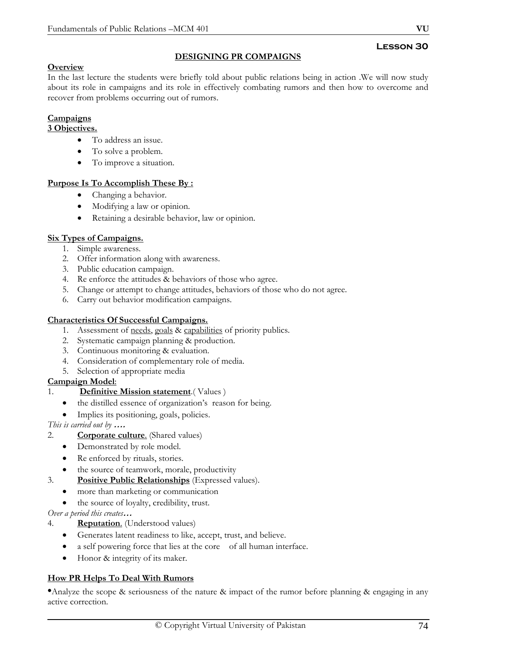# **Lesson 30**

# **Overview**

**DESIGNING PR COMPAIGNS**

In the last lecture the students were briefly told about public relations being in action .We will now study about its role in campaigns and its role in effectively combating rumors and then how to overcome and recover from problems occurring out of rumors.

# **Campaigns**

#### **3 Objectives.**

- To address an issue.
- To solve a problem.
- To improve a situation.

#### **Purpose Is To Accomplish These By :**

- Changing a behavior.
- Modifying a law or opinion.
- Retaining a desirable behavior, law or opinion.

# **Six Types of Campaigns.**

- 1. Simple awareness.
- 2. Offer information along with awareness.
- 3. Public education campaign.
- 4. Re enforce the attitudes & behaviors of those who agree.
- 5. Change or attempt to change attitudes, behaviors of those who do not agree.
- 6. Carry out behavior modification campaigns.

# **Characteristics Of Successful Campaigns.**

- 1. Assessment of needs, goals & capabilities of priority publics.
- 2. Systematic campaign planning & production.
- 3. Continuous monitoring & evaluation.
- 4. Consideration of complementary role of media.
- 5. Selection of appropriate media

# **Campaign Model**:

- 1. **Definitive Mission statement**.( Values )
	- the distilled essence of organization's reason for being.
	- Implies its positioning, goals, policies.

*This is carried out by* **….** 

- 2. **Corporate culture**. (Shared values)
	- Demonstrated by role model.
	- Re enforced by rituals, stories.
	- the source of teamwork, morale, productivity
- 3. **Positive Public Relationships** (Expressed values).
	- more than marketing or communication
	- the source of loyalty, credibility, trust.

*Over a period this creates***…**

- 4. **Reputation**. (Understood values)
	- Generates latent readiness to like, accept, trust, and believe.
	- a self powering force that lies at the core of all human interface.
	- Honor & integrity of its maker.

# **How PR Helps To Deal With Rumors**

•Analyze the scope & seriousness of the nature & impact of the rumor before planning & engaging in any active correction.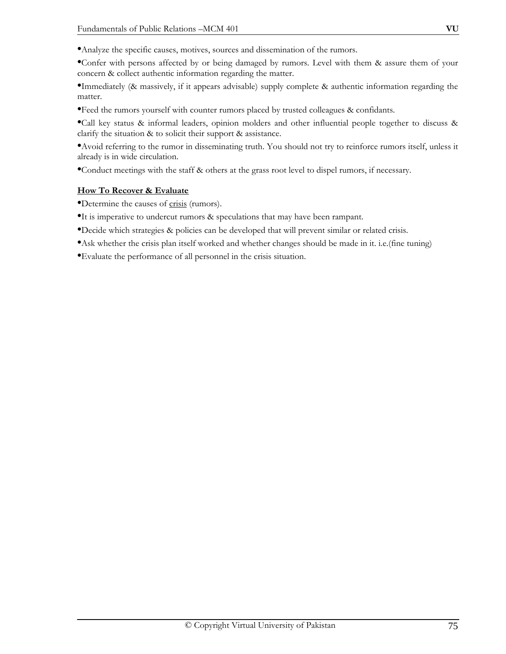•Analyze the specific causes, motives, sources and dissemination of the rumors.

•Confer with persons affected by or being damaged by rumors. Level with them & assure them of your concern & collect authentic information regarding the matter.

•Immediately (& massively, if it appears advisable) supply complete & authentic information regarding the matter.

•Feed the rumors yourself with counter rumors placed by trusted colleagues & confidants.

•Call key status & informal leaders, opinion molders and other influential people together to discuss & clarify the situation & to solicit their support & assistance.

•Avoid referring to the rumor in disseminating truth. You should not try to reinforce rumors itself, unless it already is in wide circulation.

•Conduct meetings with the staff & others at the grass root level to dispel rumors, if necessary.

# **How To Recover & Evaluate**

•Determine the causes of crisis (rumors).

•It is imperative to undercut rumors & speculations that may have been rampant.

•Decide which strategies & policies can be developed that will prevent similar or related crisis.

•Ask whether the crisis plan itself worked and whether changes should be made in it. i.e.(fine tuning)

•Evaluate the performance of all personnel in the crisis situation.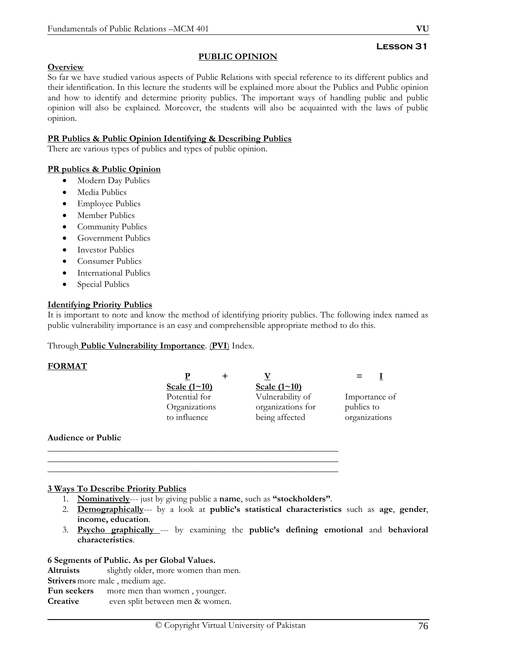# **Lesson 31**

# **Overview**

So far we have studied various aspects of Public Relations with special reference to its different publics and their identification. In this lecture the students will be explained more about the Publics and Public opinion and how to identify and determine priority publics. The important ways of handling public and public opinion will also be explained. Moreover, the students will also be acquainted with the laws of public opinion.

**PUBLIC OPINION**

### **PR Publics & Public Opinion Identifying & Describing Publics**

There are various types of publics and types of public opinion.

#### **PR publics & Public Opinion**

- Modern Day Publics
- Media Publics
- Employee Publics
- Member Publics
- Community Publics
- Government Publics
- Investor Publics
- Consumer Publics
- International Publics
- Special Publics

#### **Identifying Priority Publics**

It is important to note and know the method of identifying priority publics. The following index named as public vulnerability importance is an easy and comprehensible appropriate method to do this.

#### Through **Public Vulnerability Importance**. (**PVI**) Index.

#### **FORMAT**

| Scale $(1 \sim 10)$ | Scale $(1~10)$    |               |
|---------------------|-------------------|---------------|
| Potential for       | Vulnerability of  | Importance of |
| Organizations       | organizations for | publics to    |
| to influence        | being affected    | organizations |
|                     |                   |               |

#### **Audience or Public**

#### **3 Ways To Describe Priority Publics**

1. **Nominatively**--- just by giving public a **name**, such as **"stockholders"**.

\_\_\_\_\_\_\_\_\_\_\_\_\_\_\_\_\_\_\_\_\_\_\_\_\_\_\_\_\_\_\_\_\_\_\_\_\_\_\_\_\_\_\_\_\_\_\_\_\_\_\_\_\_\_\_\_\_\_\_\_\_\_\_\_ \_\_\_\_\_\_\_\_\_\_\_\_\_\_\_\_\_\_\_\_\_\_\_\_\_\_\_\_\_\_\_\_\_\_\_\_\_\_\_\_\_\_\_\_\_\_\_\_\_\_\_\_\_\_\_\_\_\_\_\_\_\_\_\_ \_\_\_\_\_\_\_\_\_\_\_\_\_\_\_\_\_\_\_\_\_\_\_\_\_\_\_\_\_\_\_\_\_\_\_\_\_\_\_\_\_\_\_\_\_\_\_\_\_\_\_\_\_\_\_\_\_\_\_\_\_\_\_\_

- 2. **Demographically**--- by a look at **public's statistical characteristics** such as **age**, **gender**, **income, education**.
- 3. **Psycho graphically** --- by examining the **public's defining emotional** and **behavioral characteristics**.

#### **6 Segments of Public. As per Global Values.**

**Altruists** slightly older, more women than men.

**Strivers** more male , medium age.

Fun seekers more men than women, younger.

**Creative** even split between men & women.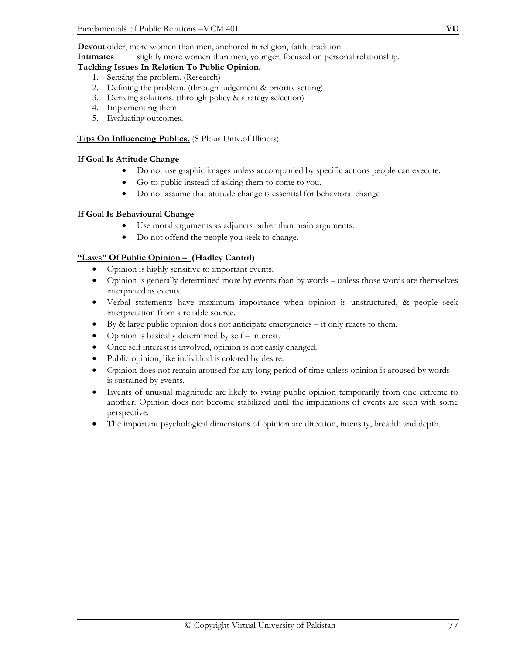**Devout** older, more women than men, anchored in religion, faith, tradition.

**Intimates** slightly more women than men, younger, focused on personal relationship.

#### **Tackling Issues In Relation To Public Opinion.**

- 1. Sensing the problem. (Research)
- 2. Defining the problem. (through judgement & priority setting)
- 3. Deriving solutions. (through policy & strategy selection)
- 4. Implementing them.
- 5. Evaluating outcomes.

# **Tips On Influencing Publics.** (S Plous Univ.of Illinois)

# **If Goal Is Attitude Change**

- Do not use graphic images unless accompanied by specific actions people can execute.
- Go to public instead of asking them to come to you.
- Do not assume that attitude change is essential for behavioral change

# **If Goal Is Behavioural Change**

- Use moral arguments as adjuncts rather than main arguments.
- Do not offend the people you seek to change.

# **"Laws" Of Public Opinion – (Hadley Cantril)**

- Opinion is highly sensitive to important events.
- Opinion is generally determined more by events than by words unless those words are themselves interpreted as events.
- Verbal statements have maximum importance when opinion is unstructured, & people seek interpretation from a reliable source.
- By & large public opinion does not anticipate emergencies it only reacts to them.
- Opinion is basically determined by self interest.
- Once self interest is involved, opinion is not easily changed.
- Public opinion, like individual is colored by desire.
- Opinion does not remain aroused for any long period of time unless opinion is aroused by words is sustained by events.
- Events of unusual magnitude are likely to swing public opinion temporarily from one extreme to another. Opinion does not become stabilized until the implications of events are seen with some perspective.
- The important psychological dimensions of opinion are direction, intensity, breadth and depth.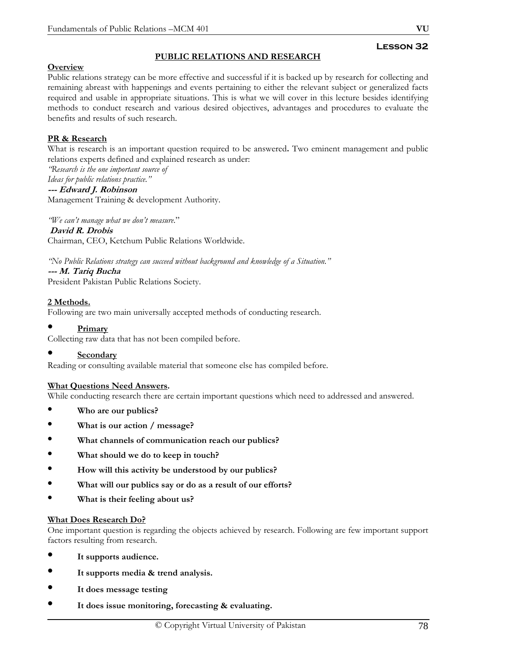# **PUBLIC RELATIONS AND RESEARCH**

# **Overview**

Public relations strategy can be more effective and successful if it is backed up by research for collecting and remaining abreast with happenings and events pertaining to either the relevant subject or generalized facts required and usable in appropriate situations. This is what we will cover in this lecture besides identifying methods to conduct research and various desired objectives, advantages and procedures to evaluate the benefits and results of such research.

# **PR & Research**

What is research is an important question required to be answered**.** Two eminent management and public relations experts defined and explained research as under:

*"Research is the one important source of Ideas for public relations practice."* 

#### **--- Edward J. Robinson**

Management Training & development Authority.

*"We can't manage what we don't measure*."  **David R. Drobis**  Chairman, CEO, Ketchum Public Relations Worldwide.

*"No Public Relations strategy can succeed without background and knowledge of a Situation."*  **--- M. Tariq Bucha**  President Pakistan Public Relations Society.

# **2 Methods.**

Following are two main universally accepted methods of conducting research.

#### • **Primary**

Collecting raw data that has not been compiled before.

#### • **Secondary**

Reading or consulting available material that someone else has compiled before.

#### **What Questions Need Answers.**

While conducting research there are certain important questions which need to addressed and answered.

- **Who are our publics?**
- • **What is our action / message?**
- • **What channels of communication reach our publics?**
- • **What should we do to keep in touch?**
- • **How will this activity be understood by our publics?**
- • **What will our publics say or do as a result of our efforts?**
- • **What is their feeling about us?**

#### **What Does Research Do?**

One important question is regarding the objects achieved by research. Following are few important support factors resulting from research.

- **It supports audience.**
- • **It supports media & trend analysis.**
- • **It does message testing**
- • **It does issue monitoring, forecasting & evaluating.**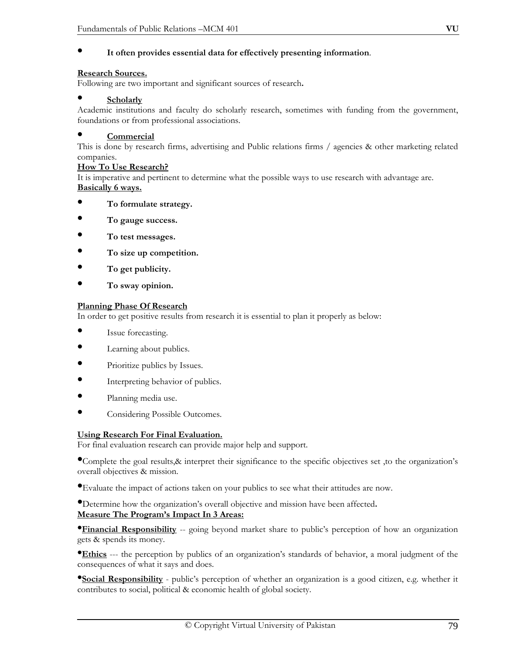# • **It often provides essential data for effectively presenting information**.

#### **Research Sources.**

Following are two important and significant sources of research**.** 

#### • **Scholarly**

Academic institutions and faculty do scholarly research, sometimes with funding from the government, foundations or from professional associations.

#### • **Commercial**

This is done by research firms, advertising and Public relations firms / agencies & other marketing related companies.

#### **How To Use Research?**

It is imperative and pertinent to determine what the possible ways to use research with advantage are. **Basically 6 ways.**

- **To formulate strategy.**
- • **To gauge success.**
- • **To test messages.**
- • **To size up competition.**
- • **To get publicity.**
- • **To sway opinion.**

#### **Planning Phase Of Research**

In order to get positive results from research it is essential to plan it properly as below:

- Issue forecasting.
- Learning about publics.
- Prioritize publics by Issues.
- Interpreting behavior of publics.
- Planning media use.
- Considering Possible Outcomes.

#### **Using Research For Final Evaluation.**

For final evaluation research can provide major help and support.

•Complete the goal results,& interpret their significance to the specific objectives set ,to the organization's overall objectives & mission.

•Evaluate the impact of actions taken on your publics to see what their attitudes are now.

•Determine how the organization's overall objective and mission have been affected**.** 

#### **Measure The Program's Impact In 3 Areas:**

**•Financial Responsibility** -- going beyond market share to public's perception of how an organization gets & spends its money.

•**Ethics** --- the perception by publics of an organization's standards of behavior, a moral judgment of the consequences of what it says and does.

•**Social Responsibility** - public's perception of whether an organization is a good citizen, e.g. whether it contributes to social, political & economic health of global society.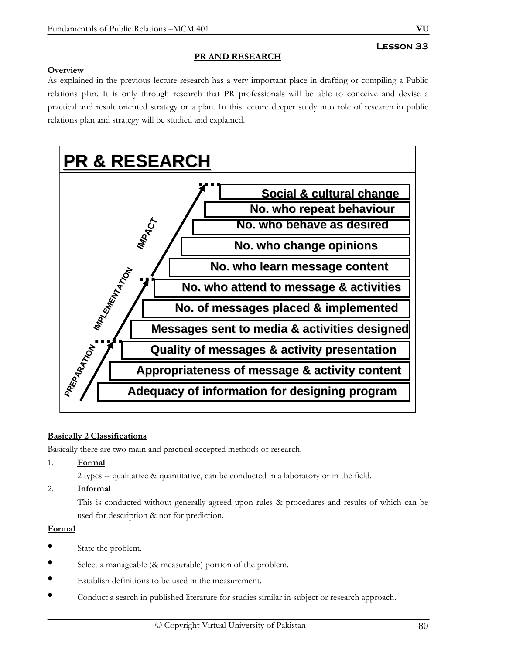# **Lesson 33**

# **PR AND RESEARCH**

# **Overview**

As explained in the previous lecture research has a very important place in drafting or compiling a Public relations plan. It is only through research that PR professionals will be able to conceive and devise a practical and result oriented strategy or a plan. In this lecture deeper study into role of research in public relations plan and strategy will be studied and explained.



# **Basically 2 Classifications**

Basically there are two main and practical accepted methods of research.

- 1. **Formal**
	- 2 types -- qualitative & quantitative, can be conducted in a laboratory or in the field.
- 2. **Informal**

 This is conducted without generally agreed upon rules & procedures and results of which can be used for description & not for prediction.

# **Formal**

- State the problem.
- Select a manageable (& measurable) portion of the problem.
- Establish definitions to be used in the measurement.
- Conduct a search in published literature for studies similar in subject or research approach.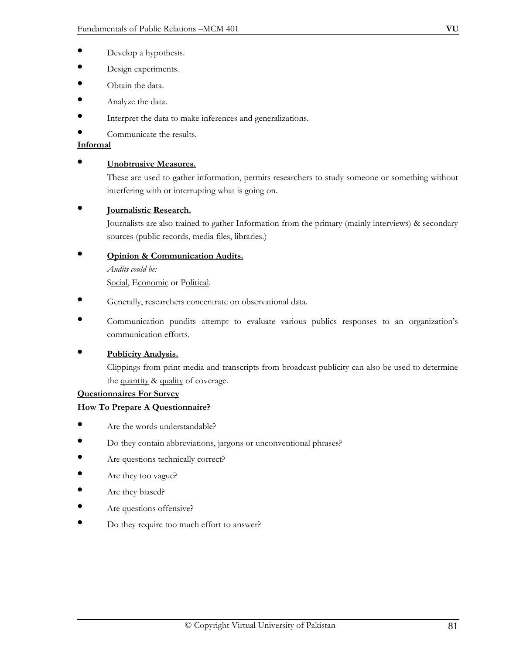- Develop a hypothesis.
- Design experiments.
- Obtain the data.
- Analyze the data.
- Interpret the data to make inferences and generalizations.
- Communicate the results.

# **Informal**

#### • **Unobtrusive Measures.**

These are used to gather information, permits researchers to study someone or something without interfering with or interrupting what is going on.

# • **Journalistic Research.**

Journalists are also trained to gather Information from the primary (mainly interviews) & secondary sources (public records, media files, libraries.)

# • **Opinion & Communication Audits.**

*Audits could be:*

Social, Economic or Political.

- Generally, researchers concentrate on observational data.
- Communication pundits attempt to evaluate various publics responses to an organization's communication efforts.

# • **Publicity Analysis.**

Clippings from print media and transcripts from broadcast publicity can also be used to determine the quantity & quality of coverage.

#### **Questionnaires For Survey**

# **How To Prepare A Questionnaire?**

- Are the words understandable?
- Do they contain abbreviations, jargons or unconventional phrases?
- Are questions technically correct?
- Are they too vague?
- Are they biased?
- Are questions offensive?
- Do they require too much effort to answer?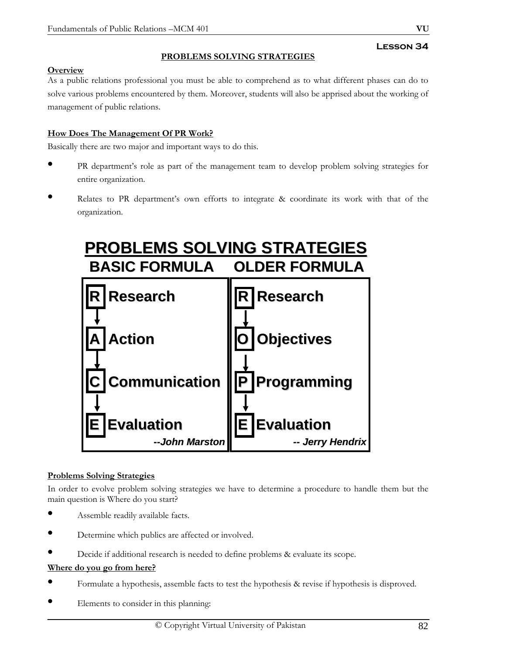# **PROBLEMS SOLVING STRATEGIES**

# **Overview**

As a public relations professional you must be able to comprehend as to what different phases can do to solve various problems encountered by them. Moreover, students will also be apprised about the working of management of public relations.

# **How Does The Management Of PR Work?**

Basically there are two major and important ways to do this.

- PR department's role as part of the management team to develop problem solving strategies for entire organization.
- Relates to PR department's own efforts to integrate & coordinate its work with that of the organization.



# **Problems Solving Strategies**

In order to evolve problem solving strategies we have to determine a procedure to handle them but the main question is Where do you start?

- Assemble readily available facts.
- Determine which publics are affected or involved.
- Decide if additional research is needed to define problems & evaluate its scope.

# **Where do you go from here?**

- Formulate a hypothesis, assemble facts to test the hypothesis & revise if hypothesis is disproved.
- Elements to consider in this planning: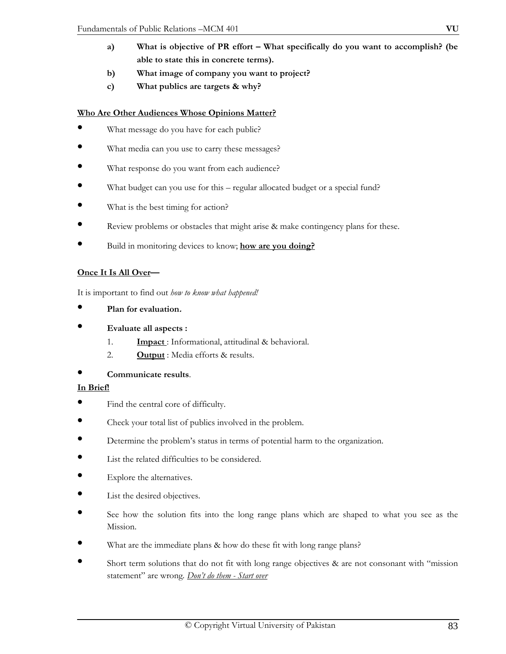- **a) What is objective of PR effort What specifically do you want to accomplish? (be able to state this in concrete terms).**
- **b) What image of company you want to project?**
- **c) What publics are targets & why?**

# **Who Are Other Audiences Whose Opinions Matter?**

- What message do you have for each public?
- What media can you use to carry these messages?
- What response do you want from each audience?
- What budget can you use for this regular allocated budget or a special fund?
- What is the best timing for action?
- Review problems or obstacles that might arise & make contingency plans for these.
- Build in monitoring devices to know; **how are you doing?**

# **Once It Is All Over—**

It is important to find out *how to know what happened!* 

- **Plan for evaluation.**
- **Evaluate all aspects :** 
	- 1. **Impact** : Informational, attitudinal & behavioral.
	- 2. **Output** : Media efforts & results.

# • **Communicate results**.

### **In Brief!**

- Find the central core of difficulty.
- Check your total list of publics involved in the problem.
- Determine the problem's status in terms of potential harm to the organization.
- List the related difficulties to be considered.
- Explore the alternatives.
- List the desired objectives.
- See how the solution fits into the long range plans which are shaped to what you see as the Mission.
- What are the immediate plans & how do these fit with long range plans?
- Short term solutions that do not fit with long range objectives & are not consonant with "mission statement" are wrong*. Don't do them - Start over*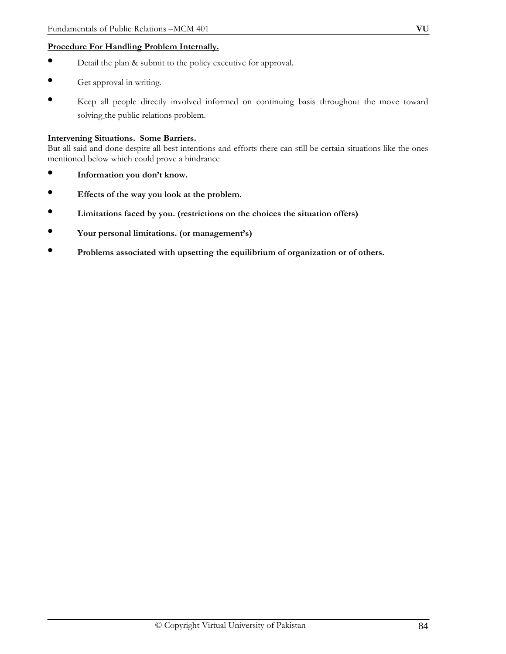# **Procedure For Handling Problem Internally.**

- Detail the plan & submit to the policy executive for approval.
- Get approval in writing.
- Keep all people directly involved informed on continuing basis throughout the move toward solving the public relations problem.

#### **Intervening Situations. Some Barriers.**

But all said and done despite all best intentions and efforts there can still be certain situations like the ones mentioned below which could prove a hindrance

- **Information you don't know.**
- **Effects of the way you look at the problem.**
- **Limitations faced by you. (restrictions on the choices the situation offers)**
- **Your personal limitations. (or management's)**
- **Problems associated with upsetting the equilibrium of organization or of others.**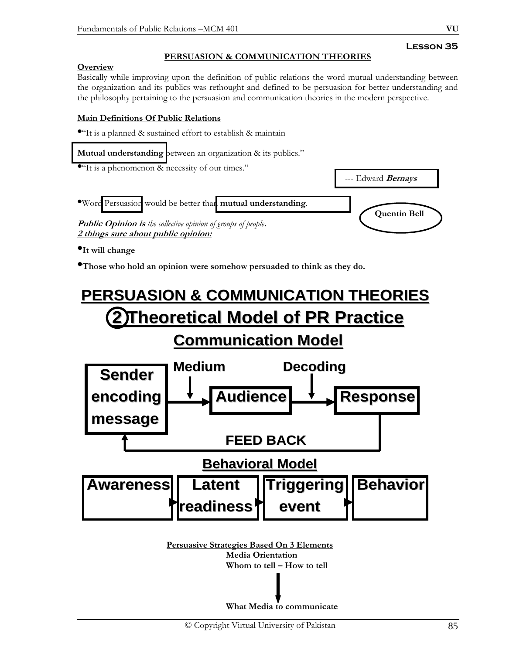# **PERSUASION & COMMUNICATION THEORIES**

# **Overview**

Basically while improving upon the definition of public relations the word mutual understanding between the organization and its publics was rethought and defined to be persuasion for better understanding and the philosophy pertaining to the persuasion and communication theories in the modern perspective.

# **Main Definitions Of Public Relations**

 $\bullet$ "It is a planned & sustained effort to establish & maintain

**Mutual understanding** between an organization & its publics."

• "It is a phenomenon & necessity of our times."



•**It will change** 

•**Those who hold an opinion were somehow persuaded to think as they do.** 

# **PERSUASION & COMMUNICATION THEORIES PERSUASION & COMMUNICATION THEORIES 2 Theoretical Model of PR Practice 2 Theoretical Model of PR Practice Communication Model Communication Model Medium Decoding Decoding**



**Persuasive Strategies Based On 3 Elements Media Orientation Whom to tell – How to tell** 

**What Media to communicate**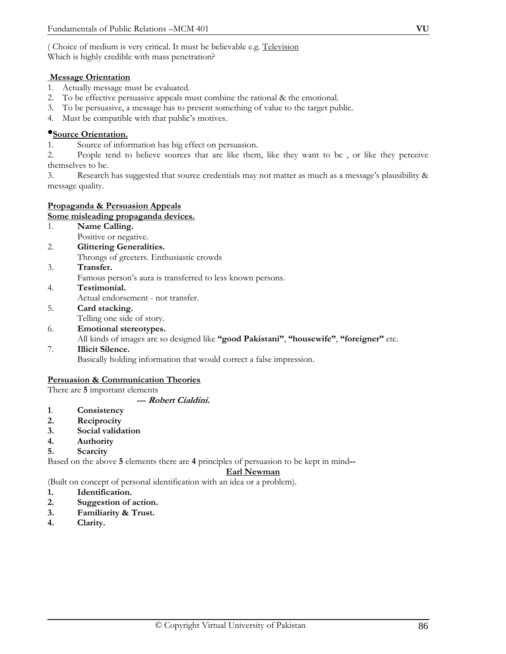( Choice of medium is very critical. It must be believable e.g. Television Which is highly credible with mass penetration?

# **Message Orientation**

- 1. Actually message must be evaluated.
- 2. To be effective persuasive appeals must combine the rational & the emotional.
- 3. To be persuasive, a message has to present something of value to the target public.
- 4. Must be compatible with that public's motives.

# •**Source Orientation.**

1. Source of information has big effect on persuasion.

2. People tend to believe sources that are like them, like they want to be , or like they perceive themselves to be.

3. Research has suggested that source credentials may not matter as much as a message's plausibility & message quality.

# **Propaganda & Persuasion Appeals**

#### **Some misleading propaganda devices.**

- 1. **Name Calling.**  Positive or negative.
- 2. **Glittering Generalities.**
- Throngs of greeters. Enthusiastic crowds
- 3. **Transfer.**

Famous person's aura is transferred to less known persons.

- 4. **Testimonial.**
- Actual endorsement not transfer.
- 5. **Card stacking.** 
	- Telling one side of story.
- 6. **Emotional stereotypes.**  All kinds of images are so designed like **"good Pakistani"**, **"housewife"**, **"foreigner"** etc.
- 7. **Illicit Silence.**

Basically holding information that would correct a false impression.

#### **Persuasion & Communication Theories**

There are **5** important elements

#### **--- Robert Cialdini.**

- **1**. **Consistency**
- **2. Reciprocity**
- **3. Social validation**
- **4. Authority**
- **5. Scarcity**

Based on the above **5** elements there are **4** principles of persuasion to be kept in mind**--** 

#### **Earl Newman**

(Built on concept of personal identification with an idea or a problem).

- **1. Identification.**
- **2. Suggestion of action.**
- **3. Familiarity & Trust.**
- **4. Clarity.**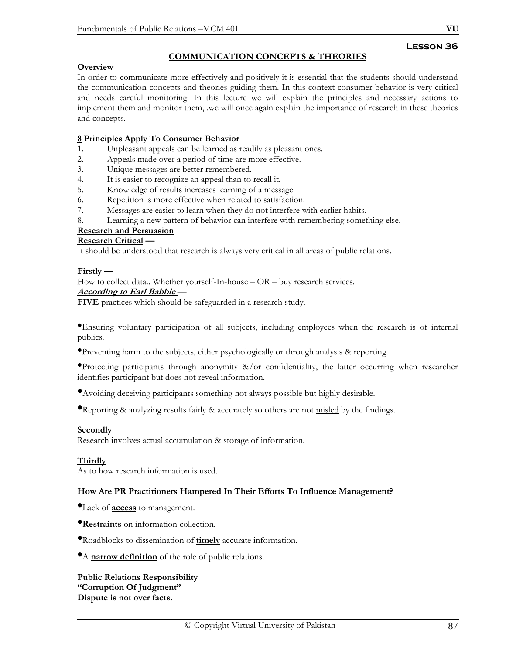# **Lesson 36**

# **COMMUNICATION CONCEPTS & THEORIES**

#### **Overview**

In order to communicate more effectively and positively it is essential that the students should understand the communication concepts and theories guiding them. In this context consumer behavior is very critical and needs careful monitoring. In this lecture we will explain the principles and necessary actions to implement them and monitor them, .we will once again explain the importance of research in these theories and concepts.

# **8 Principles Apply To Consumer Behavior**

- 1. Unpleasant appeals can be learned as readily as pleasant ones.<br>2. Appeals made over a period of time are more effective.
- Appeals made over a period of time are more effective.
- 3. Unique messages are better remembered.
- 4. It is easier to recognize an appeal than to recall it.
- 5. Knowledge of results increases learning of a message
- 6. Repetition is more effective when related to satisfaction.
- 7. Messages are easier to learn when they do not interfere with earlier habits.
- 8. Learning a new pattern of behavior can interfere with remembering something else.

# **Research and Persuasion**

# **Research Critical —**

It should be understood that research is always very critical in all areas of public relations.

#### **Firstly —**

How to collect data.. Whether yourself-In-house – OR – buy research services.

#### **According to Earl Babbie** —

**FIVE** practices which should be safeguarded in a research study.

•Ensuring voluntary participation of all subjects, including employees when the research is of internal publics.

•Preventing harm to the subjects, either psychologically or through analysis & reporting.

•Protecting participants through anonymity &/or confidentiality, the latter occurring when researcher identifies participant but does not reveal information.

•Avoiding deceiving participants something not always possible but highly desirable.

**•Reporting & analyzing results fairly & accurately so others are not misled by the findings.** 

#### **Secondly**

Research involves actual accumulation & storage of information.

#### **Thirdly**

As to how research information is used.

#### **How Are PR Practitioners Hampered In Their Efforts To Influence Management?**

- •Lack of **access** to management.
- •**Restraints** on information collection.

•Roadblocks to dissemination of **timely** accurate information.

•A **narrow definition** of the role of public relations.

# **Public Relations Responsibility "Corruption Of Judgment"**

**Dispute is not over facts.**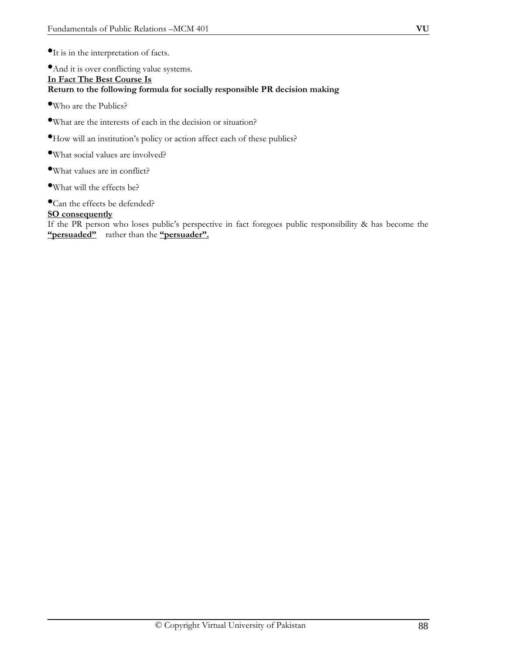•And it is over conflicting value systems. **In Fact The Best Course Is Return to the following formula for socially responsible PR decision making** 

•Who are the Publics?

- •What are the interests of each in the decision or situation?
- •How will an institution's policy or action affect each of these publics?
- •What social values are involved?
- •What values are in conflict?
- •What will the effects be?
- •Can the effects be defended?

# **SO consequently**

If the PR person who loses public's perspective in fact foregoes public responsibility & has become the **"persuaded"** rather than the **"persuader".**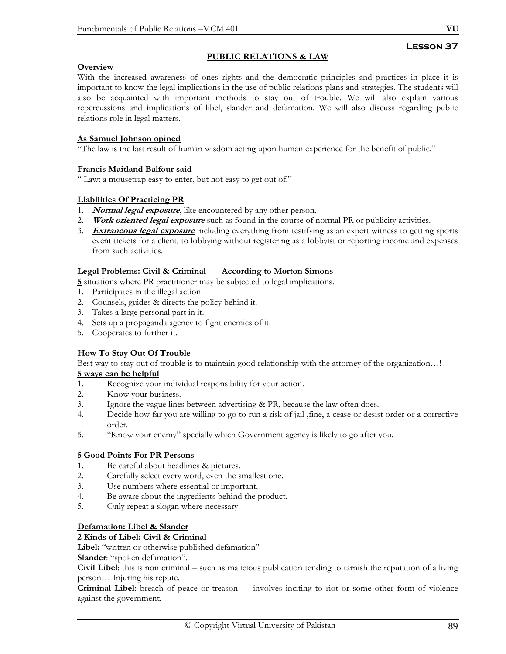#### **PUBLIC RELATIONS & LAW**

#### **Overview**

With the increased awareness of ones rights and the democratic principles and practices in place it is important to know the legal implications in the use of public relations plans and strategies. The students will also be acquainted with important methods to stay out of trouble. We will also explain various repercussions and implications of libel, slander and defamation. We will also discuss regarding public relations role in legal matters.

#### **As Samuel Johnson opined**

"The law is the last result of human wisdom acting upon human experience for the benefit of public."

#### **Francis Maitland Balfour said**

" Law: a mousetrap easy to enter, but not easy to get out of."

#### **Liabilities Of Practicing PR**

- 1. **Normal legal exposure**, like encountered by any other person.
- 2. **Work oriented legal exposure** such as found in the course of normal PR or publicity activities.
- 3. **Extraneous legal exposure** including everything from testifying as an expert witness to getting sports event tickets for a client, to lobbying without registering as a lobbyist or reporting income and expenses from such activities.

#### **Legal Problems: Civil & Criminal According to Morton Simons**

**5** situations where PR practitioner may be subjected to legal implications.

- 1. Participates in the illegal action.
- 2. Counsels, guides & directs the policy behind it.
- 3. Takes a large personal part in it.
- 4. Sets up a propaganda agency to fight enemies of it.
- 5. Cooperates to further it.

#### **How To Stay Out Of Trouble**

Best way to stay out of trouble is to maintain good relationship with the attorney of the organization...!

#### **5 ways can be helpful**

- 1. Recognize your individual responsibility for your action.
- 2. Know your business.
- 3. Ignore the vague lines between advertising & PR, because the law often does.
- 4. Decide how far you are willing to go to run a risk of jail ,fine, a cease or desist order or a corrective order.
- 5. "Know your enemy" specially which Government agency is likely to go after you.

#### **5 Good Points For PR Persons**

- 1. Be careful about headlines & pictures.
- 2. Carefully select every word, even the smallest one.
- 3. Use numbers where essential or important.
- 4. Be aware about the ingredients behind the product.
- 5. Only repeat a slogan where necessary.

#### **Defamation: Libel & Slander**

#### **2 Kinds of Libel: Civil & Criminal**

**Libel:** "written or otherwise published defamation"

**Slander**: "spoken defamation".

**Civil Libel**: this is non criminal – such as malicious publication tending to tarnish the reputation of a living person… Injuring his repute.

**Criminal Libel**: breach of peace or treason --- involves inciting to riot or some other form of violence against the government*.*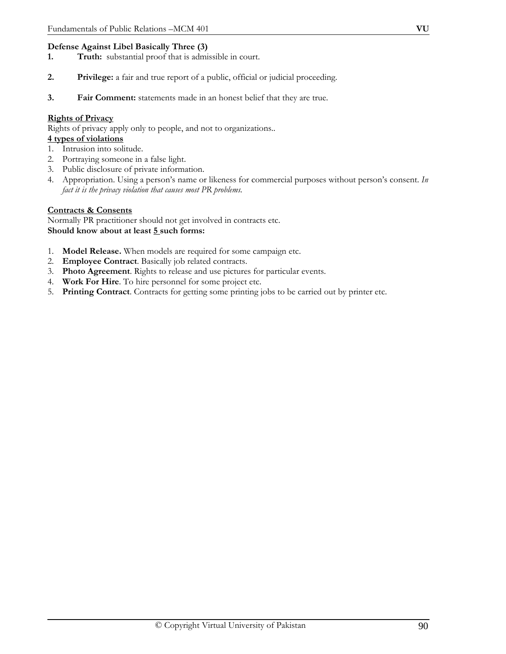# **Defense Against Libel Basically Three (3)**

- **1. Truth:** substantial proof that is admissible in court.
- **2. Privilege:** a fair and true report of a public, official or judicial proceeding.
- **3. Fair Comment:** statements made in an honest belief that they are true.

### **Rights of Privacy**

Rights of privacy apply only to people, and not to organizations..

# **4 types of violations**

- 1. Intrusion into solitude.
- 2. Portraying someone in a false light.
- 3. Public disclosure of private information.
- 4. Appropriation. Using a person's name or likeness for commercial purposes without person's consent. *In fact it is the privacy violation that causes most PR problems.*

#### **Contracts & Consents**

Normally PR practitioner should not get involved in contracts etc. **Should know about at least 5 such forms:** 

- 1. **Model Release.** When models are required for some campaign etc.
- 2. **Employee Contract**. Basically job related contracts.
- 3. **Photo Agreement**. Rights to release and use pictures for particular events.
- 4. **Work For Hire**. To hire personnel for some project etc.
- 5. **Printing Contract**. Contracts for getting some printing jobs to be carried out by printer etc.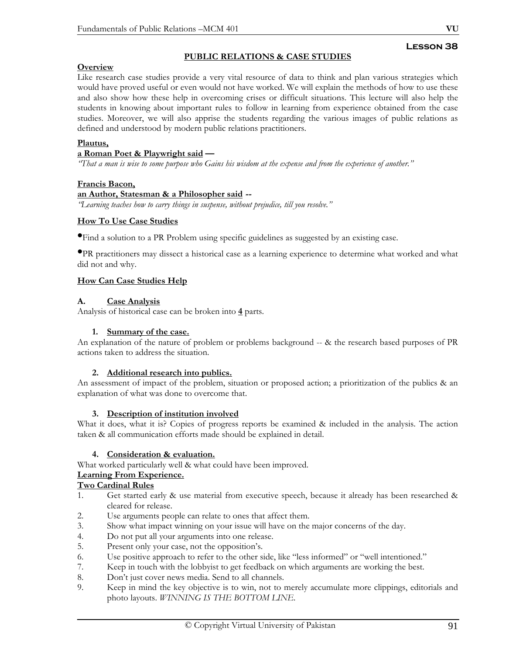# **PUBLIC RELATIONS & CASE STUDIES**

# **Overview**

Like research case studies provide a very vital resource of data to think and plan various strategies which would have proved useful or even would not have worked. We will explain the methods of how to use these and also show how these help in overcoming crises or difficult situations. This lecture will also help the students in knowing about important rules to follow in learning from experience obtained from the case studies. Moreover, we will also apprise the students regarding the various images of public relations as defined and understood by modern public relations practitioners.

#### **Plautus,**

#### **a Roman Poet & Playwright said —**

*"That a man is wise to some purpose who Gains his wisdom at the expense and from the experience of another."* 

#### **Francis Bacon,**

#### **an Author, Statesman & a Philosopher said --**

*"Learning teaches how to carry things in suspense, without prejudice, till you resolve."* 

#### **How To Use Case Studies**

•Find a solution to a PR Problem using specific guidelines as suggested by an existing case.

•PR practitioners may dissect a historical case as a learning experience to determine what worked and what did not and why.

#### **How Can Case Studies Help**

#### **A. Case Analysis**

Analysis of historical case can be broken into **4** parts.

#### **1. Summary of the case.**

An explanation of the nature of problem or problems background -- & the research based purposes of PR actions taken to address the situation.

#### **2. Additional research into publics.**

An assessment of impact of the problem, situation or proposed action; a prioritization of the publics & an explanation of what was done to overcome that.

#### **3. Description of institution involved**

What it does, what it is? Copies of progress reports be examined & included in the analysis. The action taken & all communication efforts made should be explained in detail.

#### **4. Consideration & evaluation.**

What worked particularly well & what could have been improved.

#### **Learning From Experience.**

# **Two Cardinal Rules**

- 1. Get started early & use material from executive speech, because it already has been researched & cleared for release.
- 2. Use arguments people can relate to ones that affect them.
- 3. Show what impact winning on your issue will have on the major concerns of the day.
- 4. Do not put all your arguments into one release.
- 5. Present only your case, not the opposition's.
- 6. Use positive approach to refer to the other side, like "less informed" or "well intentioned."
- 7. Keep in touch with the lobbyist to get feedback on which arguments are working the best.
- 8. Don't just cover news media. Send to all channels.
- 9. Keep in mind the key objective is to win, not to merely accumulate more clippings, editorials and photo layouts. *WINNING IS THE BOTTOM LINE.*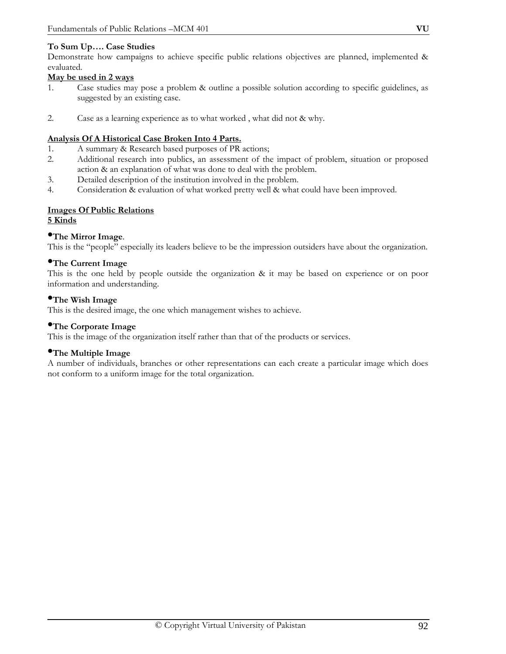# **To Sum Up…. Case Studies**

Demonstrate how campaigns to achieve specific public relations objectives are planned, implemented & evaluated*.* 

## **May be used in 2 ways**

- 1. Case studies may pose a problem & outline a possible solution according to specific guidelines, as suggested by an existing case.
- 2. Case as a learning experience as to what worked , what did not & why.

# **Analysis Of A Historical Case Broken Into 4 Parts.**

- 1. A summary & Research based purposes of PR actions;
- 2. Additional research into publics, an assessment of the impact of problem, situation or proposed action & an explanation of what was done to deal with the problem.
- 3. Detailed description of the institution involved in the problem.
- 4. Consideration & evaluation of what worked pretty well & what could have been improved.

#### **Images Of Public Relations 5 Kinds**

# •**The Mirror Image**.

This is the "people" especially its leaders believe to be the impression outsiders have about the organization.

# •**The Current Image**

This is the one held by people outside the organization & it may be based on experience or on poor information and understanding.

# •**The Wish Image**

This is the desired image, the one which management wishes to achieve.

### •**The Corporate Image**

This is the image of the organization itself rather than that of the products or services.

#### •**The Multiple Image**

A number of individuals, branches or other representations can each create a particular image which does not conform to a uniform image for the total organization.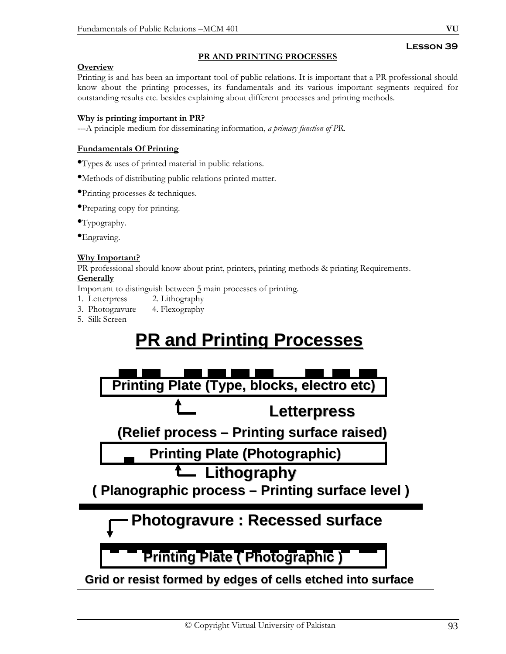# **PR AND PRINTING PROCESSES**

# **Overview**

Printing is and has been an important tool of public relations. It is important that a PR professional should know about the printing processes, its fundamentals and its various important segments required for outstanding results etc. besides explaining about different processes and printing methods.

# **Why is printing important in PR?**

---A principle medium for disseminating information, *a primary function of PR*.

# **Fundamentals Of Printing**

•Types & uses of printed material in public relations.

•Methods of distributing public relations printed matter.

•Printing processes & techniques.

•Preparing copy for printing.

•Typography.

**•Engraving.** 

# **Why Important?**

PR professional should know about print, printers, printing methods & printing Requirements. **Generally**

Important to distinguish between 5 main processes of printing.

- 1. Letterpress 2. Lithography
- 3. Photogravure 4. Flexography
- 5. Silk Screen

# **PR and Printing Processes PR and Printing Processes**

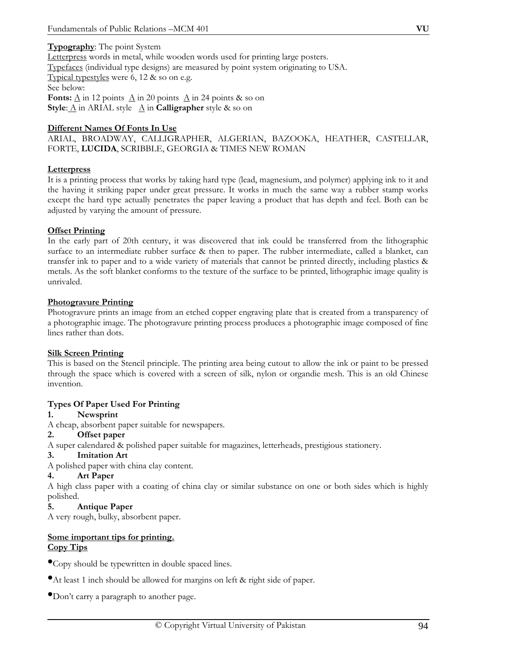#### **Typography**: The point System

Letterpress words in metal, while wooden words used for printing large posters. Typefaces (individual type designs) are measured by point system originating to USA. Typical typestyles were 6, 12 & so on e.g. See below: **Fonts:**  $\underline{A}$  in 12 points  $\underline{A}$  in 20 points  $\underline{A}$  in 24 points & so on **Style:**  $\underline{A}$  in ARIAL style  $\underline{A}$  in **Calligrapher** style & so on

#### **Different Names Of Fonts In Use**

ARIAL, BROADWAY, CALLIGRAPHER, ALGERIAN, BAZOOKA, HEATHER, CASTELLAR, FORTE, **LUCIDA**, SCRIBBLE, GEORGIA & TIMES NEW ROMAN

#### **Letterpress**

It is a printing process that works by taking hard type (lead, magnesium, and polymer) applying ink to it and the having it striking paper under great pressure. It works in much the same way a rubber stamp works except the hard type actually penetrates the paper leaving a product that has depth and feel. Both can be adjusted by varying the amount of pressure.

#### **Offset Printing**

In the early part of 20th century, it was discovered that ink could be transferred from the lithographic surface to an intermediate rubber surface & then to paper. The rubber intermediate, called a blanket, can transfer ink to paper and to a wide variety of materials that cannot be printed directly, including plastics & metals. As the soft blanket conforms to the texture of the surface to be printed, lithographic image quality is unrivaled.

#### **Photogravure Printing**

Photogravure prints an image from an etched copper engraving plate that is created from a transparency of a photographic image. The photogravure printing process produces a photographic image composed of fine lines rather than dots.

#### **Silk Screen Printing**

This is based on the Stencil principle. The printing area being cutout to allow the ink or paint to be pressed through the space which is covered with a screen of silk, nylon or organdie mesh. This is an old Chinese invention.

#### **Types Of Paper Used For Printing**

#### **1. Newsprint**

A cheap, absorbent paper suitable for newspapers.

#### **2. Offset paper**

A super calendared & polished paper suitable for magazines, letterheads, prestigious stationery.

# **3. Imitation Art**

A polished paper with china clay content.

# **4. Art Paper**

A high class paper with a coating of china clay or similar substance on one or both sides which is highly polished.

# **5. Antique Paper**

A very rough, bulky, absorbent paper.

# **Some important tips for printing. Copy Tips**

•Copy should be typewritten in double spaced lines.

•At least 1 inch should be allowed for margins on left & right side of paper.

•Don't carry a paragraph to another page.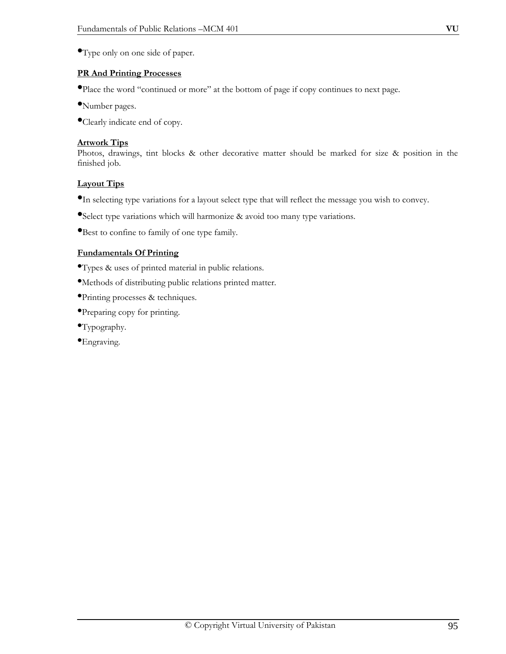•Type only on one side of paper.

# **PR And Printing Processes**

•Place the word "continued or more" at the bottom of page if copy continues to next page.

- •Number pages.
- •Clearly indicate end of copy.

# **Artwork Tips**

Photos, drawings, tint blocks & other decorative matter should be marked for size & position in the finished job.

# **Layout Tips**

- •In selecting type variations for a layout select type that will reflect the message you wish to convey.
- •Select type variations which will harmonize & avoid too many type variations.
- •Best to confine to family of one type family.

# **Fundamentals Of Printing**

•Types & uses of printed material in public relations.

- •Methods of distributing public relations printed matter.
- •Printing processes & techniques.
- •Preparing copy for printing.
- •Typography.
- •Engraving.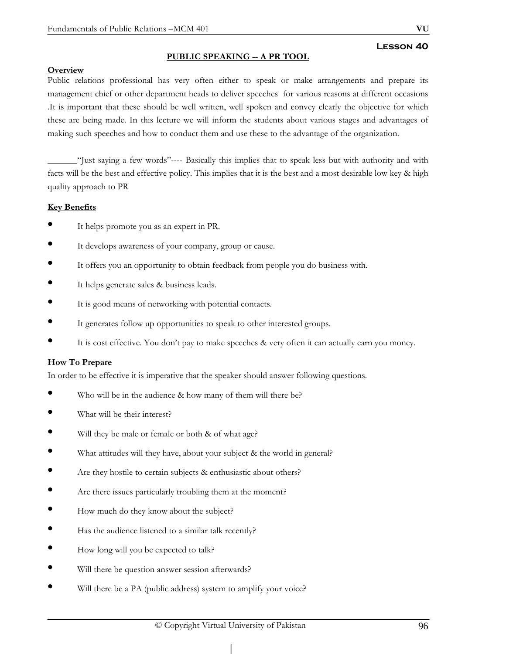### **PUBLIC SPEAKING -- A PR TOOL**

#### **Overview**

Public relations professional has very often either to speak or make arrangements and prepare its management chief or other department heads to deliver speeches for various reasons at different occasions .It is important that these should be well written, well spoken and convey clearly the objective for which these are being made. In this lecture we will inform the students about various stages and advantages of making such speeches and how to conduct them and use these to the advantage of the organization.

"Just saying a few words"---- Basically this implies that to speak less but with authority and with facts will be the best and effective policy. This implies that it is the best and a most desirable low key & high quality approach to PR

#### **Key Benefits**

- It helps promote you as an expert in PR.
- It develops awareness of your company, group or cause.
- It offers you an opportunity to obtain feedback from people you do business with.
- It helps generate sales & business leads.
- It is good means of networking with potential contacts.
- It generates follow up opportunities to speak to other interested groups.
- It is cost effective. You don't pay to make speeches & very often it can actually earn you money.

#### **How To Prepare**

In order to be effective it is imperative that the speaker should answer following questions.

- Who will be in the audience & how many of them will there be?
- What will be their interest?
- Will they be male or female or both & of what age?
- What attitudes will they have, about your subject & the world in general?
- Are they hostile to certain subjects & enthusiastic about others?
- Are there issues particularly troubling them at the moment?
- How much do they know about the subject?
- Has the audience listened to a similar talk recently?
- How long will you be expected to talk?
- Will there be question answer session afterwards?
- Will there be a PA (public address) system to amplify your voice?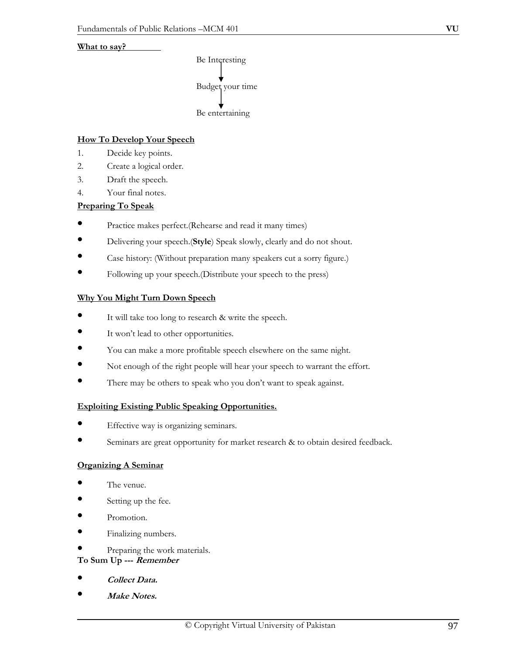#### **What to say?**



# **How To Develop Your Speech**

- 1. Decide key points.
- 2. Create a logical order.
- 3. Draft the speech.
- 4. Your final notes.

# **Preparing To Speak**

- Practice makes perfect.(Rehearse and read it many times)
- Delivering your speech.(**Style**) Speak slowly, clearly and do not shout.
- Case history: (Without preparation many speakers cut a sorry figure.)
- Following up your speech.(Distribute your speech to the press)

# **Why You Might Turn Down Speech**

- It will take too long to research & write the speech.
- It won't lead to other opportunities.
- You can make a more profitable speech elsewhere on the same night.
- Not enough of the right people will hear your speech to warrant the effort.
- There may be others to speak who you don't want to speak against.

#### **Exploiting Existing Public Speaking Opportunities.**

- Effective way is organizing seminars.
- Seminars are great opportunity for market research & to obtain desired feedback*.*

#### **Organizing A Seminar**

- The venue.
- Setting up the fee.
- Promotion.
- Finalizing numbers.
- Preparing the work materials.

#### **To Sum Up --- Remember**

- **Collect Data.**
- **Make Notes.**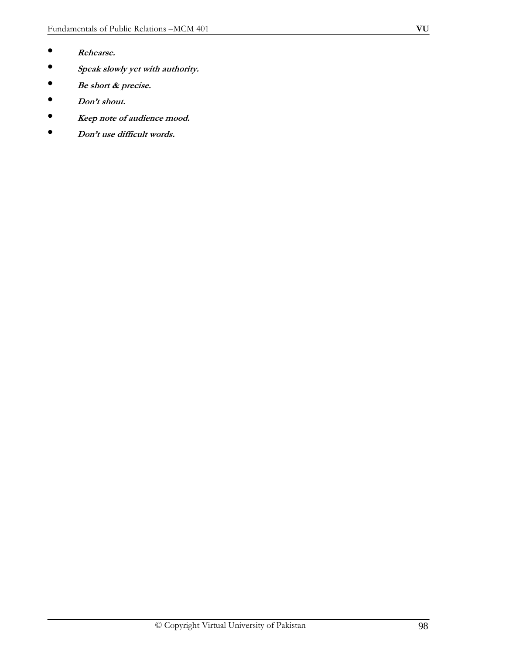- **Rehearse.**
- **Speak slowly yet with authority.**
- **Be short & precise.**
- **Don't shout.**
- **Keep note of audience mood.**
- **Don't use difficult words.**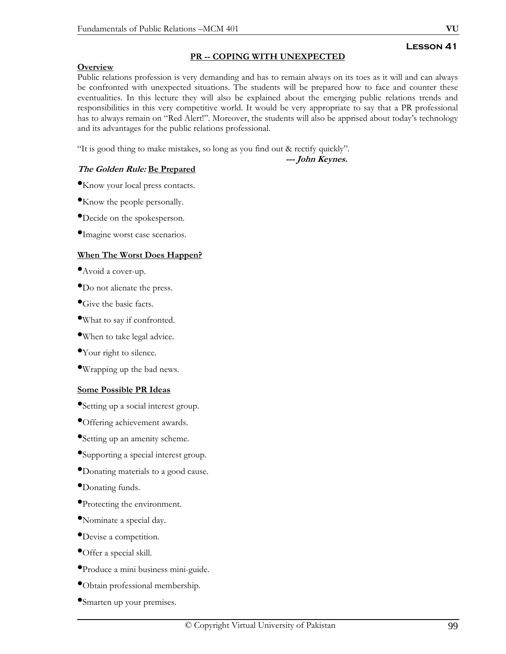#### **PR -- COPING WITH UNEXPECTED**

#### **Overview**

Public relations profession is very demanding and has to remain always on its toes as it will and can always be confronted with unexpected situations. The students will be prepared how to face and counter these eventualities. In this lecture they will also be explained about the emerging public relations trends and responsibilities in this very competitive world. It would be very appropriate to say that a PR professional has to always remain on "Red Alert!". Moreover, the students will also be apprised about today's technology and its advantages for the public relations professional.

"It is good thing to make mistakes, so long as you find out & rectify quickly"*.* 

**--- John Keynes.** 

# **The Golden Rule: Be Prepared**

•Know your local press contacts.

•Know the people personally.

- •Decide on the spokesperson.
- •Imagine worst case scenarios.

#### **When The Worst Does Happen?**

- •Avoid a cover-up.
- •Do not alienate the press.
- •Give the basic facts.
- •What to say if confronted.
- •When to take legal advice.
- Your right to silence.
- •Wrapping up the bad news.

#### **Some Possible PR Ideas**

- •Setting up a social interest group.
- •Offering achievement awards.
- •Setting up an amenity scheme.
- •Supporting a special interest group.
- •Donating materials to a good cause.
- Donating funds.
- •Protecting the environment.
- •Nominate a special day.
- •Devise a competition.
- •Offer a special skill.
- •Produce a mini business mini-guide.
- •Obtain professional membership.
- •Smarten up your premises.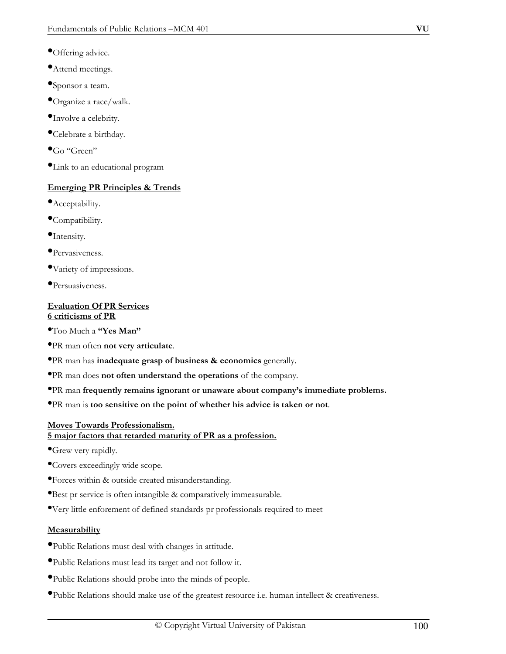- •Offering advice.
- •Attend meetings.
- **•**Sponsor a team.
- •Organize a race/walk.
- •Involve a celebrity.
- •Celebrate a birthday.
- $\bullet$ Go "Green"
- •Link to an educational program

# **Emerging PR Principles & Trends**

- •Acceptability.
- •Compatibility.
- •Intensity.
- •Pervasiveness.
- •Variety of impressions.
- •Persuasiveness.

# **Evaluation Of PR Services 6 criticisms of PR**

- •Too Much a **"Yes Man"**
- •PR man often **not very articulate**.
- •PR man has **inadequate grasp of business & economics** generally.
- •PR man does **not often understand the operations** of the company.
- •PR man **frequently remains ignorant or unaware about company's immediate problems.**
- •PR man is **too sensitive on the point of whether his advice is taken or not**.

# **Moves Towards Professionalism.**

# **5 major factors that retarded maturity of PR as a profession.**

- •Grew very rapidly.
- •Covers exceedingly wide scope.
- •Forces within & outside created misunderstanding.
- •Best pr service is often intangible & comparatively immeasurable.
- •Very little enforement of defined standards pr professionals required to meet

# **Measurability**

- •Public Relations must deal with changes in attitude.
- •Public Relations must lead its target and not follow it.
- •Public Relations should probe into the minds of people.
- •Public Relations should make use of the greatest resource i.e. human intellect & creativeness.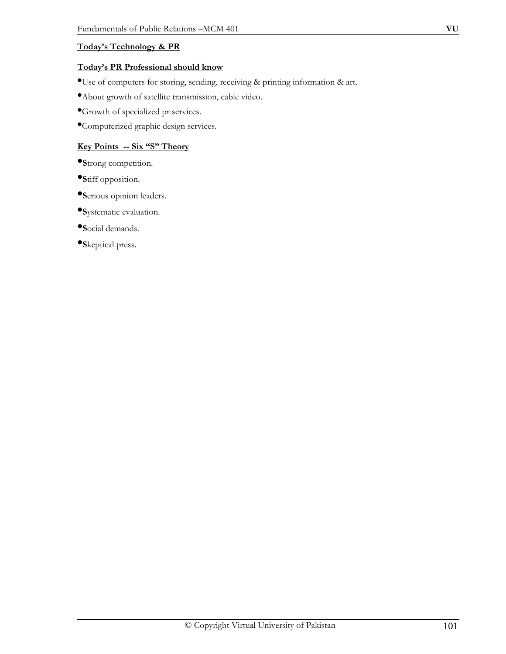# **Today's Technology & PR**

### **Today's PR Professional should know**

•Use of computers for storing, sending, receiving & printing information & art.

•About growth of satellite transmission, cable video.

•Growth of specialized pr services.

•Computerized graphic design services.

# **Key Points -- Six "S" Theory**

•**S**trong competition.

•**S**tiff opposition.

•**S**erious opinion leaders.

•**S**ystematic evaluation.

•**S**ocial demands.

•**S**keptical press.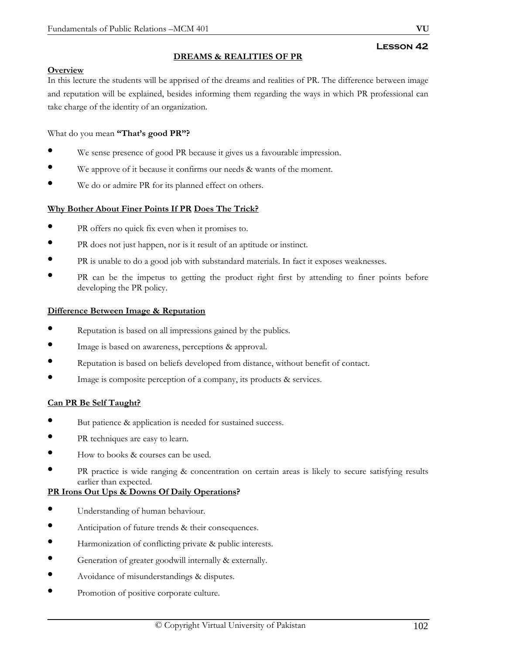# **DREAMS & REALITIES OF PR**

# **Overview**

In this lecture the students will be apprised of the dreams and realities of PR. The difference between image and reputation will be explained, besides informing them regarding the ways in which PR professional can take charge of the identity of an organization.

# What do you mean **"That's good PR"?**

- We sense presence of good PR because it gives us a favourable impression.
- We approve of it because it confirms our needs & wants of the moment.
- We do or admire PR for its planned effect on others.

# **Why Bother About Finer Points If PR Does The Trick?**

- PR offers no quick fix even when it promises to.
- PR does not just happen, nor is it result of an aptitude or instinct.
- PR is unable to do a good job with substandard materials. In fact it exposes weaknesses.
- PR can be the impetus to getting the product right first by attending to finer points before developing the PR policy.

#### **Difference Between Image & Reputation**

- Reputation is based on all impressions gained by the publics.
- Image is based on awareness, perceptions & approval.
- Reputation is based on beliefs developed from distance, without benefit of contact.
- Image is composite perception of a company, its products & services.

#### **Can PR Be Self Taught?**

- But patience & application is needed for sustained success.
- PR techniques are easy to learn.
- How to books & courses can be used.
- PR practice is wide ranging & concentration on certain areas is likely to secure satisfying results earlier than expected.

#### **PR Irons Out Ups & Downs Of Daily Operations?**

- Understanding of human behaviour.
- Anticipation of future trends & their consequences.
- Harmonization of conflicting private & public interests.
- Generation of greater goodwill internally & externally.
- Avoidance of misunderstandings & disputes.
- Promotion of positive corporate culture.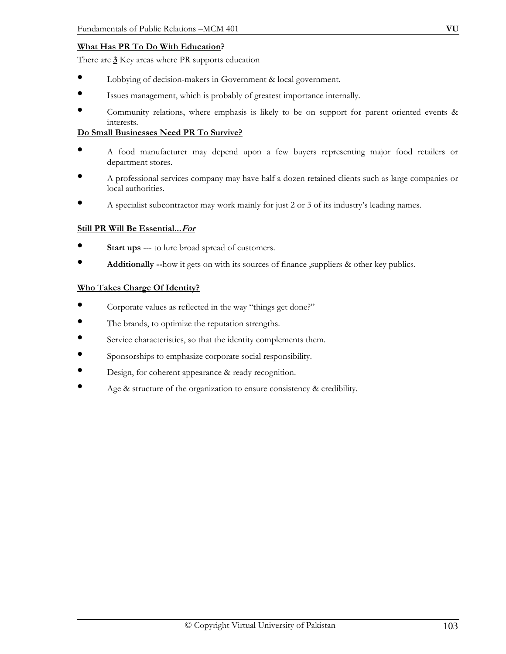# **What Has PR To Do With Education?**

There are **3** Key areas where PR supports education

- Lobbying of decision-makers in Government & local government.
- Issues management, which is probably of greatest importance internally.
- Community relations, where emphasis is likely to be on support for parent oriented events & interests.

# **Do Small Businesses Need PR To Survive?**

- A food manufacturer may depend upon a few buyers representing major food retailers or department stores.
- A professional services company may have half a dozen retained clients such as large companies or local authorities.
- A specialist subcontractor may work mainly for just 2 or 3 of its industry's leading names.

# **Still PR Will Be Essential...For**

- **Start ups** --- to lure broad spread of customers.
- **Additionally --**how it gets on with its sources of finance ,suppliers & other key publics.

#### **Who Takes Charge Of Identity?**

- Corporate values as reflected in the way "things get done?"
- The brands, to optimize the reputation strengths.
- Service characteristics, so that the identity complements them.
- Sponsorships to emphasize corporate social responsibility.
- Design, for coherent appearance & ready recognition.
- Age & structure of the organization to ensure consistency & credibility.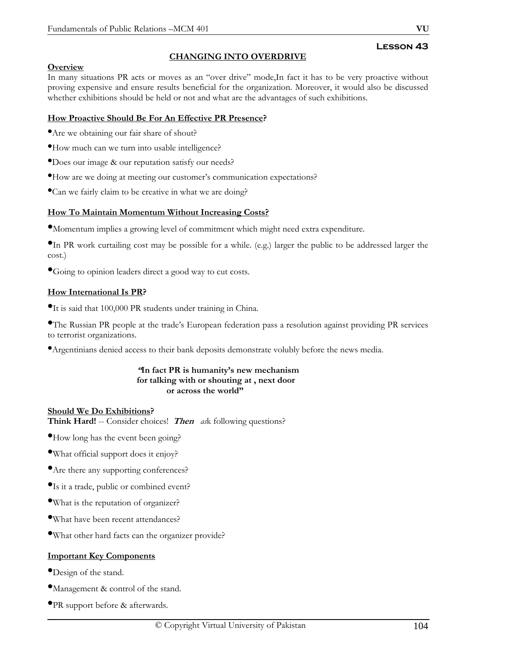# **CHANGING INTO OVERDRIVE**

# **Overview**

In many situations PR acts or moves as an "over drive" mode,In fact it has to be very proactive without proving expensive and ensure results beneficial for the organization. Moreover, it would also be discussed whether exhibitions should be held or not and what are the advantages of such exhibitions.

# **How Proactive Should Be For An Effective PR Presence?**

- •Are we obtaining our fair share of shout?
- •How much can we turn into usable intelligence?
- •Does our image & our reputation satisfy our needs?
- •How are we doing at meeting our customer's communication expectations?
- •Can we fairly claim to be creative in what we are doing?

# **How To Maintain Momentum Without Increasing Costs?**

•Momentum implies a growing level of commitment which might need extra expenditure.

•In PR work curtailing cost may be possible for a while. (e.g.) larger the public to be addressed larger the cost.)

•Going to opinion leaders direct a good way to cut costs.

# **How International Is PR?**

•It is said that 100,000 PR students under training in China.

•The Russian PR people at the trade's European federation pass a resolution against providing PR services to terrorist organizations.

•Argentinians denied access to their bank deposits demonstrate volubly before the news media.

#### **"In fact PR is humanity's new mechanism for talking with or shouting at , next door or across the world"**

**Should We Do Exhibitions? Think Hard!** -- Consider choices! **Then** *ask* following questions?

•How long has the event been going?

- •What official support does it enjoy?
- •Are there any supporting conferences?
- •Is it a trade, public or combined event?
- •What is the reputation of organizer?
- •What have been recent attendances?
- •What other hard facts can the organizer provide?

#### **Important Key Components**

- •Design of the stand.
- •Management & control of the stand.
- •PR support before & afterwards.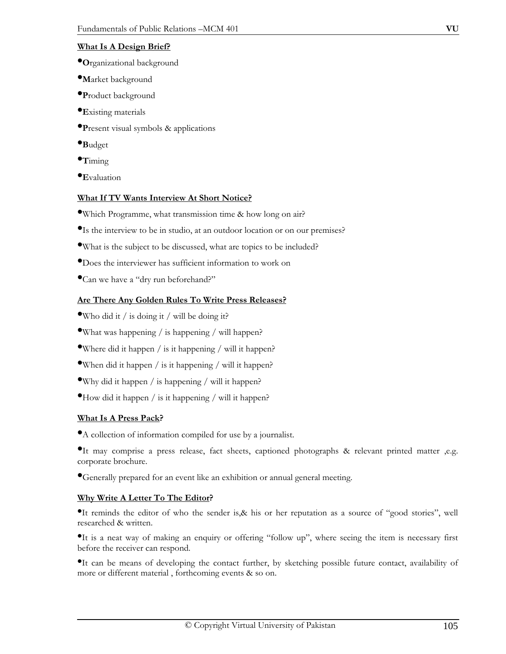# **What Is A Design Brief?**

- •**O**rganizational background
- •**M**arket background
- •**P**roduct background
- •**E**xisting materials
- •**P**resent visual symbols & applications
- •**B**udget
- •**T**iming
- •**E**valuation

# **What If TV Wants Interview At Short Notice?**

- •Which Programme, what transmission time & how long on air?
- •Is the interview to be in studio, at an outdoor location or on our premises?
- •What is the subject to be discussed, what are topics to be included?
- •Does the interviewer has sufficient information to work on
- •Can we have a "dry run beforehand?"

# **Are There Any Golden Rules To Write Press Releases?**

- •Who did it / is doing it / will be doing it?
- •What was happening / is happening / will happen?
- •Where did it happen  $/$  is it happening  $/$  will it happen?
- •When did it happen / is it happening / will it happen?
- •Why did it happen / is happening / will it happen?
- $\bullet$ How did it happen / is it happening / will it happen?

# **What Is A Press Pack?**

•A collection of information compiled for use by a journalist.

•It may comprise a press release, fact sheets, captioned photographs & relevant printed matter ,e.g. corporate brochure.

•Generally prepared for an event like an exhibition or annual general meeting.

# **Why Write A Letter To The Editor?**

•It reminds the editor of who the sender is,& his or her reputation as a source of "good stories", well researched & written.

•It is a neat way of making an enquiry or offering "follow up", where seeing the item is necessary first before the receiver can respond.

•It can be means of developing the contact further, by sketching possible future contact, availability of more or different material , forthcoming events & so on.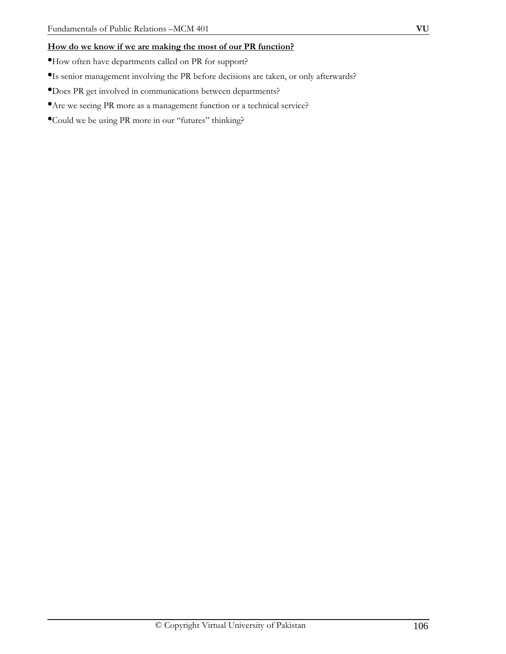# **How do we know if we are making the most of our PR function?**

- •How often have departments called on PR for support?
- •Is senior management involving the PR before decisions are taken, or only afterwards?
- •Does PR get involved in communications between departments?
- •Are we seeing PR more as a management function or a technical service?
- •Could we be using PR more in our "futures" thinking?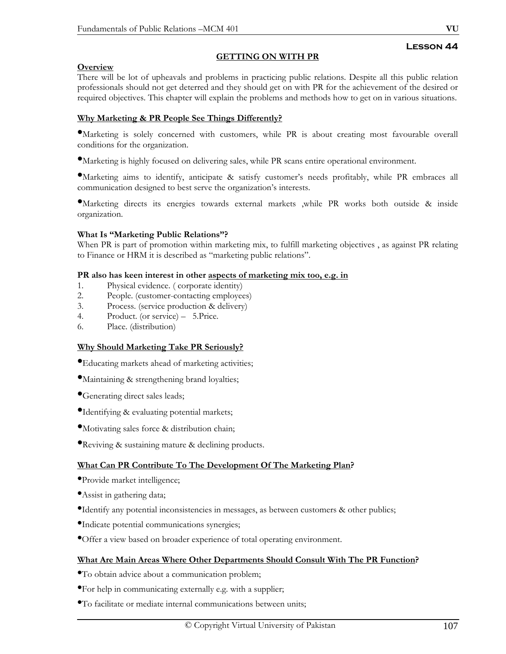#### **GETTING ON WITH PR**

### **Overview**

There will be lot of upheavals and problems in practicing public relations. Despite all this public relation professionals should not get deterred and they should get on with PR for the achievement of the desired or required objectives. This chapter will explain the problems and methods how to get on in various situations.

# **Why Marketing & PR People See Things Differently?**

•Marketing is solely concerned with customers, while PR is about creating most favourable overall conditions for the organization.

•Marketing is highly focused on delivering sales, while PR scans entire operational environment.

•Marketing aims to identify, anticipate & satisfy customer's needs profitably, while PR embraces all communication designed to best serve the organization's interests.

•Marketing directs its energies towards external markets ,while PR works both outside & inside organization.

#### **What Is "Marketing Public Relations"?**

When PR is part of promotion within marketing mix, to fulfill marketing objectives , as against PR relating to Finance or HRM it is described as "marketing public relations".

#### **PR also has keen interest in other aspects of marketing mix too, e.g. in**

- 1. Physical evidence. ( corporate identity)
- 2. People. (customer-contacting employees)
- 3. Process. (service production & delivery)
- 4. Product. (or service) 5. Price.
- 6. Place. (distribution)

#### **Why Should Marketing Take PR Seriously?**

- •Educating markets ahead of marketing activities;
- •Maintaining & strengthening brand loyalties;
- •Generating direct sales leads;
- •Identifying & evaluating potential markets;
- •Motivating sales force & distribution chain;
- •Reviving & sustaining mature & declining products.

# **What Can PR Contribute To The Development Of The Marketing Plan?**

- •Provide market intelligence;
- •Assist in gathering data;
- •Identify any potential inconsistencies in messages, as between customers & other publics;
- •Indicate potential communications synergies;
- •Offer a view based on broader experience of total operating environment.

#### **What Are Main Areas Where Other Departments Should Consult With The PR Function?**

- •To obtain advice about a communication problem;
- •For help in communicating externally e.g. with a supplier;
- •To facilitate or mediate internal communications between units;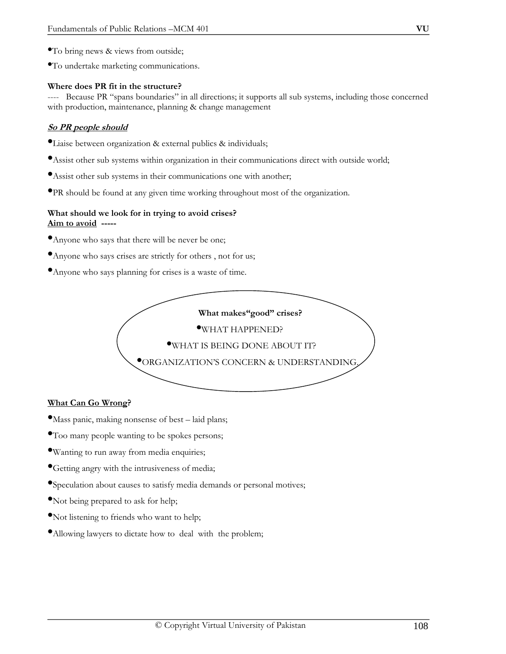- •To bring news & views from outside;
- •To undertake marketing communications.

#### **Where does PR fit in the structure?**

---- Because PR "spans boundaries" in all directions; it supports all sub systems, including those concerned with production, maintenance, planning & change management

### **So PR people should**

- •Liaise between organization & external publics & individuals;
- •Assist other sub systems within organization in their communications direct with outside world;
- •Assist other sub systems in their communications one with another;
- •PR should be found at any given time working throughout most of the organization.

#### **What should we look for in trying to avoid crises? Aim to avoid -----**

- •Anyone who says that there will be never be one;
- •Anyone who says crises are strictly for others , not for us;
- •Anyone who says planning for crises is a waste of time.



#### **What Can Go Wrong?**

- •Mass panic, making nonsense of best laid plans;
- •Too many people wanting to be spokes persons;
- •Wanting to run away from media enquiries;
- •Getting angry with the intrusiveness of media;
- •Speculation about causes to satisfy media demands or personal motives;
- •Not being prepared to ask for help;
- •Not listening to friends who want to help;
- •Allowing lawyers to dictate how to deal with the problem;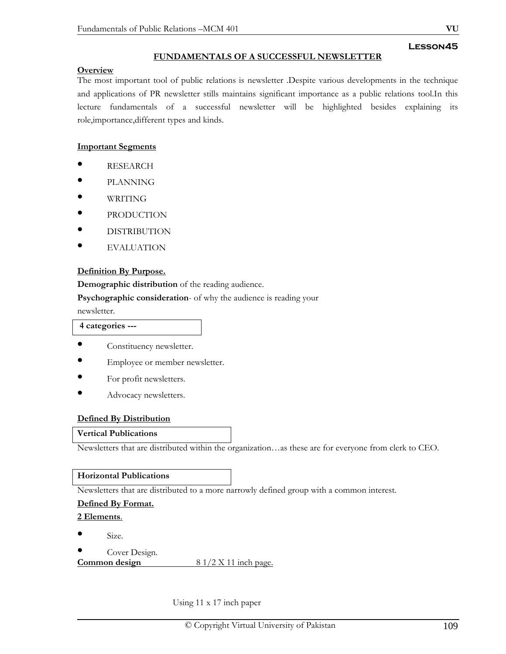## **FUNDAMENTALS OF A SUCCESSFUL NEWSLETTER**

#### **Overview**

The most important tool of public relations is newsletter .Despite various developments in the technique and applications of PR newsletter stills maintains significant importance as a public relations tool.In this lecture fundamentals of a successful newsletter will be highlighted besides explaining its role,importance,different types and kinds.

### **Important Segments**

- RESEARCH
- PLANNING
- WRITING
- PRODUCTION
- DISTRIBUTION
- **EVALUATION**

## **Definition By Purpose.**

**Demographic distribution** of the reading audience.

**Psychographic consideration**- of why the audience is reading your

newsletter.

#### **4 categories ---**

- Constituency newsletter.
- Employee or member newsletter.
- For profit newsletters.
- Advocacy newsletters.

### **Defined By Distribution**

### **Vertical Publications**

Newsletters that are distributed within the organization…as these are for everyone from clerk to CEO.

### **Horizontal Publications**

Newsletters that are distributed to a more narrowly defined group with a common interest.

## **Defined By Format.**

**2 Elements**.

- Size.
- 

**Cover Design.**<br>**Common design Common design** 8 1/2 X 11 inch page.

Using 11 x 17 inch paper

**Lesson45**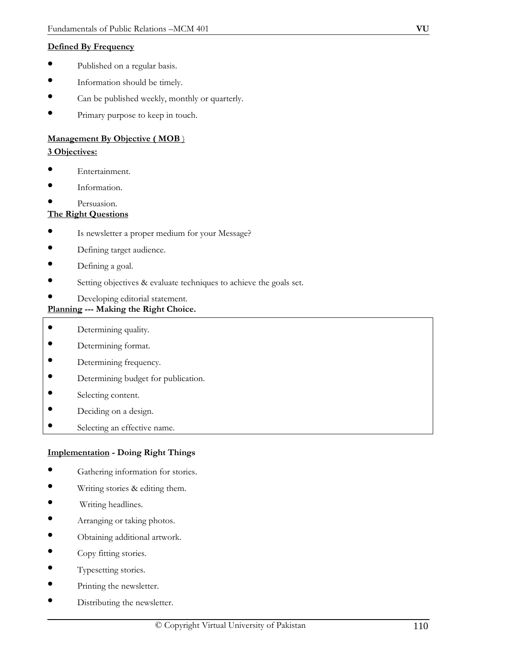## **Defined By Frequency**

- Published on a regular basis.
- Information should be timely.
- Can be published weekly, monthly or quarterly.
- Primary purpose to keep in touch.

# **Management By Objective ( MOB** )

## **3 Objectives:**

- Entertainment.
- Information.
- Persuasion.

## **The Right Questions**

- Is newsletter a proper medium for your Message?
- Defining target audience.
- Defining a goal.
- Setting objectives & evaluate techniques to achieve the goals set.
- Developing editorial statement.

# **Planning --- Making the Right Choice.**

- Determining quality.
- Determining format.
- Determining frequency.
- Determining budget for publication.
- Selecting content.
- Deciding on a design.
- Selecting an effective name.

# **Implementation - Doing Right Things**

- Gathering information for stories.
- Writing stories & editing them.
- Writing headlines.
- Arranging or taking photos.
- Obtaining additional artwork.
- Copy fitting stories.
- Typesetting stories.
- Printing the newsletter.
- Distributing the newsletter.